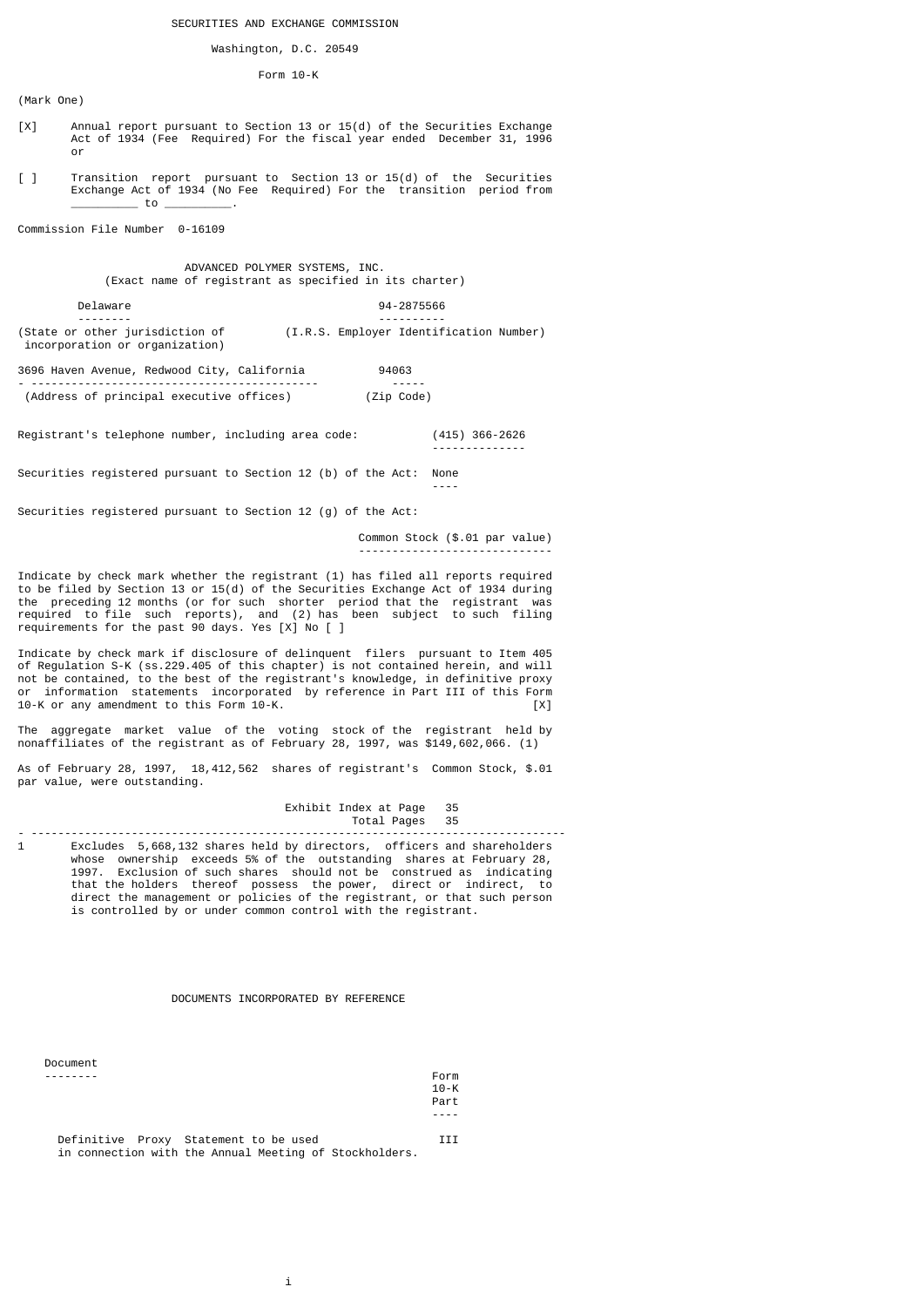# Washington, D.C. 20549

# Form 10-K

(Mark One)

- [X] Annual report pursuant to Section 13 or 15(d) of the Securities Exchange Act of 1934 (Fee Required) For the fiscal year ended December 31, 1996 or
- [ ] Transition report pursuant to Section 13 or 15(d) of the Securities Exchange Act of 1934 (No Fee Required) For the transition period from  $_$  to  $_$

Commission File Number 0-16109

# ADVANCED POLYMER SYSTEMS, INC. (Exact name of registrant as specified in its charter)

 Delaware 94-2875566 -------- ---------- (State or other jurisdiction of (I.R.S. Employer Identification Number) incorporation or organization)

--------------

3696 Haven Avenue, Redwood City, California 94063 - ------------------------------------------- ----- (Address of principal executive offices) (Zip Code)

Registrant's telephone number, including area code: (415) 366-2626

Securities registered pursuant to Section 12 (b) of the Act: None ----

Securities registered pursuant to Section 12 (g) of the Act:

 Common Stock (\$.01 par value) -----------------------------

Indicate by check mark whether the registrant (1) has filed all reports required to be filed by Section 13 or 15(d) of the Securities Exchange Act of 1934 during the preceding 12 months (or for such shorter period that the registrant was required to file such reports), and (2) has been subject to such filing requirements for the past 90 days. Yes [X] No [ ]

Indicate by check mark if disclosure of delinquent filers pursuant to Item 405 of Regulation S-K (ss.229.405 of this chapter) is not contained herein, and will not be contained, to the best of the registrant's knowledge, in definitive proxy or information statements incorporated by reference in Part III of this Form<br>10-K or any amendment to this Form 10-K.  $10-K$  or any amendment to this Form  $10-K$ .

The aggregate market value of the voting stock of the registrant held by nonaffiliates of the registrant as of February 28, 1997, was \$149,602,066. (1)

As of February 28, 1997, 18,412,562 shares of registrant's Common Stock, \$.01 par value, were outstanding.

> Exhibit Index at Page 35 Total Pages 35

- -------------------------------------------------------------------------------- 1 Excludes 5,668,132 shares held by directors, officers and shareholders whose ownership exceeds 5% of the outstanding shares at February 28, 1997. Exclusion of such shares should not be construed as indicating that the holders thereof possess the power, direct or indirect, to direct the management or policies of the registrant, or that such person is controlled by or under common control with the registrant.

# DOCUMENTS INCORPORATED BY REFERENCE

| Document                                               |          |
|--------------------------------------------------------|----------|
|                                                        | Form     |
|                                                        | $10 - K$ |
|                                                        | Part     |
|                                                        |          |
|                                                        |          |
| Definitive Proxy Statement to be used                  | ттт      |
| in connection with the Annual Meeting of Stockholders. |          |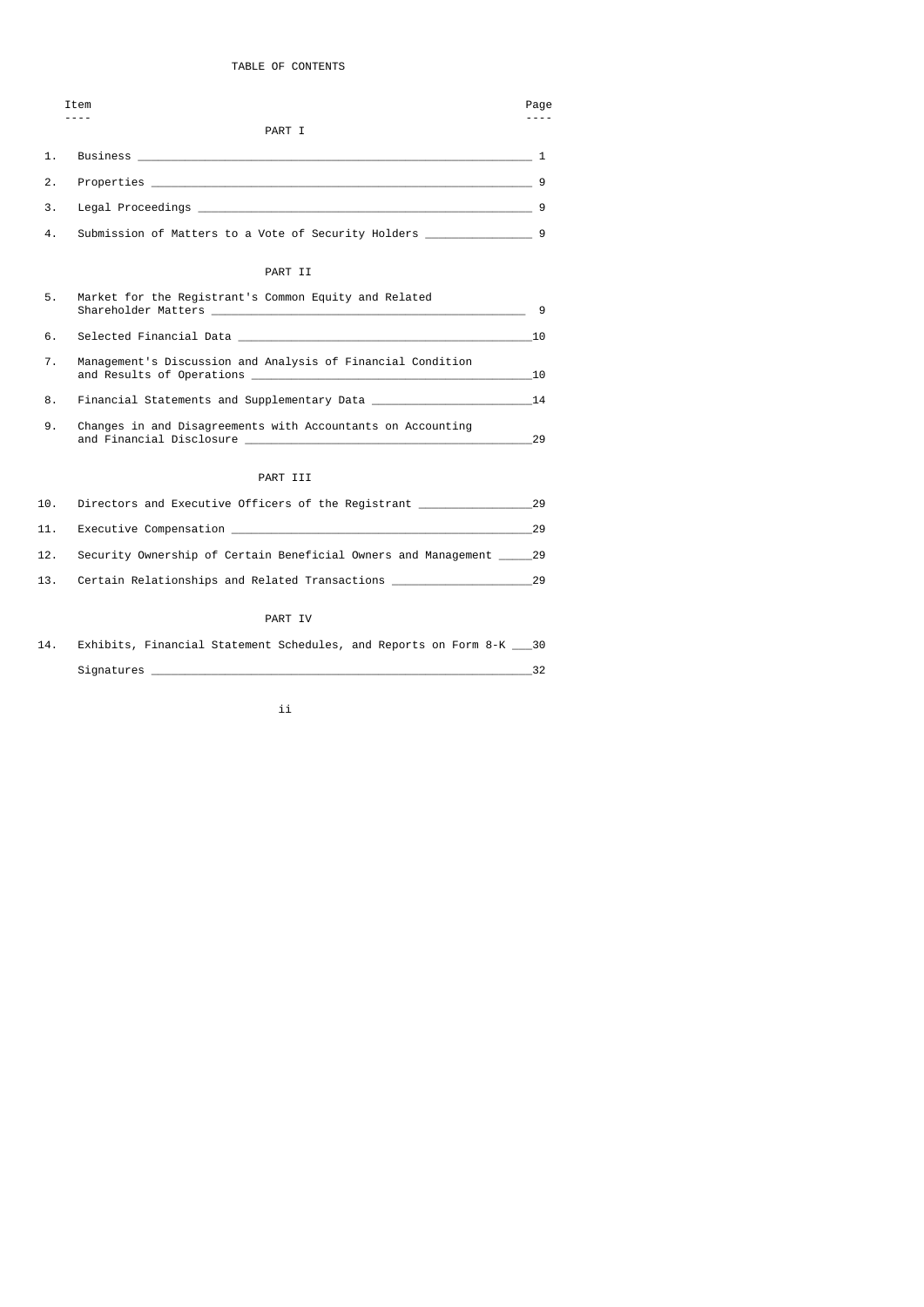# TABLE OF CONTENTS

|     | Item                                                                        | Page |
|-----|-----------------------------------------------------------------------------|------|
|     | PART I                                                                      |      |
| 1.  |                                                                             |      |
| 2.  |                                                                             |      |
| 3.  |                                                                             |      |
| 4.  | Submission of Matters to a Vote of Security Holders _____________________ 9 |      |
|     | PART II                                                                     |      |
| 5.  | Market for the Registrant's Common Equity and Related                       |      |
| 6.  |                                                                             |      |
| 7.  | Management's Discussion and Analysis of Financial Condition                 |      |
| 8.  |                                                                             |      |
| 9.  | Changes in and Disagreements with Accountants on Accounting                 | 29   |
|     | PART III                                                                    |      |
| 10. | Directors and Executive Officers of the Reqistrant 29                       |      |
| 11. | Executive Compensation 29                                                   |      |
| 12. | Security Ownership of Certain Beneficial Owners and Management ______ 29    |      |
|     |                                                                             |      |

 14. Exhibits, Financial Statement Schedules, and Reports on Form 8-K \_\_\_30 Signatures \_\_\_\_\_\_\_\_\_\_\_\_\_\_\_\_\_\_\_\_\_\_\_\_\_\_\_\_\_\_\_\_\_\_\_\_\_\_\_\_\_\_\_\_\_\_\_\_\_\_\_\_\_\_\_\_\_32

ii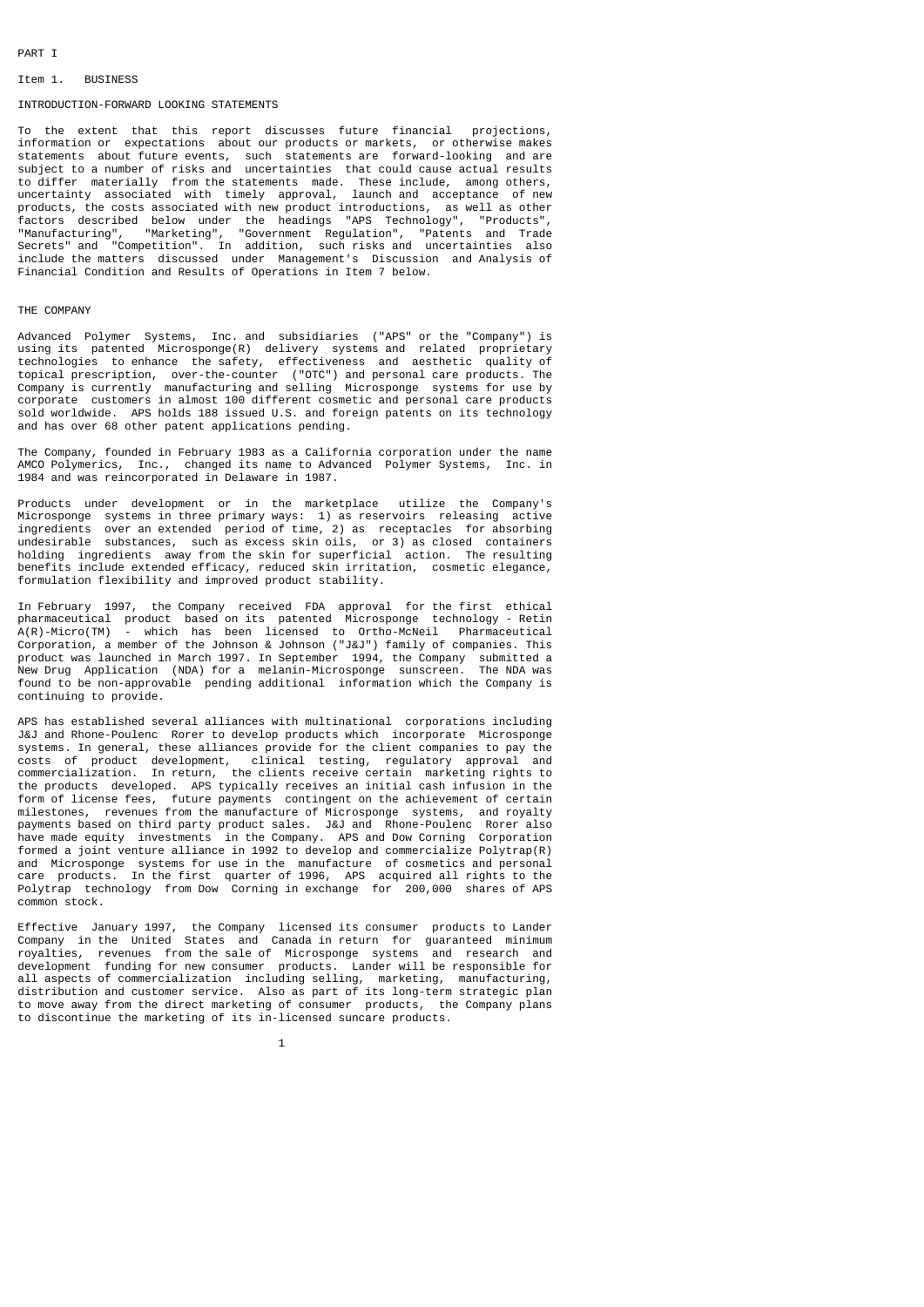# PART I

# Item 1. BUSINESS

# INTRODUCTION-FORWARD LOOKING STATEMENTS

To the extent that this report discusses future financial projections, information or expectations about our products or markets, or otherwise makes statements about future events, such statements are forward-looking and are subject to a number of risks and uncertainties that could cause actual results to differ materially from the statements made. These include, among others, uncertainty associated with timely approval, launch and acceptance of new products, the costs associated with new product introductions, as well as other factors described below under the headings "APS Technology", "Products", "Manufacturing", "Marketing", "Government Regulation", "Patents and Trade Secrets" and "Competition". In addition, such risks and uncertainties also include the matters discussed under Management's Discussion and Analysis of Financial Condition and Results of Operations in Item 7 below.

# THE COMPANY

Advanced Polymer Systems, Inc. and subsidiaries ("APS" or the "Company") is using its patented Microsponge(R) delivery systems and related proprietary technologies to enhance the safety, effectiveness and aesthetic quality of topical prescription, over-the-counter ("OTC") and personal care products. The Company is currently manufacturing and selling Microsponge systems for use by corporate customers in almost 100 different cosmetic and personal care products sold worldwide. APS holds 188 issued U.S. and foreign patents on its technology and has over 68 other patent applications pending.

The Company, founded in February 1983 as a California corporation under the name AMCO Polymerics, Inc., changed its name to Advanced Polymer Systems, Inc. in 1984 and was reincorporated in Delaware in 1987.

Products under development or in the marketplace utilize the Company's Microsponge systems in three primary ways: 1) as reservoirs releasing active ingredients over an extended period of time, 2) as receptacles for absorbing undesirable substances, such as excess skin oils, or 3) as closed containers holding ingredients away from the skin for superficial action. The resulting benefits include extended efficacy, reduced skin irritation, cosmetic elegance, formulation flexibility and improved product stability.

In February 1997, the Company received FDA approval for the first ethical pharmaceutical product based on its patented Microsponge technology - Retin<br>A(R)-Micro(TM) - which has been licensed to Ortho-McNeil Pharmaceutical - which has been licensed to Ortho-McNeil Pharmaceutical Corporation, a member of the Johnson & Johnson ("J&J") family of companies. This product was launched in March 1997. In September 1994, the Company submitted a New Drug Application (NDA) for a melanin-Microsponge sunscreen. The NDA was found to be non-approvable pending additional information which the Company is continuing to provide.

APS has established several alliances with multinational corporations including J&J and Rhone-Poulenc Rorer to develop products which incorporate Microsponge systems. In general, these alliances provide for the client companies to pay the costs of product development, clinical testing, regulatory approval and commercialization. In return, the clients receive certain marketing rights to the products developed. APS typically receives an initial cash infusion in the form of license fees, future payments contingent on the achievement of certain milestones, revenues from the manufacture of Microsponge systems, and royalty payments based on third party product sales. J&J and Rhone-Poulenc Rorer also have made equity investments in the Company. APS and Dow Corning Corporation formed a joint venture alliance in 1992 to develop and commercialize Polytrap(R) and Microsponge systems for use in the manufacture of cosmetics and personal care products. In the first quarter of 1996, APS acquired all rights to the Polytrap technology from Dow Corning in exchange for 200,000 shares of APS common stock.

Effective January 1997, the Company licensed its consumer products to Lander Company in the United States and Canada in return for guaranteed minimum royalties, revenues from the sale of Microsponge systems and research and development funding for new consumer products. Lander will be responsible for all aspects of commercialization including selling, marketing, manufacturing, distribution and customer service. Also as part of its long-term strategic plan to move away from the direct marketing of consumer products, the Company plans to discontinue the marketing of its in-licensed suncare products.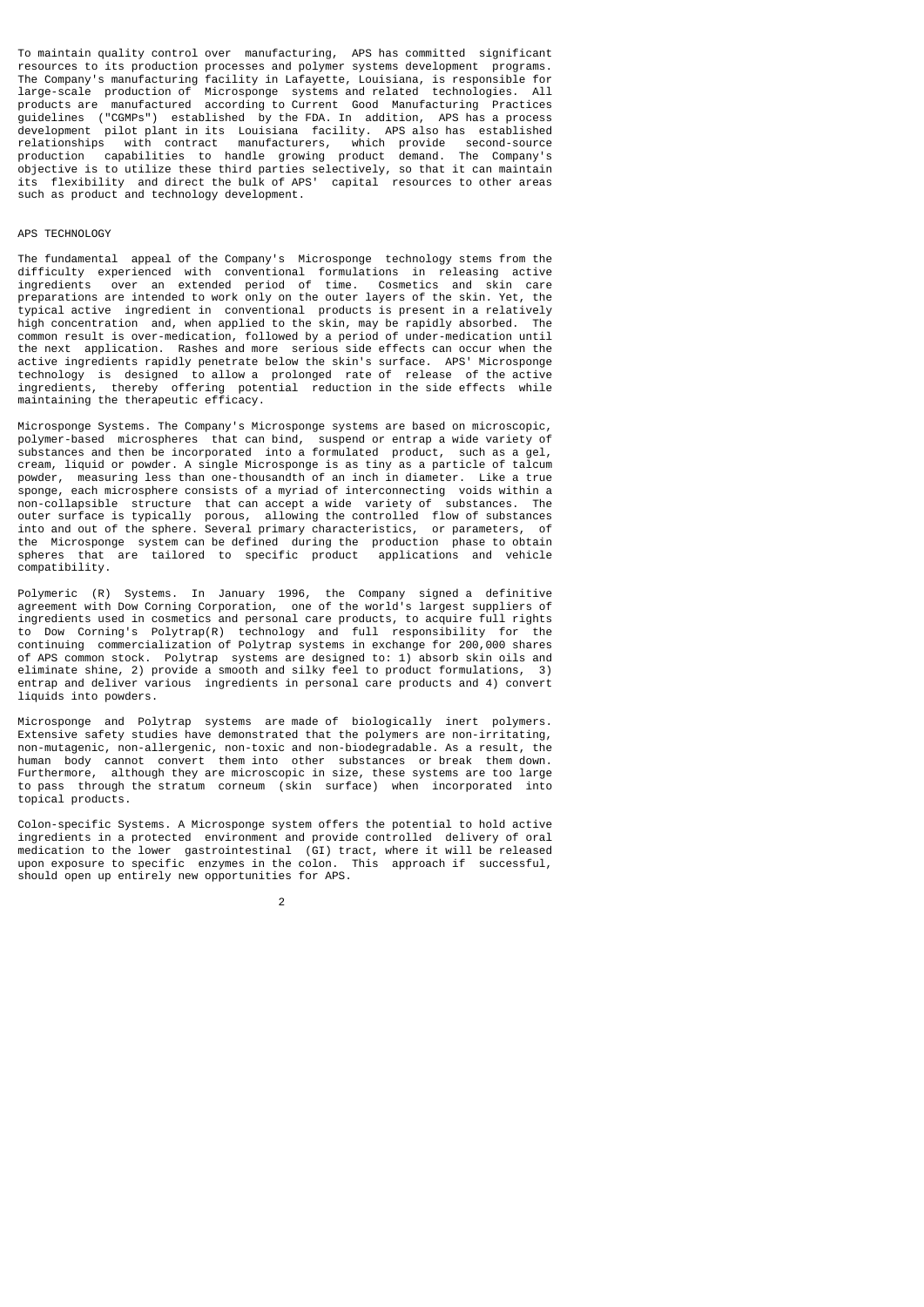To maintain quality control over manufacturing, APS has committed significant resources to its production processes and polymer systems development programs. The Company's manufacturing facility in Lafayette, Louisiana, is responsible for large-scale production of Microsponge systems and related technologies. All products are manufactured according to Current Good Manufacturing Practices guidelines ("CGMPs") established by the FDA. In addition, APS has a process development pilot plant in its Louisiana facility. APS also has established relationships with contract manufacturers, which provide second-source production capabilities to handle growing product demand. The Company's objective is to utilize these third parties selectively, so that it can maintain its flexibility and direct the bulk of APS' capital resources to other areas such as product and technology development.

# APS TECHNOLOGY

The fundamental appeal of the Company's Microsponge technology stems from the difficulty experienced with conventional formulations in releasing active ingredients over an extended period of time. Cosmetics and skin care preparations are intended to work only on the outer layers of the skin. Yet, the typical active ingredient in conventional products is present in a relatively high concentration and, when applied to the skin, may be rapidly absorbed. The common result is over-medication, followed by a period of under-medication until the next application. Rashes and more serious side effects can occur when the active ingredients rapidly penetrate below the skin's surface. APS' Microsponge technology is designed to allow a prolonged rate of release of the active ingredients, thereby offering potential reduction in the side effects while maintaining the therapeutic efficacy.

Microsponge Systems. The Company's Microsponge systems are based on microscopic, polymer-based microspheres that can bind, suspend or entrap a wide variety of substances and then be incorporated into a formulated product, such as a gel, cream, liquid or powder. A single Microsponge is as tiny as a particle of talcum powder, measuring less than one-thousandth of an inch in diameter. Like a true sponge, each microsphere consists of a myriad of interconnecting voids within a non-collapsible structure that can accept a wide variety of substances. The outer surface is typically porous, allowing the controlled flow of substances into and out of the sphere. Several primary characteristics, or parameters, of the Microsponge system can be defined during the production phase to obtain spheres that are tailored to specific product applications and vehicle compatibility.

Polymeric (R) Systems. In January 1996, the Company signed a definitive agreement with Dow Corning Corporation, one of the world's largest suppliers of ingredients used in cosmetics and personal care products, to acquire full rights to Dow Corning's Polytrap(R) technology and full responsibility for the continuing commercialization of Polytrap systems in exchange for 200,000 shares of APS common stock. Polytrap systems are designed to: 1) absorb skin oils and eliminate shine, 2) provide a smooth and silky feel to product formulations, 3) entrap and deliver various ingredients in personal care products and 4) convert liquids into powders.

Microsponge and Polytrap systems are made of biologically inert polymers. Extensive safety studies have demonstrated that the polymers are non-irritating, non-mutagenic, non-allergenic, non-toxic and non-biodegradable. As a result, the human body cannot convert them into other substances or break them down. Furthermore, although they are microscopic in size, these systems are too large to pass through the stratum corneum (skin surface) when incorporated into topical products.

Colon-specific Systems. A Microsponge system offers the potential to hold active ingredients in a protected environment and provide controlled delivery of oral medication to the lower gastrointestinal (GI) tract, where it will be released upon exposure to specific enzymes in the colon. This approach if successful, should open up entirely new opportunities for APS.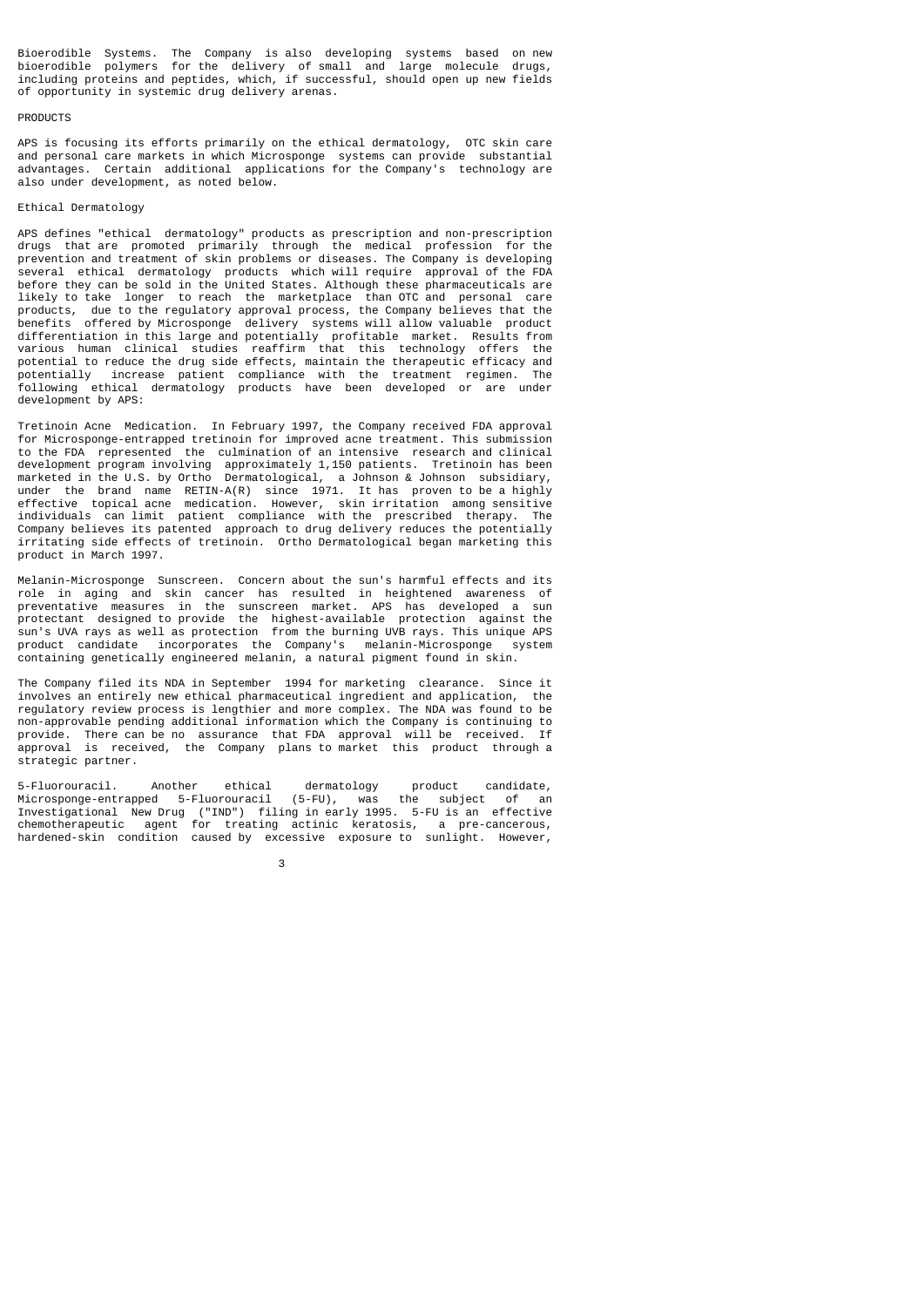Bioerodible Systems. The Company is also developing systems based on new bioerodible polymers for the delivery of small and large molecule drugs, including proteins and peptides, which, if successful, should open up new fields of opportunity in systemic drug delivery arenas.

#### **PRODUCTS**

APS is focusing its efforts primarily on the ethical dermatology, OTC skin care and personal care markets in which Microsponge systems can provide substantial advantages. Certain additional applications for the Company's technology are also under development, as noted below.

# Ethical Dermatology

APS defines "ethical dermatology" products as prescription and non-prescription drugs that are promoted primarily through the medical profession for the prevention and treatment of skin problems or diseases. The Company is developing several ethical dermatology products which will require approval of the FDA before they can be sold in the United States. Although these pharmaceuticals are likely to take longer to reach the marketplace than OTC and personal care products, due to the regulatory approval process, the Company believes that the benefits offered by Microsponge delivery systems will allow valuable product differentiation in this large and potentially profitable market. Results from various human clinical studies reaffirm that this technology offers the potential to reduce the drug side effects, maintain the therapeutic efficacy and potentially increase patient compliance with the treatment regimen. The following ethical dermatology products have been developed or are under development by APS:

Tretinoin Acne Medication. In February 1997, the Company received FDA approval for Microsponge-entrapped tretinoin for improved acne treatment. This submission to the FDA represented the culmination of an intensive research and clinical development program involving approximately 1,150 patients. Tretinoin has been marketed in the U.S. by Ortho Dermatological, a Johnson & Johnson subsidiary, under the brand name RETIN-A(R) since 1971. It has proven to be a highly effective topical acne medication. However, skin irritation among sensitive individuals can limit patient compliance with the prescribed therapy. The Company believes its patented approach to drug delivery reduces the potentially irritating side effects of tretinoin. Ortho Dermatological began marketing this product in March 1997.

Melanin-Microsponge Sunscreen. Concern about the sun's harmful effects and its role in aging and skin cancer has resulted in heightened awareness of preventative measures in the sunscreen market. APS has developed a sun protectant designed to provide the highest-available protection against the sun's UVA rays as well as protection from the burning UVB rays. This unique APS<br>product candidate incorporates the Company's melanin-Microsponge system product candidate incorporates the Company's melanin-Microsponge containing genetically engineered melanin, a natural pigment found in skin.

The Company filed its NDA in September 1994 for marketing clearance. Since it involves an entirely new ethical pharmaceutical ingredient and application, the regulatory review process is lengthier and more complex. The NDA was found to be non-approvable pending additional information which the Company is continuing to provide. There can be no assurance that FDA approval will be received. If approval is received, the Company plans to market this product through a strategic partner.

5-Fluorouracil. Another ethical dermatology product candidate, Microsponge-entrapped 5-Fluorouracil (5-FU), was the subject of an Investigational New Drug ("IND") filing in early 1995. 5-FU is an effective chemotherapeutic agent for treating actinic keratosis, a pre-cancerous, hardened-skin condition caused by excessive exposure to sunlight. However,

 $\sim$  3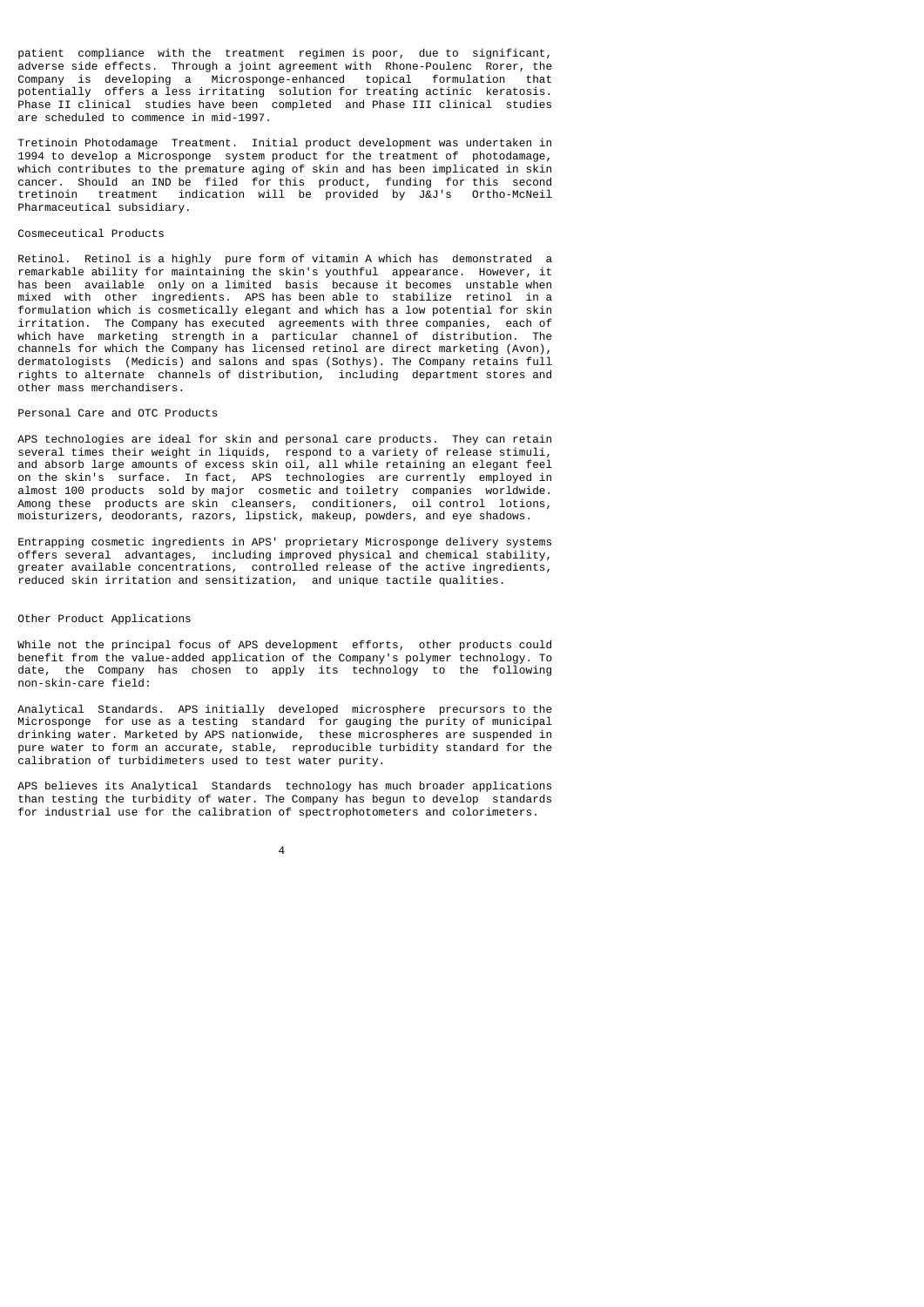patient compliance with the treatment regimen is poor, due to significant, adverse side effects. Through a joint agreement with Rhone-Poulenc Rorer, the Company is developing a Microsponge-enhanced topical formulation that potentially offers a less irritating solution for treating actinic keratosis. Phase II clinical studies have been completed and Phase III clinical studies are scheduled to commence in mid-1997.

Tretinoin Photodamage Treatment. Initial product development was undertaken in 1994 to develop a Microsponge system product for the treatment of photodamage, which contributes to the premature aging of skin and has been implicated in skin cancer. Should an IND be filed for this product, funding for this second tretinoin treatment indication will be provided by J&J's Ortho-McNeil Pharmaceutical subsidiary.

#### Cosmeceutical Products

Retinol. Retinol is a highly pure form of vitamin A which has demonstrated a remarkable ability for maintaining the skin's youthful appearance. However, it has been available only on a limited basis because it becomes unstable when mixed with other ingredients. APS has been able to stabilize retinol in a formulation which is cosmetically elegant and which has a low potential for skin irritation. The Company has executed agreements with three companies, each of which have marketing strength in a particular channel of distribution. The channels for which the Company has licensed retinol are direct marketing (Avon), dermatologists (Medicis) and salons and spas (Sothys). The Company retains full rights to alternate channels of distribution, including department stores and other mass merchandisers.

# Personal Care and OTC Products

APS technologies are ideal for skin and personal care products. They can retain several times their weight in liquids, respond to a variety of release stimuli, and absorb large amounts of excess skin oil, all while retaining an elegant feel on the skin's surface. In fact, APS technologies are currently employed in almost 100 products sold by major cosmetic and toiletry companies worldwide. Among these products are skin cleansers, conditioners, oil control lotions, moisturizers, deodorants, razors, lipstick, makeup, powders, and eye shadows.

Entrapping cosmetic ingredients in APS' proprietary Microsponge delivery systems offers several advantages, including improved physical and chemical stability, greater available concentrations, controlled release of the active ingredients, reduced skin irritation and sensitization, and unique tactile qualities.

# Other Product Applications

While not the principal focus of APS development efforts, other products could benefit from the value-added application of the Company's polymer technology. To date, the Company has chosen to apply its technology to the following non-skin-care field:

Analytical Standards. APS initially developed microsphere precursors to the Microsponge for use as a testing standard for gauging the purity of municipal drinking water. Marketed by APS nationwide, these microspheres are suspended in pure water to form an accurate, stable, reproducible turbidity standard for the calibration of turbidimeters used to test water purity.

APS believes its Analytical Standards technology has much broader applications than testing the turbidity of water. The Company has begun to develop standards for industrial use for the calibration of spectrophotometers and colorimeters.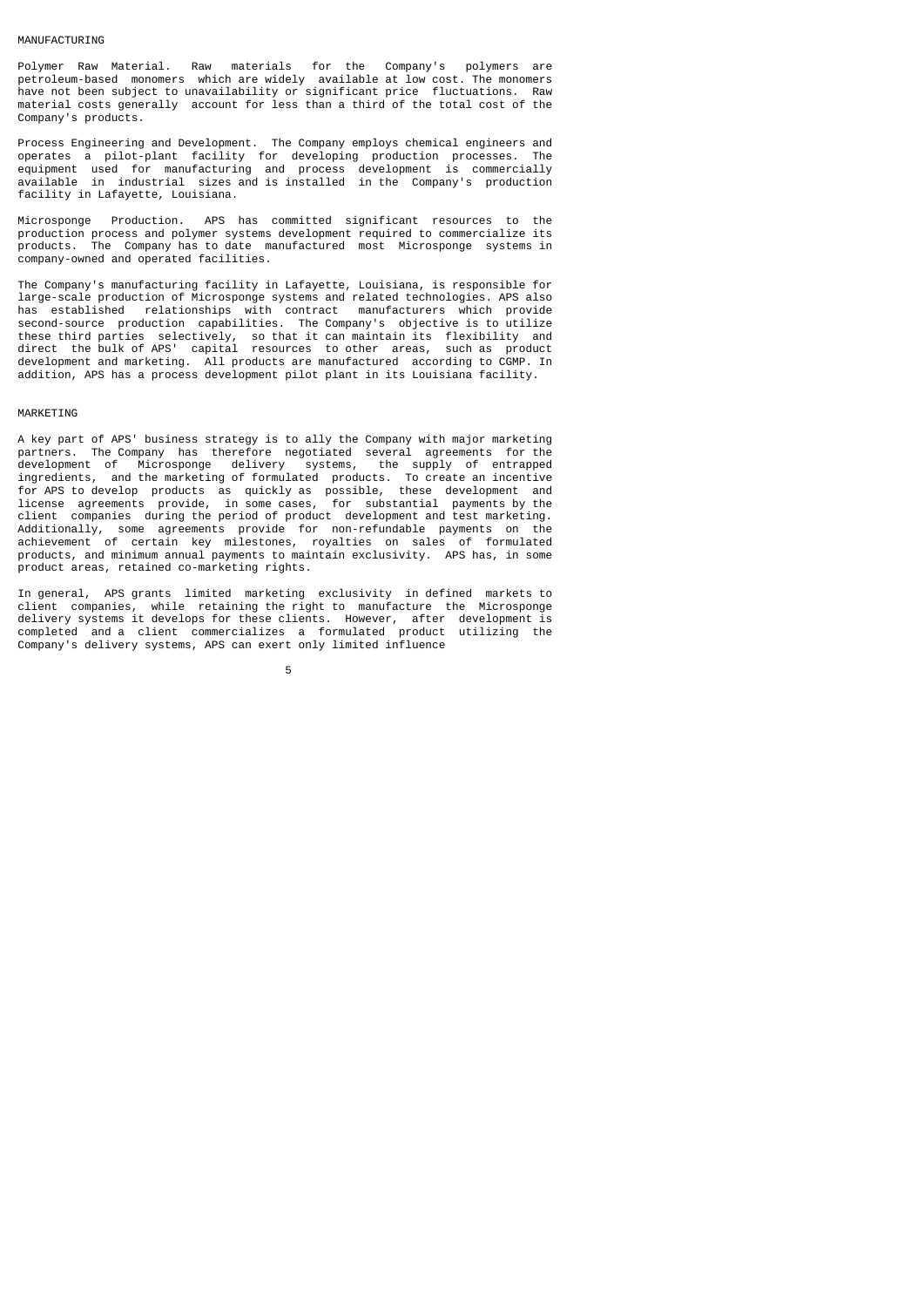#### MANUFACTURING

Polymer Raw Material. Raw materials for the Company's polymers are petroleum-based monomers which are widely available at low cost. The monomers have not been subject to unavailability or significant price fluctuations. Raw material costs generally account for less than a third of the total cost of the Company's products.

Process Engineering and Development. The Company employs chemical engineers and operates a pilot-plant facility for developing production processes. The equipment used for manufacturing and process development is commercially available in industrial sizes and is installed in the Company's production facility in Lafayette, Louisiana.

Microsponge Production. APS has committed significant resources to the production process and polymer systems development required to commercialize its products. The Company has to date manufactured most Microsponge systems in company-owned and operated facilities.

The Company's manufacturing facility in Lafayette, Louisiana, is responsible for large-scale production of Microsponge systems and related technologies. APS also has established relationships with contract manufacturers which provide second-source production capabilities. The Company's objective is to utilize these third parties selectively, so that it can maintain its flexibility and direct the bulk of APS' capital resources to other areas, such as product development and marketing. All products are manufactured according to CGMP. In addition, APS has a process development pilot plant in its Louisiana facility.

#### MARKETING

A key part of APS' business strategy is to ally the Company with major marketing partners. The Company has therefore negotiated several agreements for the development of Microsponge delivery systems, the supply of entrapped development of Microsponge delivery systems, ingredients, and the marketing of formulated products. To create an incentive for APS to develop products as quickly as possible, these development and license agreements provide, in some cases, for substantial payments by the client companies during the period of product development and test marketing. Additionally, some agreements provide for non-refundable payments on the achievement of certain key milestones, royalties on sales of formulated products, and minimum annual payments to maintain exclusivity. APS has, in some product areas, retained co-marketing rights.

In general, APS grants limited marketing exclusivity in defined markets to client companies, while retaining the right to manufacture the Microsponge delivery systems it develops for these clients. However, after development is completed and a client commercializes a formulated product utilizing the Company's delivery systems, APS can exert only limited influence

the contract of the contract of the contract of the contract of the contract of the contract of the contract o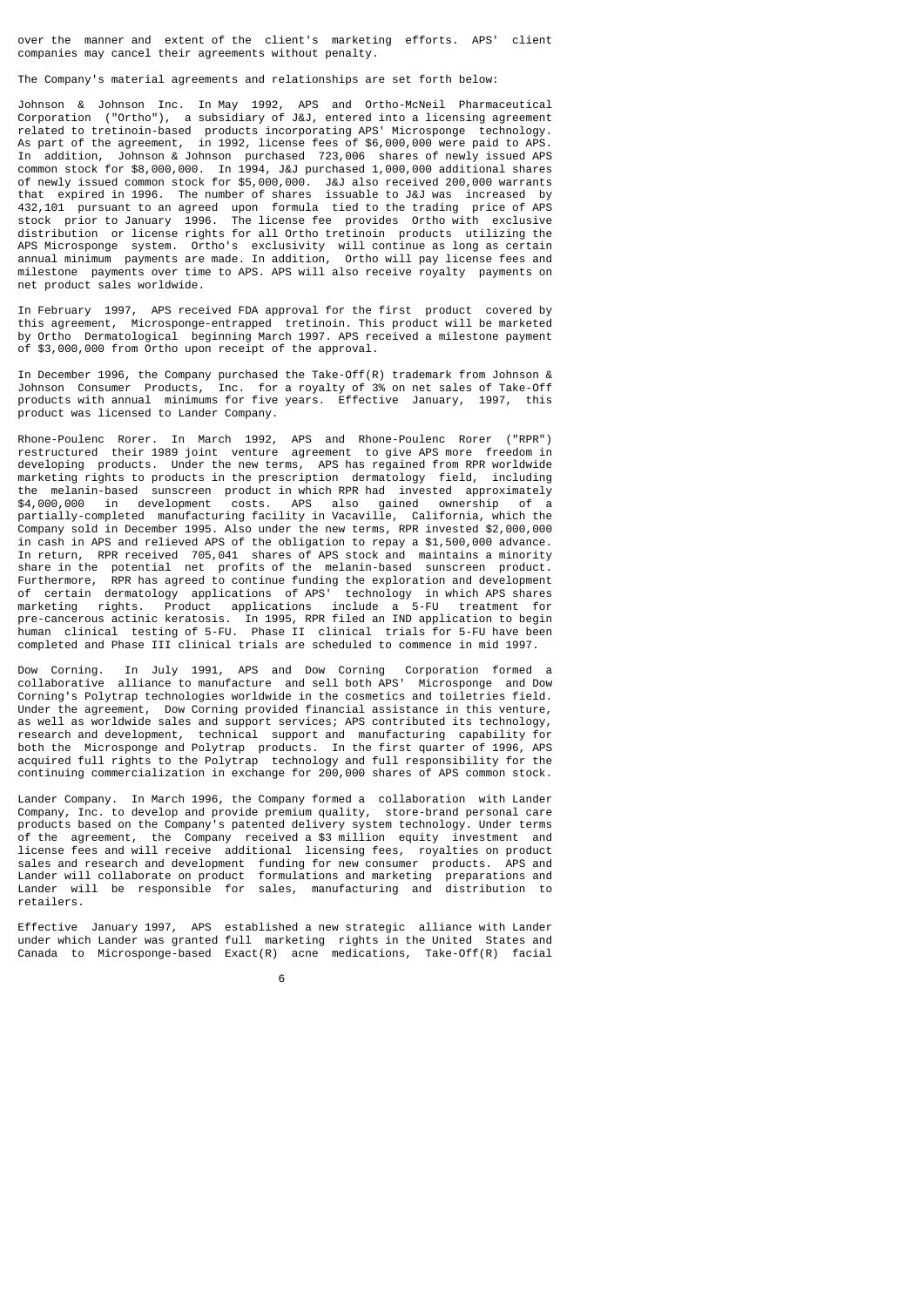over the manner and extent of the client's marketing efforts. APS' client companies may cancel their agreements without penalty.

The Company's material agreements and relationships are set forth below:

Johnson & Johnson Inc. In May 1992, APS and Ortho-McNeil Pharmaceutical Corporation ("Ortho"), a subsidiary of J&J, entered into a licensing agreement related to tretinoin-based products incorporating APS' Microsponge technology. As part of the agreement, in 1992, license fees of \$6,000,000 were paid to APS. In addition, Johnson & Johnson purchased 723,006 shares of newly issued APS common stock for \$8,000,000. In 1994, J&J purchased 1,000,000 additional shares of newly issued common stock for \$5,000,000. J&J also received 200,000 warrants that expired in 1996. The number of shares issuable to J&J was increased by 432,101 pursuant to an agreed upon formula tied to the trading price of APS stock prior to January 1996. The license fee provides Ortho with exclusive distribution or license rights for all Ortho tretinoin products utilizing the APS Microsponge system. Ortho's exclusivity will continue as long as certain annual minimum payments are made. In addition, Ortho will pay license fees and milestone payments over time to APS. APS will also receive royalty payments on net product sales worldwide.

In February 1997, APS received FDA approval for the first product covered by this agreement, Microsponge-entrapped tretinoin. This product will be marketed by Ortho Dermatological beginning March 1997. APS received a milestone payment of \$3,000,000 from Ortho upon receipt of the approval.

In December 1996, the Company purchased the Take-Off(R) trademark from Johnson & Johnson Consumer Products, Inc. for a royalty of 3% on net sales of Take-Off products with annual minimums for five years. Effective January, 1997, this product was licensed to Lander Company.

Rhone-Poulenc Rorer. In March 1992, APS and Rhone-Poulenc Rorer ("RPR") restructured their 1989 joint venture agreement to give APS more freedom in developing products. Under the new terms, APS has regained from RPR worldwide marketing rights to products in the prescription dermatology field, including the melanin-based sunscreen product in which RPR had invested approximately<br>\$4,000,000 in development costs. APS also gained ownership of a \$4,000,000 in development costs. APS also gained ownership of a partially-completed manufacturing facility in Vacaville, California, which the Company sold in December 1995. Also under the new terms, RPR invested \$2,000,000 in cash in APS and relieved APS of the obligation to repay a \$1,500,000 advance. In return, RPR received 705,041 shares of APS stock and maintains a minority share in the potential net profits of the melanin-based sunscreen product. Furthermore, RPR has agreed to continue funding the exploration and development of certain dermatology applications of APS' technology in which APS shares marketing rights. Product applications include a 5-FU treatment for pre-cancerous actinic keratosis. In 1995, RPR filed an IND application to begin human clinical testing of 5-FU. Phase II clinical trials for 5-FU have been completed and Phase III clinical trials are scheduled to commence in mid 1997.

Dow Corning. In July 1991, APS and Dow Corning Corporation formed a collaborative alliance to manufacture and sell both APS' Microsponge and Dow Corning's Polytrap technologies worldwide in the cosmetics and toiletries field. Under the agreement, Dow Corning provided financial assistance in this venture, as well as worldwide sales and support services; APS contributed its technology, research and development, technical support and manufacturing capability for both the Microsponge and Polytrap products. In the first quarter of 1996, APS acquired full rights to the Polytrap technology and full responsibility for the continuing commercialization in exchange for 200,000 shares of APS common stock.

Lander Company. In March 1996, the Company formed a collaboration with Lander Company, Inc. to develop and provide premium quality, store-brand personal care products based on the Company's patented delivery system technology. Under terms of the agreement, the Company received a \$3 million equity investment and license fees and will receive additional licensing fees, royalties on product sales and research and development funding for new consumer products. APS and Lander will collaborate on product formulations and marketing preparations and Lander will be responsible for sales, manufacturing and distribution to retailers.

Effective January 1997, APS established a new strategic alliance with Lander under which Lander was granted full marketing rights in the United States and Canada to Microsponge-based Exact(R) acne medications, Take-Off(R) facial

 $\sim$  6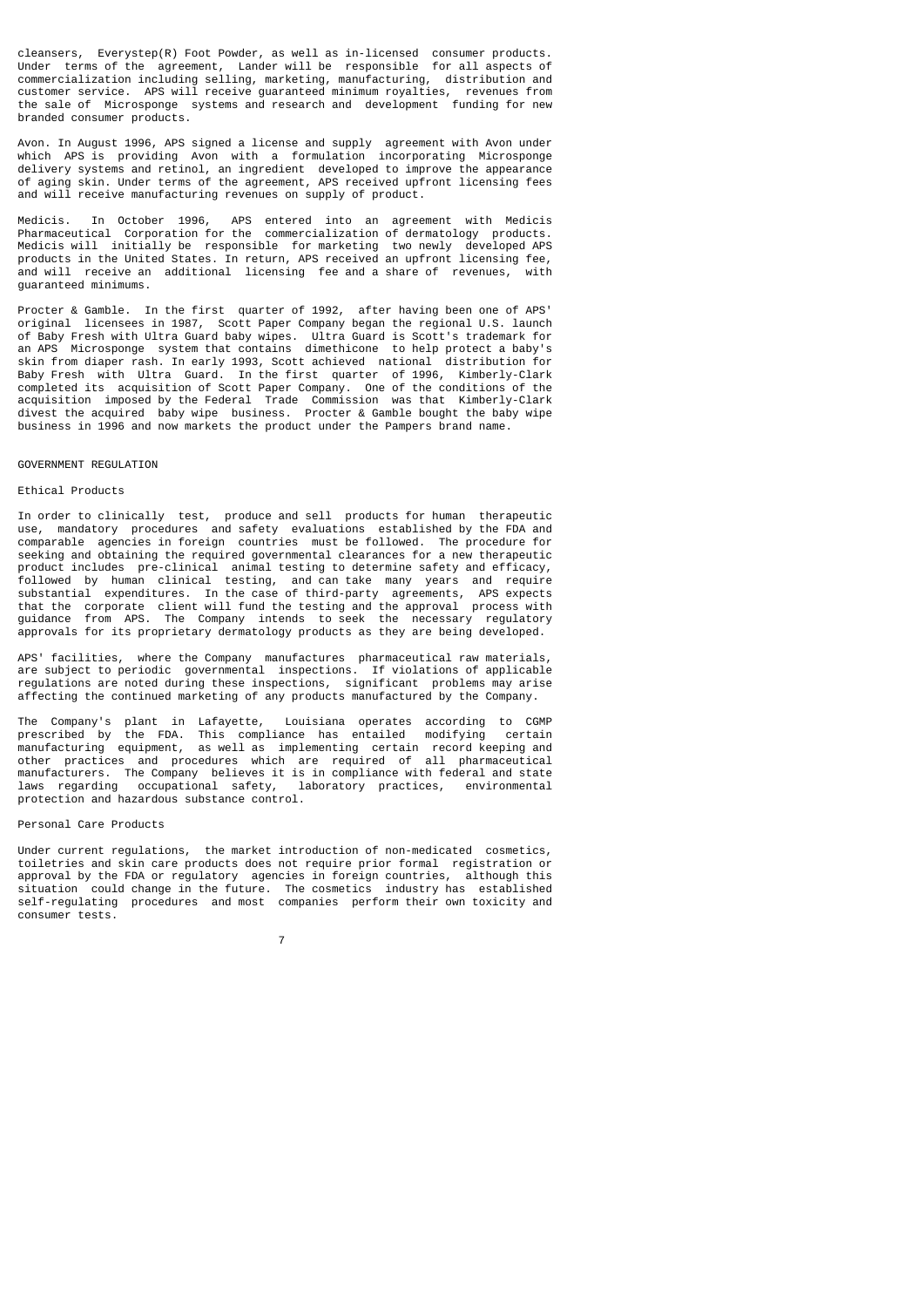cleansers, Everystep(R) Foot Powder, as well as in-licensed consumer products. Under terms of the agreement, Lander will be responsible for all aspects of commercialization including selling, marketing, manufacturing, distribution and customer service. APS will receive guaranteed minimum royalties, revenues from the sale of Microsponge systems and research and development funding for new branded consumer products.

Avon. In August 1996, APS signed a license and supply agreement with Avon under which APS is providing Avon with a formulation incorporating Microsponge delivery systems and retinol, an ingredient developed to improve the appearance of aging skin. Under terms of the agreement, APS received upfront licensing fees and will receive manufacturing revenues on supply of product.

Medicis. In October 1996, APS entered into an agreement with Medicis Pharmaceutical Corporation for the commercialization of dermatology products. Medicis will initially be responsible for marketing two newly developed APS products in the United States. In return, APS received an upfront licensing fee, and will receive an additional licensing fee and a share of revenues, with guaranteed minimums.

Procter & Gamble. In the first quarter of 1992, after having been one of APS' original licensees in 1987, Scott Paper Company began the regional U.S. launch of Baby Fresh with Ultra Guard baby wipes. Ultra Guard is Scott's trademark for an APS Microsponge system that contains dimethicone to help protect a baby's skin from diaper rash. In early 1993, Scott achieved national distribution for Baby Fresh with Ultra Guard. In the first quarter of 1996, Kimberly-Clark completed its acquisition of Scott Paper Company. One of the conditions of the acquisition imposed by the Federal Trade Commission was that Kimberly-Clark divest the acquired baby wipe business. Procter & Gamble bought the baby wipe business in 1996 and now markets the product under the Pampers brand name.

#### GOVERNMENT REGULATION

#### Ethical Products

In order to clinically test, produce and sell products for human therapeutic use, mandatory procedures and safety evaluations established by the FDA and comparable agencies in foreign countries must be followed. The procedure for seeking and obtaining the required governmental clearances for a new therapeutic product includes pre-clinical animal testing to determine safety and efficacy, followed by human clinical testing, and can take many years and require substantial expenditures. In the case of third-party agreements, APS expects that the corporate client will fund the testing and the approval process with guidance from APS. The Company intends to seek the necessary regulatory approvals for its proprietary dermatology products as they are being developed.

APS' facilities, where the Company manufactures pharmaceutical raw materials, are subject to periodic governmental inspections. If violations of applicable regulations are noted during these inspections, significant problems may arise affecting the continued marketing of any products manufactured by the Company.

The Company's plant in Lafayette, Louisiana operates according to CGMP prescribed by the FDA. This compliance has entailed modifying certain manufacturing equipment, as well as implementing certain record keeping and other practices and procedures which are required of all pharmaceutical manufacturers. The Company believes it is in compliance with federal and state laws regarding occupational safety, laboratory practices, environmental protection and hazardous substance control.

# Personal Care Products

Under current regulations, the market introduction of non-medicated cosmetics, toiletries and skin care products does not require prior formal registration or approval by the FDA or regulatory agencies in foreign countries, although this situation could change in the future. The cosmetics industry has established could change in the future. The cosmetics industry has established self-regulating procedures and most companies perform their own toxicity and consumer tests.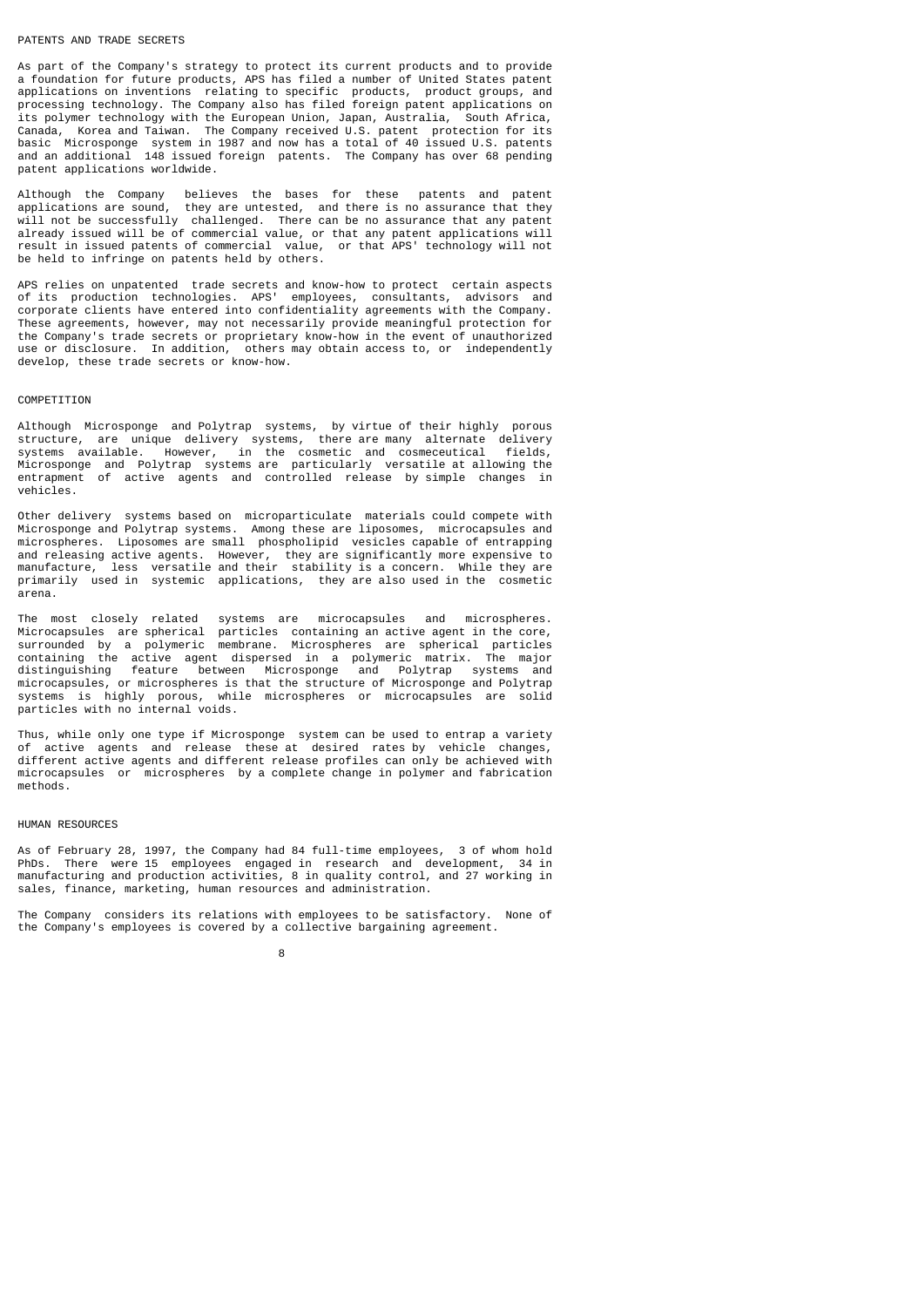# PATENTS AND TRADE SECRETS

As part of the Company's strategy to protect its current products and to provide a foundation for future products, APS has filed a number of United States patent applications on inventions relating to specific products, product groups, and processing technology. The Company also has filed foreign patent applications on its polymer technology with the European Union, Japan, Australia, South Africa, Korea and Taiwan. The Company received U.S. patent protection for its basic Microsponge system in 1987 and now has a total of 40 issued U.S. patents and an additional 148 issued foreign patents. The Company has over 68 pending patent applications worldwide.

Although the Company believes the bases for these patents and patent applications are sound, they are untested, and there is no assurance that they will not be successfully challenged. There can be no assurance that any patent already issued will be of commercial value, or that any patent applications will result in issued patents of commercial value, or that APS' technology will not be held to infringe on patents held by others.

APS relies on unpatented trade secrets and know-how to protect certain aspects of its production technologies. APS' employees, consultants, advisors and corporate clients have entered into confidentiality agreements with the Company. These agreements, however, may not necessarily provide meaningful protection for the Company's trade secrets or proprietary know-how in the event of unauthorized use or disclosure. In addition, others may obtain access to, or independently develop, these trade secrets or know-how.

#### **COMPETITION**

Although Microsponge and Polytrap systems, by virtue of their highly porous structure, are unique delivery systems, there are many alternate delivery in the cosmetic and cosmeceutical Microsponge and Polytrap systems are particularly versatile at allowing the entrapment of active agents and controlled release by simple changes in vehicles.

Other delivery systems based on microparticulate materials could compete with Microsponge and Polytrap systems. Among these are liposomes, microcapsules and microspheres. Liposomes are small phospholipid vesicles capable of entrapping and releasing active agents. However, they are significantly more expensive to manufacture, less versatile and their stability is a concern. While they are primarily used in systemic applications, they are also used in the cosmetic arena.

The most closely related systems are microcapsules and microspheres. Microcapsules are spherical particles containing an active agent in the core, surrounded by a polymeric membrane. Microspheres are spherical particles containing the active agent dispersed in a polymeric matrix. The major distinguishing feature between Microsponge and Polytrap systems and microcapsules, or microspheres is that the structure of Microsponge and Polytrap systems is highly porous, while microspheres or microcapsules are solid particles with no internal voids.

Thus, while only one type if Microsponge system can be used to entrap a variety of active agents and release these at desired rates by vehicle changes, different active agents and different release profiles can only be achieved with microcapsules or microspheres by a complete change in polymer and fabrication methods.

# HUMAN RESOURCES

As of February 28, 1997, the Company had 84 full-time employees, 3 of whom hold<br>PhDs There were 15 employees engaged in research and development 34 in There were 15  $employees$  engaged in research and development, manufacturing and production activities, 8 in quality control, and 27 working in sales, finance, marketing, human resources and administration.

The Company considers its relations with employees to be satisfactory. None of the Company's employees is covered by a collective bargaining agreement.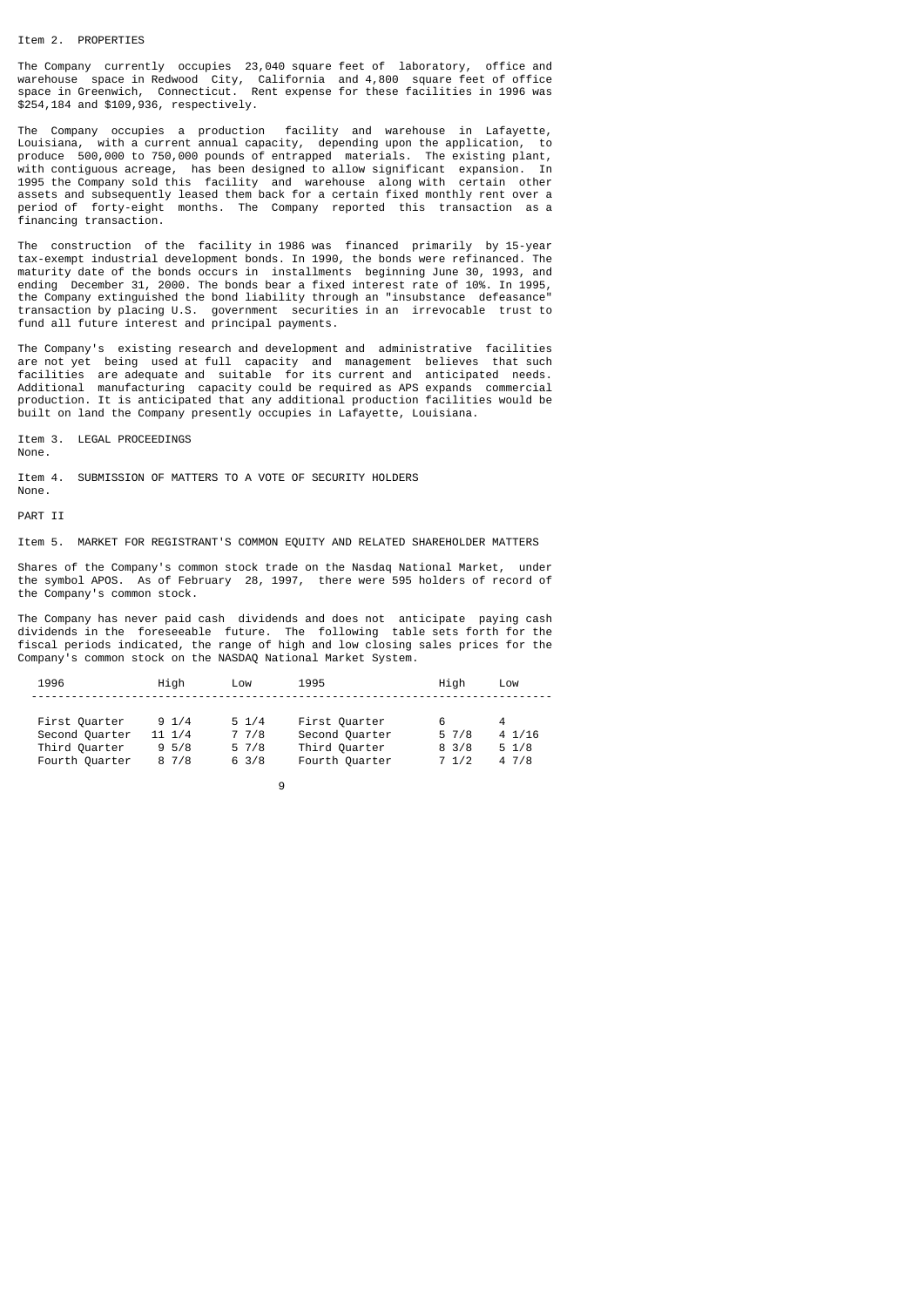#### Item 2. PROPERTIES

The Company currently occupies 23,040 square feet of laboratory, office and warehouse space in Redwood City, California and 4,800 square feet of office space in Greenwich, Connecticut. Rent expense for these facilities in 1996 was \$254,184 and \$109,936, respectively.

The Company occupies a production facility and warehouse in Lafayette,<br>Louisiana, with a current annual capacity, depending upon the application, to with a current annual capacity, depending upon the application, to produce 500,000 to 750,000 pounds of entrapped materials. The existing plant, with contiguous acreage, has been designed to allow significant expansion. In 1995 the Company sold this facility and warehouse along with certain other assets and subsequently leased them back for a certain fixed monthly rent over a period of forty-eight months. The Company reported this transaction as a financing transaction.

The construction of the facility in 1986 was financed primarily by 15-year tax-exempt industrial development bonds. In 1990, the bonds were refinanced. The maturity date of the bonds occurs in installments beginning June 30, 1993, and ending December 31, 2000. The bonds bear a fixed interest rate of 10%. In 1995, the Company extinguished the bond liability through an "insubstance defeasance" transaction by placing U.S. government securities in an irrevocable trust to fund all future interest and principal payments.

The Company's existing research and development and administrative facilities are not yet being used at full capacity and management believes that such facilities are adequate and suitable for its current and anticipated needs. Additional manufacturing capacity could be required as APS expands commercial production. It is anticipated that any additional production facilities would be built on land the Company presently occupies in Lafayette, Louisiana.

Item 3. LEGAL PROCEEDINGS

None.

Item 4. SUBMISSION OF MATTERS TO A VOTE OF SECURITY HOLDERS

None. PART TT

Item 5. MARKET FOR REGISTRANT'S COMMON EQUITY AND RELATED SHAREHOLDER MATTERS

Shares of the Company's common stock trade on the Nasdaq National Market, under the symbol APOS. As of February 28, 1997, there were 595 holders of record of the Company's common stock.

The Company has never paid cash dividends and does not anticipate paying cash dividends in the foreseeable future. The following table sets forth for the fiscal periods indicated, the range of high and low closing sales prices for the Company's common stock on the NASDAQ National Market System.

| 1996                                                               | Hiah                                           | Low                                                           | 1995                                                               | Hiah                            | Low                                         |
|--------------------------------------------------------------------|------------------------------------------------|---------------------------------------------------------------|--------------------------------------------------------------------|---------------------------------|---------------------------------------------|
| First Quarter<br>Second Quarter<br>Third Quarter<br>Fourth Quarter | $9 \frac{1}{4}$<br>$11 \t1/4$<br>9.5/8<br>87/8 | $5 \frac{1}{4}$<br>77/8<br>$5 \frac{7}{8}$<br>$6 \frac{3}{8}$ | First Quarter<br>Second Quarter<br>Third Quarter<br>Fourth Quarter | 57/8<br>$8 \frac{3}{8}$<br>71/2 | $4 \frac{1}{16}$<br>$5 \frac{1}{8}$<br>47/8 |
|                                                                    |                                                |                                                               |                                                                    |                                 |                                             |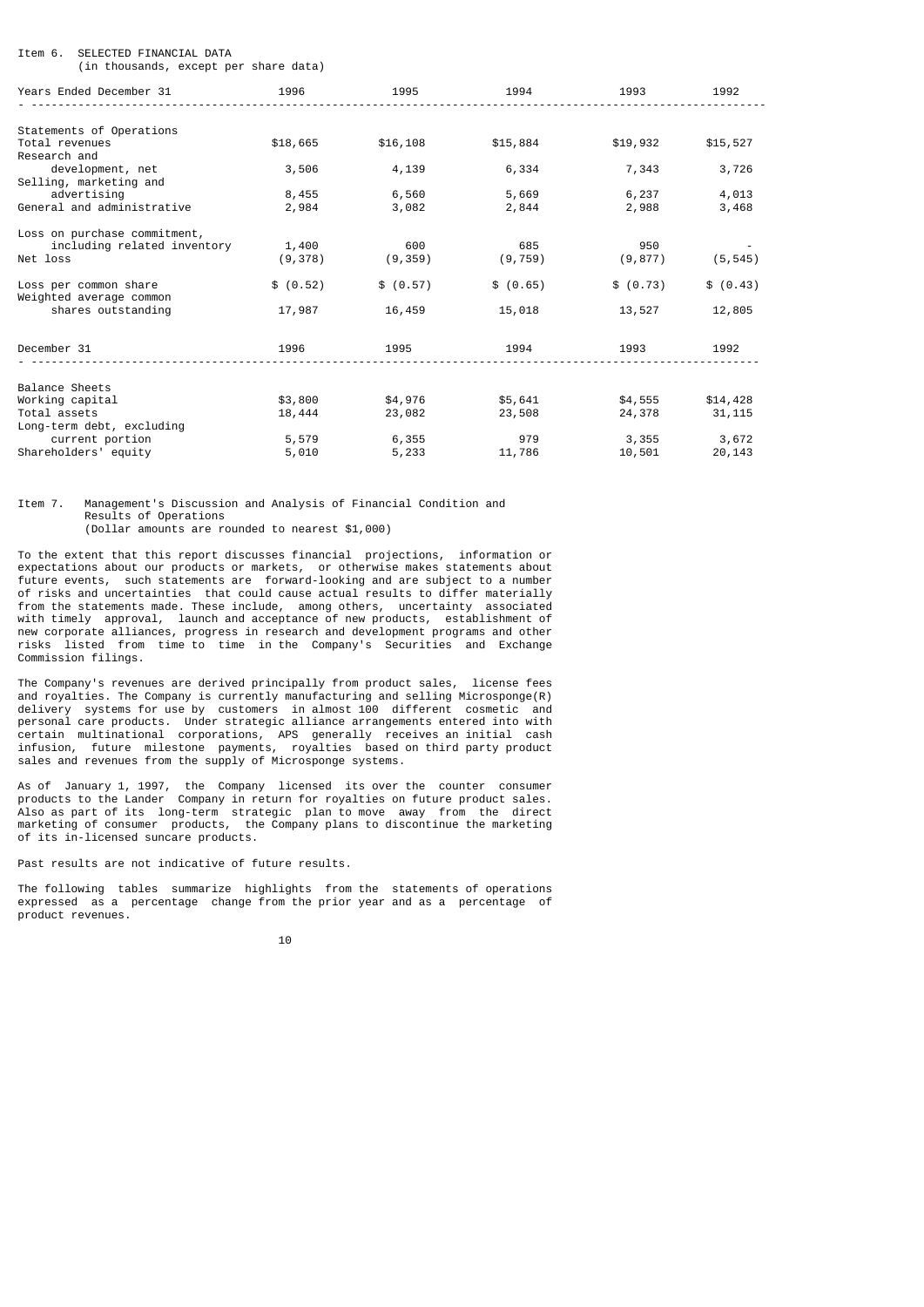# Item 6. SELECTED FINANCIAL DATA

(in thousands, except per share data)

| Years Ended December 31                                      | 1996              | 1995              | 1994              | 1993              | 1992                |
|--------------------------------------------------------------|-------------------|-------------------|-------------------|-------------------|---------------------|
|                                                              |                   |                   |                   |                   |                     |
| Statements of Operations<br>Total revenues<br>Research and   | \$18,665          | \$16,108          | \$15,884          | \$19,932          | \$15,527            |
| development, net<br>Selling, marketing and                   | 3,506             | 4,139             | 6,334             | 7,343             | 3,726               |
| advertising<br>General and administrative                    | 8,455<br>2,984    | 6,560<br>3,082    | 5,669<br>2,844    | 6,237<br>2,988    | 4,013<br>3,468      |
| Loss on purchase commitment,                                 |                   |                   |                   |                   |                     |
| including related inventory<br>Net loss                      | 1,400<br>(9, 378) | 600<br>(9, 359)   | 685<br>(9, 759)   | 950<br>(9, 877)   | (5, 545)            |
| Loss per common share<br>Weighted average common             | \$ (0.52)         | \$ (0.57)         | \$ (0.65)         | \$ (0.73)         | \$ (0.43)           |
| shares outstanding                                           | 17,987            | 16,459            | 15,018            | 13,527            | 12,805              |
| December 31                                                  | 1996              | 1995              | 1994              | 1993              | 1992                |
| Balance Sheets                                               |                   |                   |                   |                   |                     |
| Working capital<br>Total assets<br>Long-term debt, excluding | \$3,800<br>18,444 | \$4,976<br>23,082 | \$5,641<br>23,508 | \$4,555<br>24,378 | \$14,428<br>31, 115 |
| current portion<br>Shareholders' equity                      | 5,579<br>5,010    | 6,355<br>5,233    | 979<br>11,786     | 3,355<br>10,501   | 3,672<br>20,143     |

# Item 7. Management's Discussion and Analysis of Financial Condition and Results of Operations (Dollar amounts are rounded to nearest \$1,000)

To the extent that this report discusses financial projections, information or expectations about our products or markets, or otherwise makes statements about future events, such statements are forward-looking and are subject to a number of risks and uncertainties that could cause actual results to differ materially from the statements made. These include, among others, uncertainty associated with timely approval, launch and acceptance of new products, establishment of new corporate alliances, progress in research and development programs and other risks listed from time to time in the Company's Securities and Exchange Commission filings.

The Company's revenues are derived principally from product sales, license fees and royalties. The Company is currently manufacturing and selling Microsponge(R) delivery systems for use by customers in almost 100 different cosmetic and personal care products. Under strategic alliance arrangements entered into with certain multinational corporations, APS generally receives an initial cash infusion, future milestone payments, royalties based on third party product sales and revenues from the supply of Microsponge systems.

As of January 1, 1997, the Company licensed its over the counter consumer products to the Lander Company in return for royalties on future product sales. Also as part of its long-term strategic plan to move away from the direct marketing of consumer products, the Company plans to discontinue the marketing of its in-licensed suncare products.

Past results are not indicative of future results.

The following tables summarize highlights from the statements of operations expressed as a percentage change from the prior year and as a percentage of product revenues.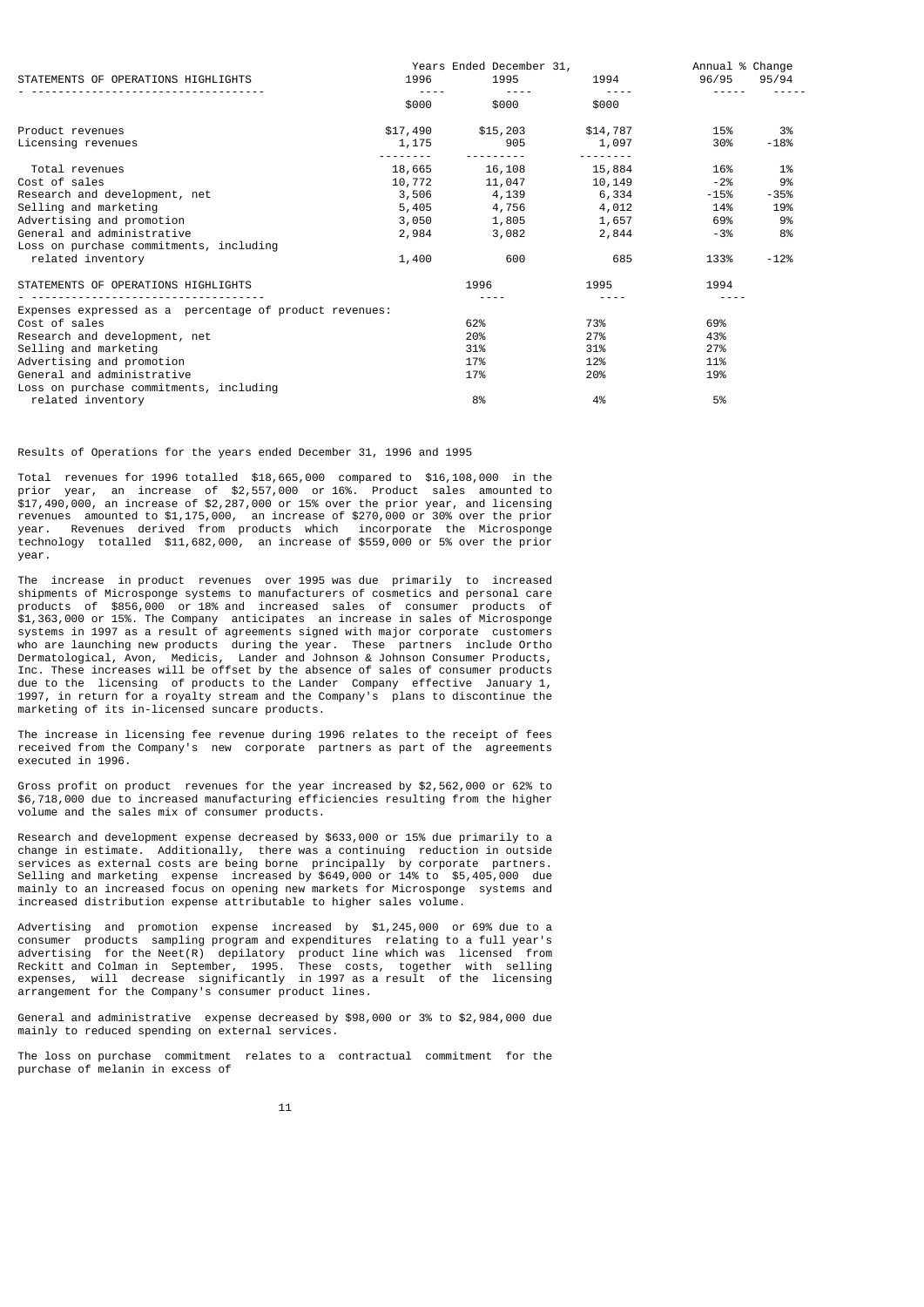|                                                         |          | Years Ended December 31, |          | Annual % Change |        |
|---------------------------------------------------------|----------|--------------------------|----------|-----------------|--------|
| STATEMENTS OF OPERATIONS HIGHLIGHTS                     | 1996     | 1995                     | 1994     | 96/95           | 95/94  |
|                                                         | \$000    | \$000                    | \$000    |                 |        |
| Product revenues                                        | \$17,490 | \$15,203                 | \$14,787 | 15%             | 3%     |
| Licensing revenues                                      | 1,175    | 905                      | 1,097    | 30%             | -18%   |
| Total revenues                                          | 18,665   | 16,108                   | 15,884   | 16%             | 1%     |
| Cost of sales                                           | 10,772   | 11,047                   | 10,149   | $-2%$           | 9%     |
| Research and development, net                           | 3,506    | 4,139                    | 6,334    | -15%            | -35%   |
| Selling and marketing                                   | 5,405    | 4,756                    | 4,012    | 14%             | 19%    |
| Advertising and promotion                               | 3,050    | 1,805                    | 1,657    | 69%             | 9%     |
| General and administrative                              | 2,984    | 3,082                    | 2,844    | -3%             | 8%     |
| Loss on purchase commitments, including                 |          |                          |          |                 |        |
| related inventory                                       | 1,400    | 600                      | 685      | 133%            | $-12%$ |
| STATEMENTS OF OPERATIONS HIGHLIGHTS                     |          | 1996                     | 1995     | 1994            |        |
|                                                         |          |                          |          |                 |        |
| Expenses expressed as a percentage of product revenues: |          |                          |          |                 |        |
| Cost of sales                                           |          | 62%                      | 73%      | 69%             |        |
| Research and development, net                           |          | 20%                      | 27%      | 43%             |        |
| Selling and marketing                                   |          | 31%                      | 31%      | 27%             |        |
| Advertising and promotion                               |          | 17%                      | 12%      | 11%             |        |
| General and administrative                              |          | 17%                      | 20%      | 19%             |        |
| Loss on purchase commitments, including                 |          |                          |          |                 |        |
| related inventory                                       |          | 8%                       | 4%       | 5%              |        |

Results of Operations for the years ended December 31, 1996 and 1995

Total revenues for 1996 totalled \$18,665,000 compared to \$16,108,000 in the prior year, an increase of \$2,557,000 or 16%. Product sales amounted to \$17,490,000, an increase of \$2,287,000 or 15% over the prior year, and licensing revenues amounted to \$1,175,000, an increase of \$270,000 or 30% over the prior Revenues derived from products which incorporate the Microsponge technology totalled \$11,682,000, an increase of \$559,000 or 5% over the prior year.

The increase in product revenues over 1995 was due primarily to increased shipments of Microsponge systems to manufacturers of cosmetics and personal care products of \$856,000 or 18% and increased sales of consumer products of \$1,363,000 or 15%. The Company anticipates an increase in sales of Microsponge systems in 1997 as a result of agreements signed with major corporate customers who are launching new products during the year. These partners include Ortho Dermatological, Avon, Medicis, Lander and Johnson & Johnson Consumer Products, Inc. These increases will be offset by the absence of sales of consumer products due to the licensing of products to the Lander Company effective January 1, 1997, in return for a royalty stream and the Company's plans to discontinue the marketing of its in-licensed suncare products.

The increase in licensing fee revenue during 1996 relates to the receipt of fees received from the Company's new corporate partners as part of the agreements executed in 1996.

Gross profit on product revenues for the year increased by \$2,562,000 or 62% to \$6,718,000 due to increased manufacturing efficiencies resulting from the higher volume and the sales mix of consumer products.

Research and development expense decreased by \$633,000 or 15% due primarily to a change in estimate. Additionally, there was a continuing reduction in outside services as external costs are being borne principally by corporate partners. Selling and marketing expense increased by \$649,000 or 14% to \$5,405,000 due mainly to an increased focus on opening new markets for Microsponge systems and increased distribution expense attributable to higher sales volume.

Advertising and promotion expense increased by \$1,245,000 or 69% due to a consumer products sampling program and expenditures relating to a full year's advertising for the Neet(R) depilatory product line which was licensed from Reckitt and Colman in September, 1995. These costs, together with selling expenses, will decrease significantly in 1997 as a result of the licensing arrangement for the Company's consumer product lines.

General and administrative expense decreased by \$98,000 or 3% to \$2,984,000 due mainly to reduced spending on external services.

The loss on purchase commitment relates to a contractual commitment for the purchase of melanin in excess of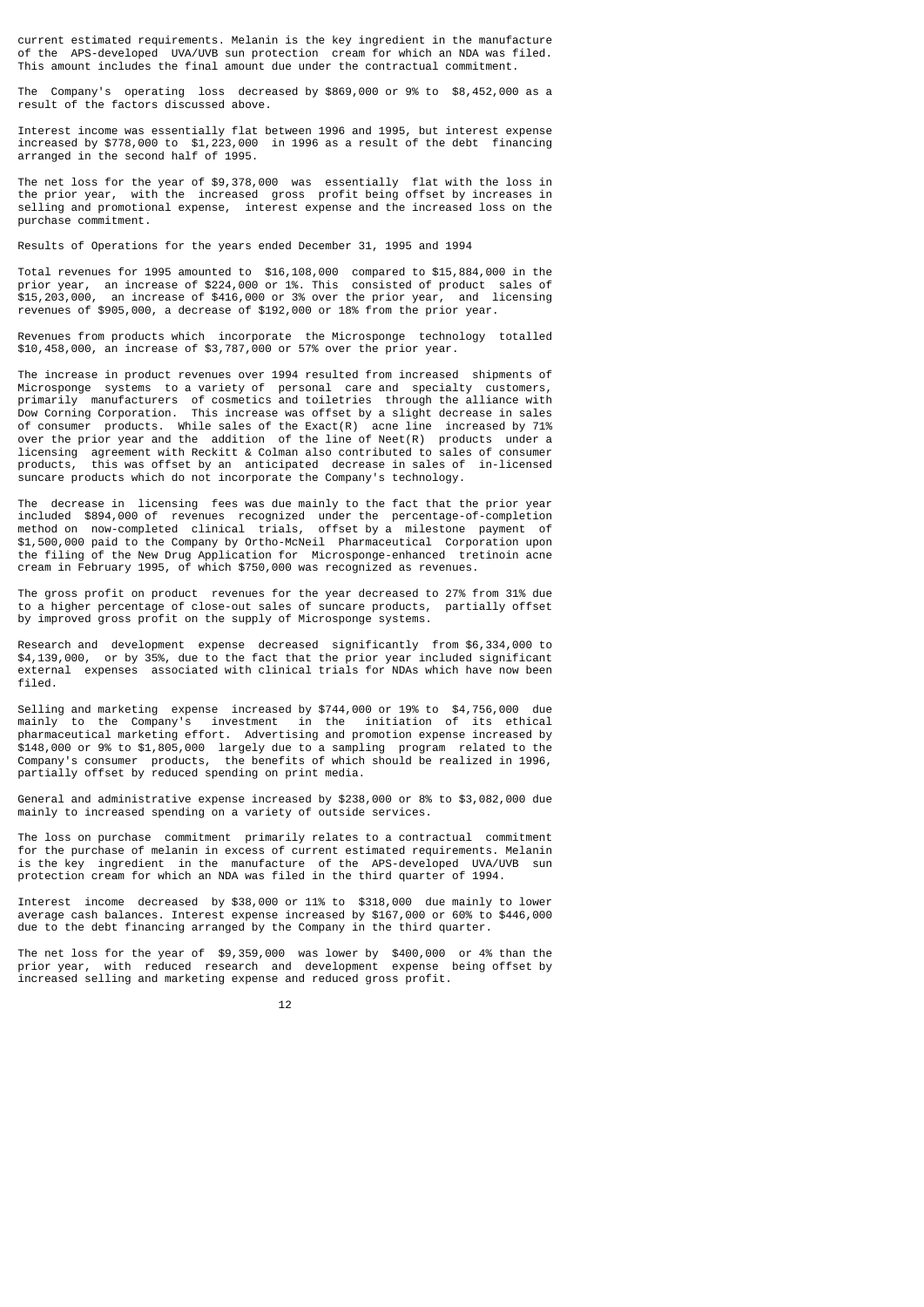current estimated requirements. Melanin is the key ingredient in the manufacture of the APS-developed UVA/UVB sun protection cream for which an NDA was filed. This amount includes the final amount due under the contractual commitment.

The Company's operating loss decreased by \$869,000 or 9% to \$8,452,000 as a result of the factors discussed above.

Interest income was essentially flat between 1996 and 1995, but interest expense increased by \$778,000 to \$1,223,000 in 1996 as a result of the debt financing arranged in the second half of 1995.

The net loss for the year of \$9,378,000 was essentially flat with the loss in the prior year, with the increased gross profit being offset by increases in selling and promotional expense, interest expense and the increased loss on the purchase commitment.

Results of Operations for the years ended December 31, 1995 and 1994

Total revenues for 1995 amounted to \$16,108,000 compared to \$15,884,000 in the prior year, an increase of \$224,000 or 1%. This consisted of product sales of \$15,203,000, an increase of \$416,000 or 3% over the prior year, and licensing revenues of \$905,000, a decrease of \$192,000 or 18% from the prior year.

Revenues from products which incorporate the Microsponge technology totalled \$10,458,000, an increase of \$3,787,000 or 57% over the prior year.

The increase in product revenues over 1994 resulted from increased shipments of Microsponge systems to a variety of personal care and specialty customers, primarily manufacturers of cosmetics and toiletries through the alliance with Dow Corning Corporation. This increase was offset by a slight decrease in sales of consumer products. While sales of the  $Exact(R)$  acne line increased by 71% over the prior year and the addition of the line of Neet(R) products under a licensing agreement with Reckitt & Colman also contributed to sales of consumer products, this was offset by an anticipated decrease in sales of in-licensed this was offset by an anticipated decrease in sales of in-licensed suncare products which do not incorporate the Company's technology.

The decrease in licensing fees was due mainly to the fact that the prior year included \$894,000 of revenues recognized under the percentage-of-completion method on now-completed clinical trials, offset by a milestone payment of \$1,500,000 paid to the Company by Ortho-McNeil Pharmaceutical Corporation upon the filing of the New Drug Application for Microsponge-enhanced tretinoin acne cream in February 1995, of which \$750,000 was recognized as revenues.

The gross profit on product revenues for the year decreased to 27% from 31% due to a higher percentage of close-out sales of suncare products, partially offset by improved gross profit on the supply of Microsponge systems.

Research and development expense decreased significantly from \$6,334,000 to \$4,139,000, or by 35%, due to the fact that the prior year included significant external expenses associated with clinical trials for NDAs which have now been filed.

Selling and marketing expense increased by \$744,000 or 19% to \$4,756,000 due mainly to the Company's investment in the initiation of its ethical pharmaceutical marketing effort. Advertising and promotion expense increased by \$148,000 or 9% to \$1,805,000 largely due to a sampling program related to the Company's consumer products, the benefits of which should be realized in 1996, partially offset by reduced spending on print media.

General and administrative expense increased by \$238,000 or 8% to \$3,082,000 due mainly to increased spending on a variety of outside services.

The loss on purchase commitment primarily relates to a contractual commitment for the purchase of melanin in excess of current estimated requirements. Melanin is the key ingredient in the manufacture of the APS-developed UVA/UVB sun protection cream for which an NDA was filed in the third quarter of 1994.

Interest income decreased by \$38,000 or 11% to \$318,000 due mainly to lower average cash balances. Interest expense increased by \$167,000 or 60% to \$446,000 due to the debt financing arranged by the Company in the third quarter.

The net loss for the year of \$9,359,000 was lower by \$400,000 or 4% than the prior year, with reduced research and development expense being offset by increased selling and marketing expense and reduced gross profit.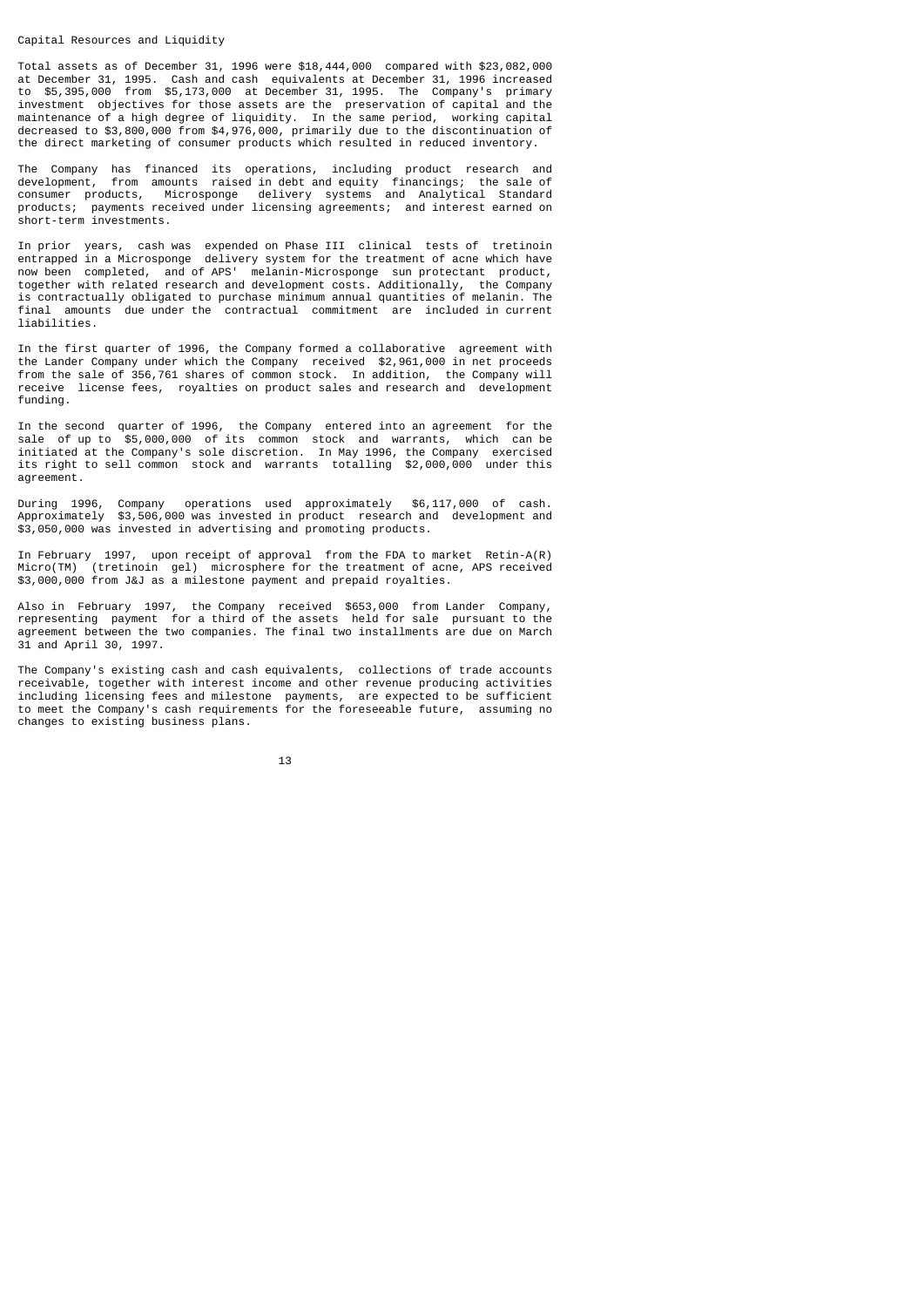#### Capital Resources and Liquidity

Total assets as of December 31, 1996 were \$18,444,000 compared with \$23,082,000 at December 31, 1995. Cash and cash equivalents at December 31, 1996 increased to \$5,395,000 from \$5,173,000 at December 31, 1995. The Company's primary investment objectives for those assets are the preservation of capital and the maintenance of a high degree of liquidity. In the same period, working capital decreased to \$3,800,000 from \$4,976,000, primarily due to the discontinuation of the direct marketing of consumer products which resulted in reduced inventory.

The Company has financed its operations, including product research and development, from amounts raised in debt and equity financings; the sale of consumer products, Microsponge delivery systems and Analytical Standard products; payments received under licensing agreements; and interest earned on short-term investments.

In prior years, cash was expended on Phase III clinical tests of tretinoin entrapped in a Microsponge delivery system for the treatment of acne which have now been completed, and of APS' melanin-Microsponge sun protectant product, together with related research and development costs. Additionally, the Company is contractually obligated to purchase minimum annual quantities of melanin. The final amounts due under the contractual commitment are included in current liabilities.

In the first quarter of 1996, the Company formed a collaborative agreement with the Lander Company under which the Company received \$2,961,000 in net proceeds from the sale of 356,761 shares of common stock. In addition, the Company will receive license fees, royalties on product sales and research and development funding.

In the second quarter of 1996, the Company entered into an agreement for the sale of up to \$5,000,000 of its common stock and warrants, which can be initiated at the Company's sole discretion. In May 1996, the Company exercised its right to sell common stock and warrants totalling \$2,000,000 under this agreement.

During 1996, Company operations used approximately \$6,117,000 of cash. Approximately \$3,506,000 was invested in product research and development and \$3,050,000 was invested in advertising and promoting products.

In February 1997, upon receipt of approval from the FDA to market Retin-A(R) Micro(TM) (tretinoin gel) microsphere for the treatment of acne, APS received \$3,000,000 from J&J as a milestone payment and prepaid royalties.

Also in February 1997, the Company received \$653,000 from Lander Company, representing payment for a third of the assets held for sale pursuant to the agreement between the two companies. The final two installments are due on March 31 and April 30, 1997.

The Company's existing cash and cash equivalents, collections of trade accounts receivable, together with interest income and other revenue producing activities including licensing fees and milestone payments, are expected to be sufficient to meet the Company's cash requirements for the foreseeable future, assuming no changes to existing business plans.

13 and 13 and 13 and 13 and 13 and 13 and 13 and 13 and 13 and 13 and 13 and 13 and 13 and 13 and 13 and 13 an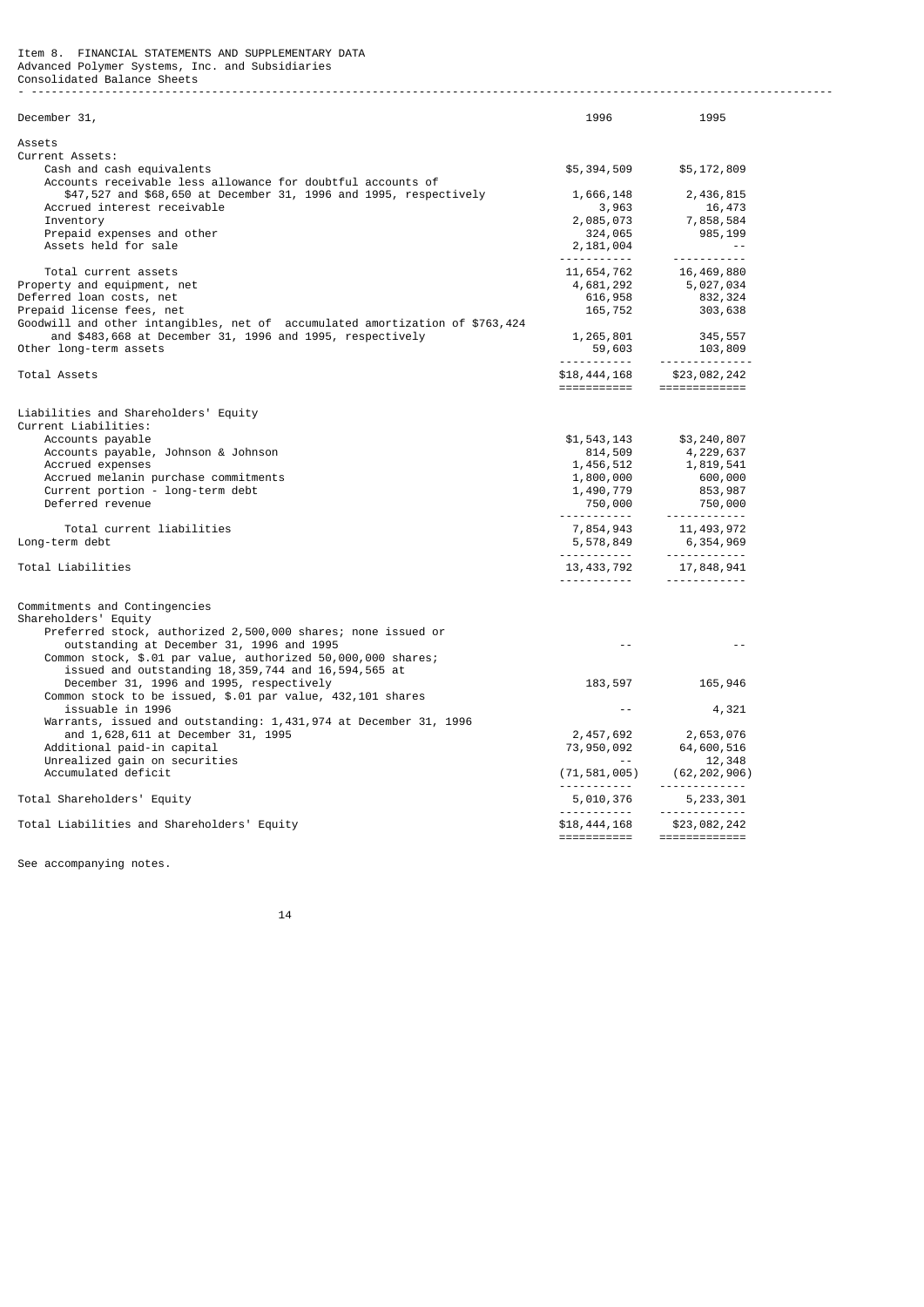| December 31,                                                                                                                                                    | 1996                                                         | 1995                                                                                                                                                                                                                              |
|-----------------------------------------------------------------------------------------------------------------------------------------------------------------|--------------------------------------------------------------|-----------------------------------------------------------------------------------------------------------------------------------------------------------------------------------------------------------------------------------|
| Assets                                                                                                                                                          |                                                              |                                                                                                                                                                                                                                   |
| Current Assets:<br>Cash and cash equivalents                                                                                                                    | \$5,394,509                                                  | \$5,172,809                                                                                                                                                                                                                       |
| Accounts receivable less allowance for doubtful accounts of<br>\$47,527 and \$68,650 at December 31, 1996 and 1995, respectively<br>Accrued interest receivable | 1,666,148                                                    | 2,436,815<br>16,473                                                                                                                                                                                                               |
| Inventory                                                                                                                                                       | $\begin{array}{r} 3,963 \\ 2,085,073 \\ 324,065 \end{array}$ | 7,858,584                                                                                                                                                                                                                         |
| Prepaid expenses and other                                                                                                                                      |                                                              | 985,199                                                                                                                                                                                                                           |
| Assets held for sale                                                                                                                                            | 2,181,004                                                    | and the state                                                                                                                                                                                                                     |
| Total current assets                                                                                                                                            | <u>.</u>                                                     |                                                                                                                                                                                                                                   |
| Property and equipment, net                                                                                                                                     |                                                              |                                                                                                                                                                                                                                   |
| Deferred loan costs, net                                                                                                                                        |                                                              |                                                                                                                                                                                                                                   |
| Prepaid license fees, net                                                                                                                                       |                                                              | $\begin{array}{llll} \textbf{11},\,654,\,762 & \textbf{16},\,469,\,880 \\ \textbf{4},\,681,\,292 & \textbf{5},\,927,\,934 \\ \textbf{616},\,958 & \textbf{832},\,324 \\ \textbf{165},\,752 & \textbf{303},\,638 \end{array}$      |
| Goodwill and other intangibles, net of accumulated amortization of \$763,424                                                                                    |                                                              |                                                                                                                                                                                                                                   |
| and \$483,668 at December 31, 1996 and 1995, respectively                                                                                                       |                                                              |                                                                                                                                                                                                                                   |
| Other long-term assets                                                                                                                                          |                                                              | $\begin{array}{cccc} 1,265,801 & & 345,557 \\ 59,603 & & 103,809 \\ \text{\ldots}\end{array}$                                                                                                                                     |
| Total Assets                                                                                                                                                    |                                                              | \$18,444,168 \$23,082,242<br>===========================                                                                                                                                                                          |
|                                                                                                                                                                 |                                                              |                                                                                                                                                                                                                                   |
| Liabilities and Shareholders' Equity                                                                                                                            |                                                              |                                                                                                                                                                                                                                   |
| Current Liabilities:                                                                                                                                            |                                                              |                                                                                                                                                                                                                                   |
| Accounts payable                                                                                                                                                | \$1,543,143<br>814,509                                       | \$3,240,807<br>4,229,637                                                                                                                                                                                                          |
| Accounts payable, Johnson & Johnson<br>Accrued expenses                                                                                                         |                                                              |                                                                                                                                                                                                                                   |
| Accrued melanin purchase commitments                                                                                                                            |                                                              |                                                                                                                                                                                                                                   |
| Current portion - long-term debt                                                                                                                                |                                                              |                                                                                                                                                                                                                                   |
| Deferred revenue                                                                                                                                                |                                                              | $1,456,512$<br>$1,819,541$<br>$1,809,000$<br>$1,490,779$<br>$750,000$<br>$750,000$<br>$750,000$<br>$750,000$<br>$750,000$<br>$750,000$<br>$750,000$<br>$750,000$<br>$750,000$<br>$750,000$<br>$750,000$<br>$750,000$<br>$750,000$ |
| Total current liabilities                                                                                                                                       |                                                              |                                                                                                                                                                                                                                   |
| Long-term debt                                                                                                                                                  |                                                              |                                                                                                                                                                                                                                   |
|                                                                                                                                                                 |                                                              |                                                                                                                                                                                                                                   |
| Total Liabilities                                                                                                                                               |                                                              | $13,433,792$ $17,848,941$                                                                                                                                                                                                         |
| Commitments and Contingencies                                                                                                                                   |                                                              |                                                                                                                                                                                                                                   |
| Shareholders' Equity                                                                                                                                            |                                                              |                                                                                                                                                                                                                                   |
| Preferred stock, authorized 2,500,000 shares; none issued or                                                                                                    |                                                              |                                                                                                                                                                                                                                   |
| outstanding at December 31, 1996 and 1995                                                                                                                       | $\sim$ $\sim$                                                |                                                                                                                                                                                                                                   |
| Common stock, \$.01 par value, authorized 50,000,000 shares;<br>issued and outstanding 18,359,744 and 16,594,565 at                                             |                                                              |                                                                                                                                                                                                                                   |
| December 31, 1996 and 1995, respectively                                                                                                                        | 183,597                                                      | 165,946                                                                                                                                                                                                                           |
| Common stock to be issued, \$.01 par value, 432,101 shares                                                                                                      |                                                              |                                                                                                                                                                                                                                   |
| issuable in 1996                                                                                                                                                | www.community.com                                            | 4,321                                                                                                                                                                                                                             |
| Warrants, issued and outstanding: 1,431,974 at December 31, 1996                                                                                                |                                                              |                                                                                                                                                                                                                                   |
| and 1,628,611 at December 31, 1995                                                                                                                              |                                                              |                                                                                                                                                                                                                                   |
| Additional paid-in capital                                                                                                                                      |                                                              |                                                                                                                                                                                                                                   |
| Unrealized gain on securities                                                                                                                                   |                                                              | $\begin{array}{ccc} 2,457,692 & 2,653,076 \\ 73,950,092 & 64,600,516 \\ \textcolor{red}{\textbf{-7}} & 12,348 \\ (71,581,005) & (62,202,906) \end{array}$                                                                         |
| Accumulated deficit                                                                                                                                             | <u>.</u>                                                     | -------------                                                                                                                                                                                                                     |
| Total Shareholders' Equity                                                                                                                                      | 5,010,376                                                    | 5, 233, 301                                                                                                                                                                                                                       |
| Total Liabilities and Shareholders' Equity                                                                                                                      |                                                              | \$18,444,168 \$23,082,242                                                                                                                                                                                                         |
|                                                                                                                                                                 | ===========                                                  | =============                                                                                                                                                                                                                     |

- ------------------------------------------------------------------------------------------------------------------------

See accompanying notes.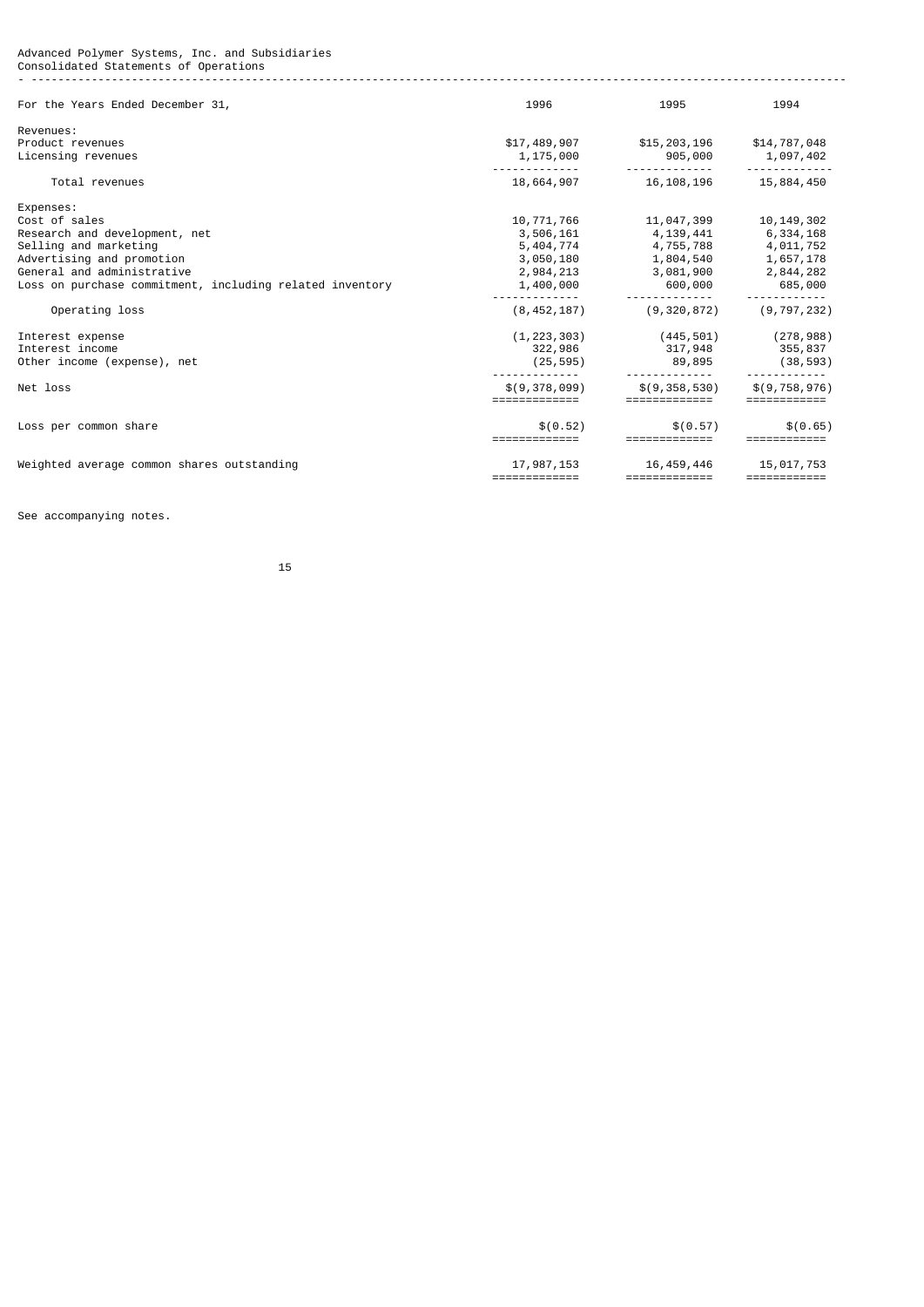Advanced Polymer Systems, Inc. and Subsidiaries Consolidated Statements of Operations - --------------------------------------------------------------------------------------------------------------------------

| For the Years Ended December 31,                         | 1996                        | 1995                        | 1994                       |
|----------------------------------------------------------|-----------------------------|-----------------------------|----------------------------|
| Revenues:                                                |                             |                             |                            |
| Product revenues                                         | \$17,489,907                | \$15,203,196                | \$14,787,048               |
| Licensing revenues                                       | 1,175,000                   | 905,000                     | 1,097,402                  |
| Total revenues                                           | 18,664,907                  | 16, 108, 196                | 15,884,450                 |
| Expenses:                                                |                             |                             |                            |
| Cost of sales                                            | 10,771,766                  | 11,047,399                  | 10, 149, 302               |
| Research and development, net                            | 3,506,161                   | 4,139,441                   | 6,334,168                  |
| Selling and marketing                                    | 5,404,774                   | 4,755,788                   | 4,011,752                  |
| Advertising and promotion                                | 3,050,180                   | 1,804,540                   | 1,657,178                  |
| General and administrative                               | 2,984,213                   | 3,081,900                   | 2,844,282                  |
| Loss on purchase commitment, including related inventory | 1,400,000                   | 600,000                     | 685,000                    |
| Operating loss                                           | (8, 452, 187)               | (9, 320, 872)               | (9, 797, 232)              |
| Interest expense                                         | (1, 223, 303)               | (445,501)                   | (278, 988)                 |
| Interest income                                          | 322,986                     | 317,948 355,837             |                            |
| Other income (expense), net                              | (25, 595)                   | 89,895                      | (38, 593)                  |
| Net loss                                                 | \$(9,378,099)               | \$(9,358,530)               | \$(9, 758, 976)            |
| Loss per common share                                    | \$(0.52)<br>=============   | \$ (0.57)<br>=============  | \$(0.65)<br>============   |
| Weighted average common shares outstanding               | 17,987,153<br>============= | 16,459,446<br>============= | 15,017,753<br>============ |

See accompanying notes.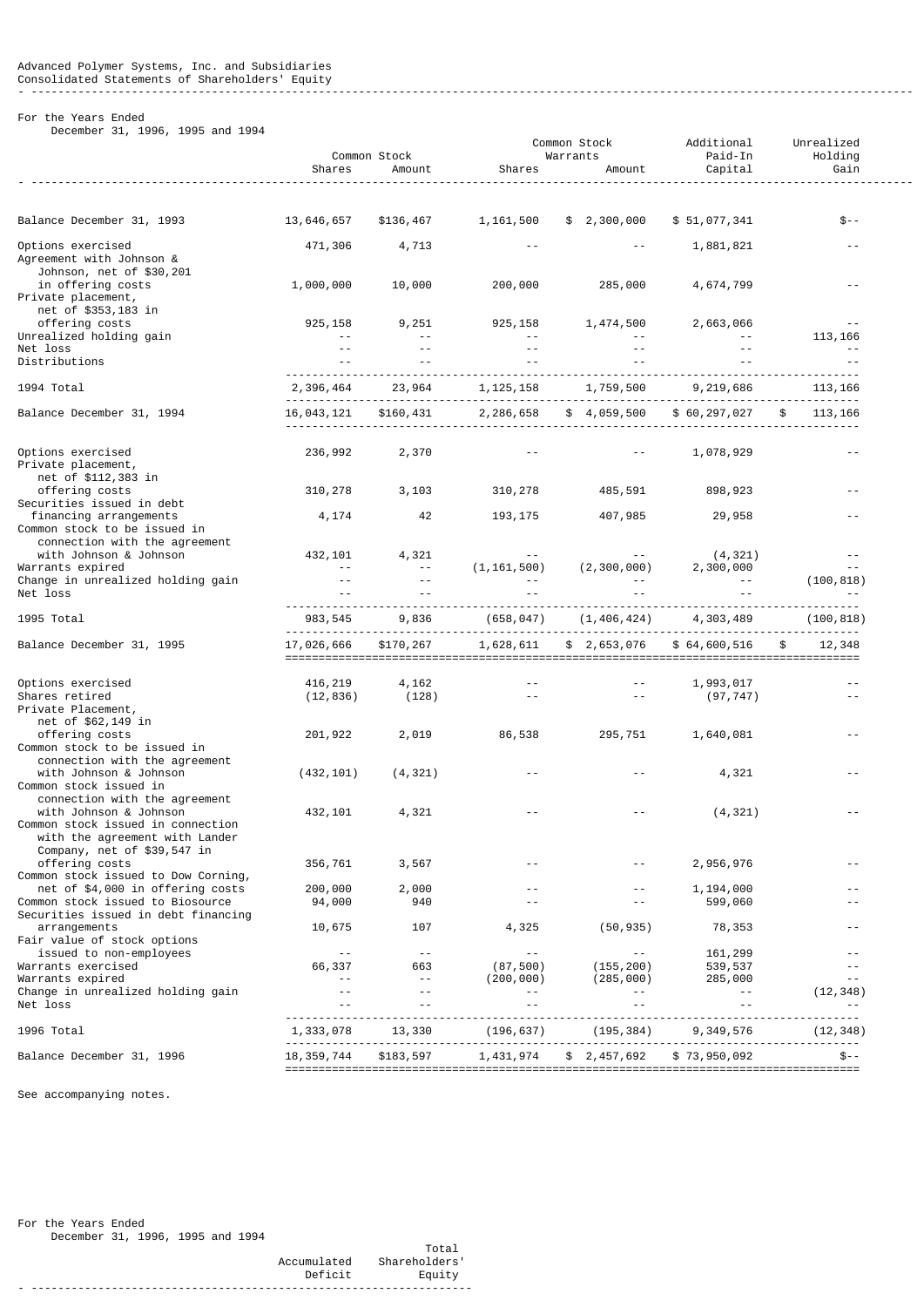# - ------------------------------------------------------------------------------------------------------------------------------------

# For the Years Ended

December 31, 1996, 1995 and 1994

| $1000$ and $100 -$                                                                                                                                            | Shares                                 | Common Stock<br>Amount                 | Shares                                       | Common Stock<br>Warrants<br>Amount       | Additional<br>Paid-In<br>Capital          | Unrealized<br>Holding<br>Gain                   |
|---------------------------------------------------------------------------------------------------------------------------------------------------------------|----------------------------------------|----------------------------------------|----------------------------------------------|------------------------------------------|-------------------------------------------|-------------------------------------------------|
| Balance December 31, 1993                                                                                                                                     | 13,646,657                             | \$136,467                              | 1, 161, 500                                  | \$2,300,000                              | \$51,077,341                              | \$--                                            |
| Options exercised<br>Agreement with Johnson &                                                                                                                 | 471,306                                | 4,713                                  |                                              |                                          | 1,881,821                                 |                                                 |
| Johnson, net of \$30,201<br>in offering costs<br>Private placement,                                                                                           | 1,000,000                              | 10,000                                 | 200,000                                      | 285,000                                  | 4,674,799                                 | $\sim$ $\sim$                                   |
| net of \$353,183 in<br>offering costs                                                                                                                         | 925, 158                               | 9,251                                  | 925, 158                                     | 1,474,500                                | 2,663,066                                 | $\sim$ $\sim$                                   |
| Unrealized holding gain<br>Net loss                                                                                                                           | $\sim$ $\sim$<br>$\sim$ $\sim$         | $\sim$ $\sim$<br>$\sim$ $\sim$         | $\sim$ $\sim$                                |                                          |                                           | 113, 166<br>$\sim$ $\sim$                       |
| Distributions                                                                                                                                                 | $\sim$ $\sim$                          | $ -$                                   |                                              |                                          |                                           | $\sim$ $\sim$                                   |
| 1994 Total                                                                                                                                                    | 2,396,464                              | 23,964                                 | 1, 125, 158                                  | 1,759,500                                | 9,219,686                                 | 113, 166                                        |
| Balance December 31, 1994                                                                                                                                     | 16,043,121                             | \$160,431                              | 2, 286, 658                                  | \$4,059,500                              | \$60, 297, 027                            | 113, 166                                        |
| Options exercised<br>Private placement,<br>net of \$112,383 in                                                                                                | 236,992                                | 2,370                                  |                                              | $\sim$ $\sim$                            | 1,078,929                                 | $\sim$ $\sim$                                   |
| offering costs<br>Securities issued in debt                                                                                                                   | 310,278                                | 3,103                                  | 310,278                                      | 485,591                                  | 898,923                                   |                                                 |
| financing arrangements<br>Common stock to be issued in<br>connection with the agreement                                                                       | 4,174                                  | 42                                     | 193, 175                                     | 407,985                                  | 29,958                                    |                                                 |
| with Johnson & Johnson                                                                                                                                        | 432,101                                | 4,321                                  |                                              |                                          | (4, 321)                                  | $ -$                                            |
| Warrants expired<br>Change in unrealized holding gain                                                                                                         | $\sim$ $\sim$<br>$\sim$ $\sim$         | $\sim$ $\sim$<br>$\sim$ $\sim$         | (1, 161, 500)                                | (2, 300, 000)                            | 2,300,000                                 | $ -$<br>(100, 818)                              |
| Net loss                                                                                                                                                      |                                        |                                        |                                              |                                          |                                           |                                                 |
| 1995 Total                                                                                                                                                    | 983, 545                               | 9,836                                  | (658, 047)                                   | (1, 406, 424)                            | 4,303,489                                 | (100, 818)                                      |
| Balance December 31, 1995                                                                                                                                     | 17,026,666                             | \$170,267                              | 1,628,611                                    | \$ 2,653,076                             | \$64,600,516                              | 12,348<br>\$                                    |
| Options exercised                                                                                                                                             | 416,219                                | 4,162                                  |                                              |                                          | 1,993,017                                 | $ -$                                            |
| Shares retired<br>Private Placement,<br>net of \$62,149 in                                                                                                    | (12, 836)                              | (128)                                  | $\sim$ $\sim$                                | $\sim$ $-$                               | (97, 747)                                 | $\sim$ $\sim$                                   |
| offering costs<br>Common stock to be issued in                                                                                                                | 201,922                                | 2,019                                  | 86,538                                       | 295,751                                  | 1,640,081                                 | $ -$                                            |
| connection with the agreement<br>with Johnson & Johnson<br>Common stock issued in                                                                             | (432, 101)                             | (4, 321)                               |                                              |                                          | 4,321                                     |                                                 |
| connection with the agreement<br>with Johnson & Johnson<br>Common stock issued in connection<br>with the agreement with Lander<br>Company, net of \$39,547 in | 432,101                                | 4,321                                  |                                              |                                          | (4, 321)                                  |                                                 |
| offering costs<br>Common stock issued to Dow Corning,                                                                                                         | 356,761                                | 3,567                                  |                                              |                                          | 2,956,976                                 | $ -$                                            |
| net of \$4,000 in offering costs<br>Common stock issued to Biosource                                                                                          | 200,000<br>94,000                      | 2,000<br>940                           | $\sim$ $\sim$                                | $\sim$ $\sim$                            | 1,194,000<br>599,060                      | $ -$                                            |
| Securities issued in debt financing<br>arrangements                                                                                                           | 10,675                                 | 107                                    | 4,325                                        | (50, 935)                                | 78,353                                    | $ -$                                            |
| Fair value of stock options<br>issued to non-employees                                                                                                        | $\sim$ $\sim$                          | $\sim$ $\sim$                          | $\sim$ $\sim$                                | $\sim$ $\sim$                            | 161,299                                   | $ -$                                            |
| Warrants exercised                                                                                                                                            | 66,337                                 | 663                                    | (87, 500)                                    | (155, 200)                               | 539,537                                   | $ -$                                            |
| Warrants expired<br>Change in unrealized holding gain<br>Net loss                                                                                             | $\sim$ $\sim$<br>$\sim$ $\sim$<br>$ -$ | $\sim$ $\sim$<br>$\sim$ $\sim$<br>$ -$ | (200, 000)<br>$\sim$ $\sim$<br>$\sim$ $\sim$ | (285,000)<br>$\sim$ $-$<br>$\sim$ $\sim$ | 285,000<br>$\sim$ $\sim$<br>$\sim$ $\sim$ | $\sim$ $\sim$<br>(12, 348)<br>$\qquad \qquad -$ |
| 1996 Total                                                                                                                                                    | 1,333,078                              | 13,330                                 | (196,637)                                    | (195, 384)                               | 9,349,576                                 | (12, 348)                                       |
| Balance December 31, 1996                                                                                                                                     | 18, 359, 744                           | \$183,597                              |                                              |                                          |                                           |                                                 |

See accompanying notes.

For the Years Ended December 31, 1996, 1995 and 1994

 Total Accumulated Shareholders' Deficit Equity - ------------------------------------------------------------------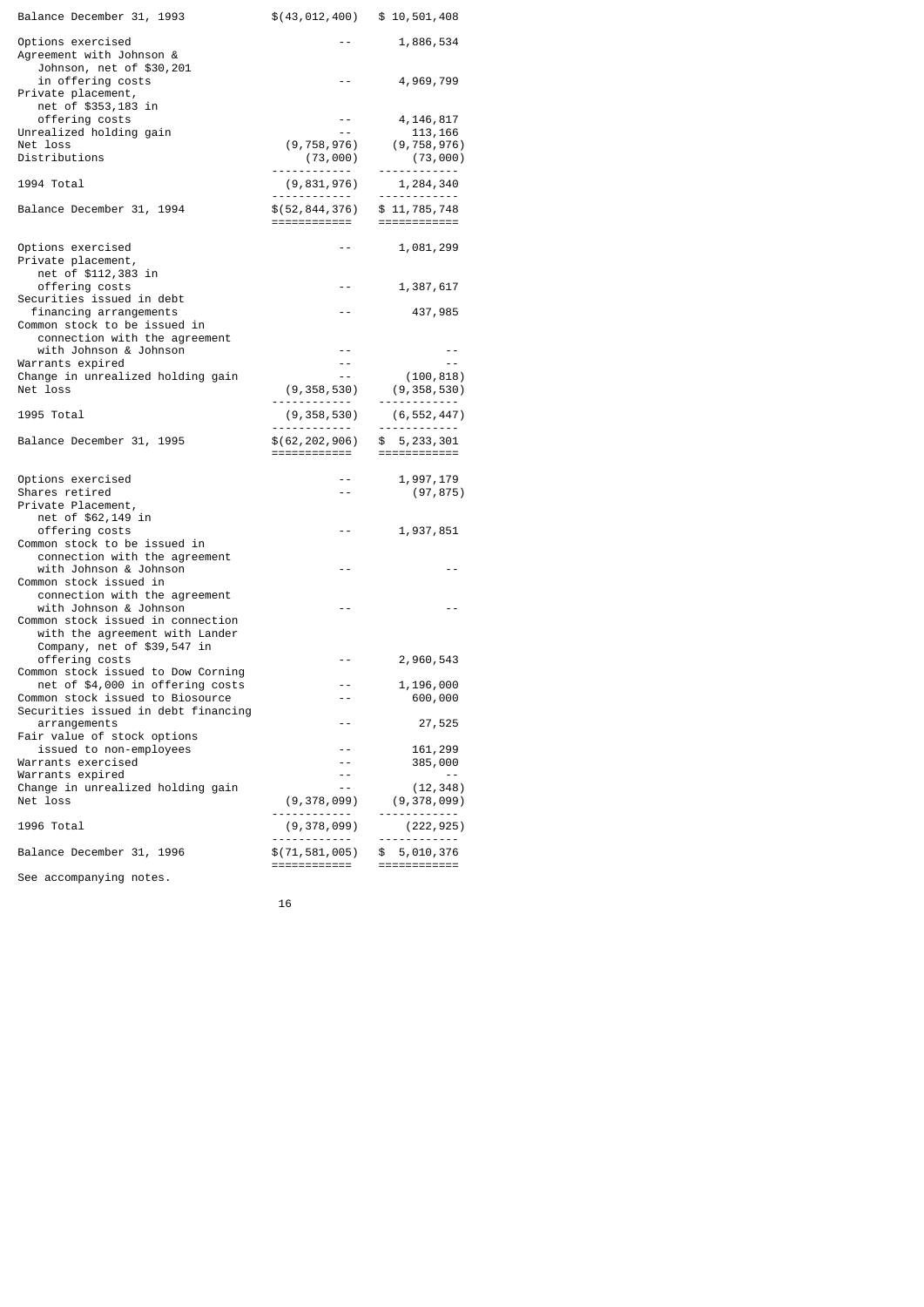| Balance December 31, 1993                                                 | $$(43, 012, 400)$ $$10, 501, 408$                                                                                                                                                                                                                                                                                                                                                                                                                                                                          |                                 |
|---------------------------------------------------------------------------|------------------------------------------------------------------------------------------------------------------------------------------------------------------------------------------------------------------------------------------------------------------------------------------------------------------------------------------------------------------------------------------------------------------------------------------------------------------------------------------------------------|---------------------------------|
| Options exercised<br>Agreement with Johnson &<br>Johnson, net of \$30,201 |                                                                                                                                                                                                                                                                                                                                                                                                                                                                                                            | 1,886,534                       |
| in offering costs<br>Private placement,<br>net of \$353,183 in            | - -                                                                                                                                                                                                                                                                                                                                                                                                                                                                                                        | 4,969,799                       |
| offering costs                                                            | $\frac{1}{2}$                                                                                                                                                                                                                                                                                                                                                                                                                                                                                              | 4,146,817                       |
| Unrealized holding gain<br>Net loss                                       | $\sim$ $-$<br>(9,758,976)                                                                                                                                                                                                                                                                                                                                                                                                                                                                                  | 113,166<br>(9, 758, 976)        |
| Distributions                                                             | (73,000)                                                                                                                                                                                                                                                                                                                                                                                                                                                                                                   | (73,000)                        |
| 1994 Total                                                                | ------------<br>(9,831,976)<br>. <u>.</u> .                                                                                                                                                                                                                                                                                                                                                                                                                                                                | -----------<br>1,284,340<br>.   |
| Balance December 31, 1994                                                 | \$(52, 844, 376)<br>============                                                                                                                                                                                                                                                                                                                                                                                                                                                                           | \$11,785,748<br>============    |
| Options exercised<br>Private placement,                                   |                                                                                                                                                                                                                                                                                                                                                                                                                                                                                                            | 1,081,299                       |
| net of \$112,383 in<br>offering costs                                     | $- -$                                                                                                                                                                                                                                                                                                                                                                                                                                                                                                      | 1,387,617                       |
| Securities issued in debt                                                 |                                                                                                                                                                                                                                                                                                                                                                                                                                                                                                            |                                 |
| financing arrangements<br>Common stock to be issued in                    | - -                                                                                                                                                                                                                                                                                                                                                                                                                                                                                                        | 437,985                         |
| connection with the agreement                                             |                                                                                                                                                                                                                                                                                                                                                                                                                                                                                                            |                                 |
| with Johnson & Johnson<br>Warrants expired                                | - -<br>- -                                                                                                                                                                                                                                                                                                                                                                                                                                                                                                 | - -<br>$ -$                     |
| Change in unrealized holding gain                                         | $\sim$ $-$                                                                                                                                                                                                                                                                                                                                                                                                                                                                                                 | (100, 818)                      |
| Net loss                                                                  | (9,358,530)                                                                                                                                                                                                                                                                                                                                                                                                                                                                                                | (9, 358, 530)<br>------------   |
| 1995 Total                                                                | (9, 358, 530)                                                                                                                                                                                                                                                                                                                                                                                                                                                                                              | (6, 552, 447)                   |
| Balance December 31, 1995                                                 | . <b>.</b> .<br>\$(62,202,906)                                                                                                                                                                                                                                                                                                                                                                                                                                                                             | ------------<br>\$5,233,301     |
|                                                                           | ============                                                                                                                                                                                                                                                                                                                                                                                                                                                                                               | $=$ ============                |
| Options exercised                                                         |                                                                                                                                                                                                                                                                                                                                                                                                                                                                                                            | 1,997,179                       |
| Shares retired                                                            | - -                                                                                                                                                                                                                                                                                                                                                                                                                                                                                                        | (97, 875)                       |
| Private Placement,<br>net of \$62,149 in                                  |                                                                                                                                                                                                                                                                                                                                                                                                                                                                                                            |                                 |
| offering costs                                                            | - -                                                                                                                                                                                                                                                                                                                                                                                                                                                                                                        | 1,937,851                       |
| Common stock to be issued in                                              |                                                                                                                                                                                                                                                                                                                                                                                                                                                                                                            |                                 |
| connection with the agreement<br>with Johnson & Johnson                   | ۰.                                                                                                                                                                                                                                                                                                                                                                                                                                                                                                         |                                 |
| Common stock issued in                                                    |                                                                                                                                                                                                                                                                                                                                                                                                                                                                                                            |                                 |
| connection with the agreement<br>with Johnson & Johnson                   | - -                                                                                                                                                                                                                                                                                                                                                                                                                                                                                                        | ۰.                              |
| Common stock issued in connection                                         |                                                                                                                                                                                                                                                                                                                                                                                                                                                                                                            |                                 |
| with the agreement with Lander<br>Company, net of \$39,547 in             |                                                                                                                                                                                                                                                                                                                                                                                                                                                                                                            |                                 |
| offering costs                                                            | - -                                                                                                                                                                                                                                                                                                                                                                                                                                                                                                        | 2,960,543                       |
| Common stock issued to Dow Corning                                        |                                                                                                                                                                                                                                                                                                                                                                                                                                                                                                            |                                 |
| net of \$4,000 in offering costs<br>Common stock issued to Biosource      | - -<br>- -                                                                                                                                                                                                                                                                                                                                                                                                                                                                                                 | 1,196,000<br>600,000            |
| Securities issued in debt financing                                       |                                                                                                                                                                                                                                                                                                                                                                                                                                                                                                            |                                 |
| arrangements<br>Fair value of stock options                               |                                                                                                                                                                                                                                                                                                                                                                                                                                                                                                            | 27,525                          |
| issued to non-employees                                                   |                                                                                                                                                                                                                                                                                                                                                                                                                                                                                                            | 161,299                         |
| Warrants exercised<br>Warrants expired                                    | - -<br>- -                                                                                                                                                                                                                                                                                                                                                                                                                                                                                                 | 385,000<br>- -                  |
| Change in unrealized holding gain                                         | $ -$                                                                                                                                                                                                                                                                                                                                                                                                                                                                                                       | (12,348)                        |
| Net loss                                                                  | (9,378,099)<br>.                                                                                                                                                                                                                                                                                                                                                                                                                                                                                           | (9,378,099)<br>---------        |
| 1996 Total                                                                | (9,378,099)<br>.                                                                                                                                                                                                                                                                                                                                                                                                                                                                                           | (222, 925)<br>------------      |
| Balance December 31, 1996                                                 | \$(71, 581, 005)<br>$\begin{array}{cccccccccc} \multicolumn{2}{c}{} & \multicolumn{2}{c}{} & \multicolumn{2}{c}{} & \multicolumn{2}{c}{} & \multicolumn{2}{c}{} & \multicolumn{2}{c}{} & \multicolumn{2}{c}{} & \multicolumn{2}{c}{} & \multicolumn{2}{c}{} & \multicolumn{2}{c}{} & \multicolumn{2}{c}{} & \multicolumn{2}{c}{} & \multicolumn{2}{c}{} & \multicolumn{2}{c}{} & \multicolumn{2}{c}{} & \multicolumn{2}{c}{} & \multicolumn{2}{c}{} & \multicolumn{2}{c}{} & \multicolumn{2}{c}{} & \mult$ | 5,010,376<br>\$<br>============ |
| See accompanying notes.                                                   |                                                                                                                                                                                                                                                                                                                                                                                                                                                                                                            |                                 |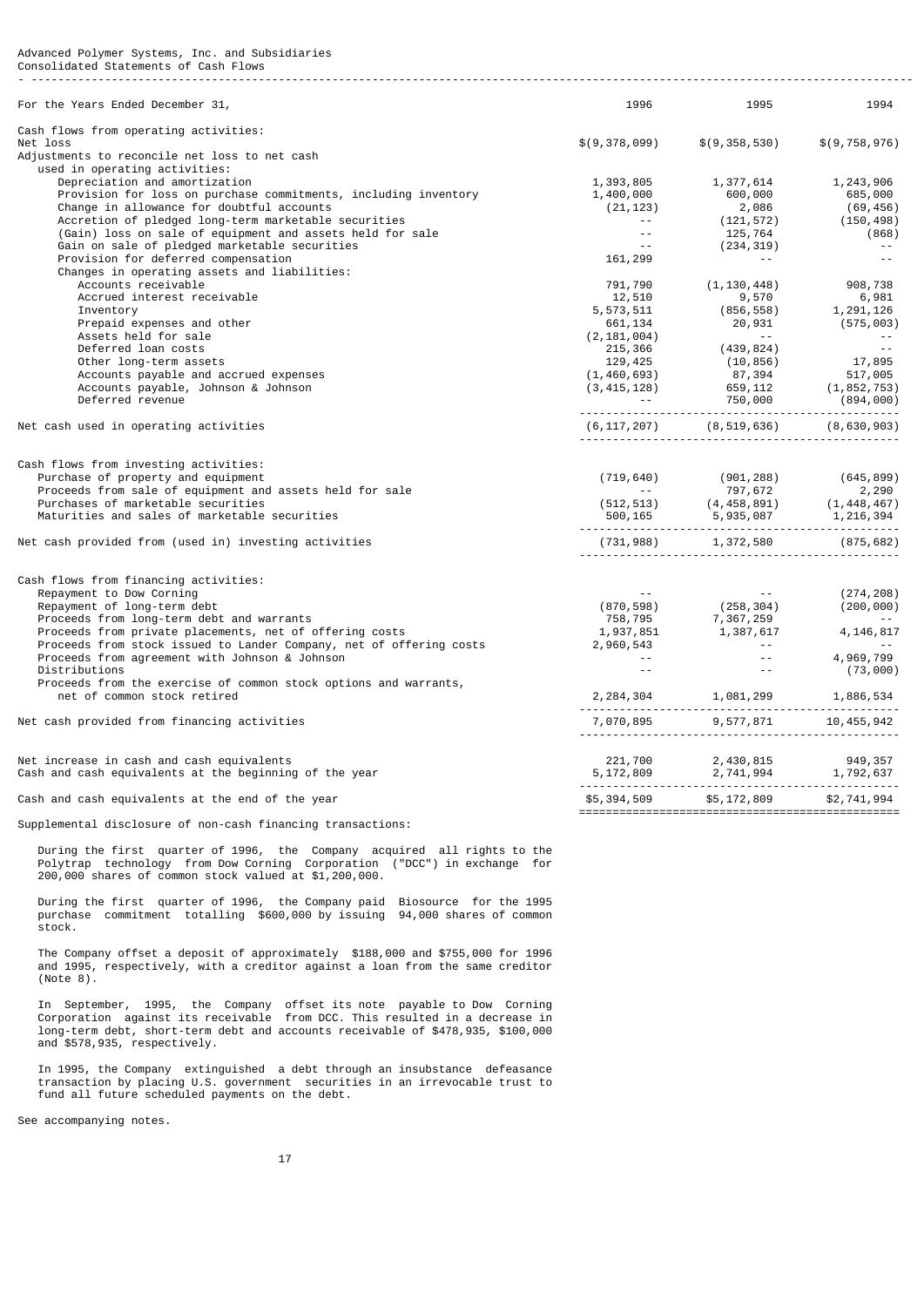#### Advanced Polymer Systems, Inc. and Subsidiaries Consolidated Statements of Cash Flows - ------------------------------------------------------------------------------------------------------------------------------------

| For the Years Ended December 31,                                    | 1996                 | 1995                                                                                                                                                                                                                                                   | 1994            |
|---------------------------------------------------------------------|----------------------|--------------------------------------------------------------------------------------------------------------------------------------------------------------------------------------------------------------------------------------------------------|-----------------|
| Cash flows from operating activities:                               |                      |                                                                                                                                                                                                                                                        |                 |
| Net loss                                                            | \$(9,378,099)        | \$(9, 358, 530)                                                                                                                                                                                                                                        | \$(9, 758, 976) |
| Adjustments to reconcile net loss to net cash                       |                      |                                                                                                                                                                                                                                                        |                 |
| used in operating activities:                                       |                      |                                                                                                                                                                                                                                                        |                 |
| Depreciation and amortization                                       | 1,393,805            | 1,377,614                                                                                                                                                                                                                                              | 1,243,906       |
| Provision for loss on purchase commitments, including inventory     | 1,400,000            | 600,000                                                                                                                                                                                                                                                | 685,000         |
| Change in allowance for doubtful accounts                           | (21, 123)            | 2,086                                                                                                                                                                                                                                                  | (69,456)        |
| Accretion of pledged long-term marketable securities                | $\sim 10^{-1}$       | (121, 572)                                                                                                                                                                                                                                             | (150, 498)      |
| (Gain) loss on sale of equipment and assets held for sale           | $\sim$ $\sim$        | 125,764                                                                                                                                                                                                                                                | (868)           |
| Gain on sale of pledged marketable securities                       | $\sim$ $\sim$        | (234, 319)                                                                                                                                                                                                                                             |                 |
| Provision for deferred compensation                                 | 161,299              | $\sim 100$ m $^{-1}$                                                                                                                                                                                                                                   | $\sim$ $\sim$   |
| Changes in operating assets and liabilities:                        |                      |                                                                                                                                                                                                                                                        |                 |
| Accounts receivable                                                 | 791,790              | (1, 130, 448)                                                                                                                                                                                                                                          | 908,738         |
| Accrued interest receivable                                         | 12,510               | 9,570                                                                                                                                                                                                                                                  | 6,981           |
| Inventory                                                           | 5,573,511            | (856,558)                                                                                                                                                                                                                                              | 1,291,126       |
| Prepaid expenses and other                                          | 661,134              | 20,931                                                                                                                                                                                                                                                 | (575,003)       |
| Assets held for sale                                                | (2, 181, 004)        | $\sim 100$ $\mu$                                                                                                                                                                                                                                       |                 |
| Deferred loan costs                                                 | 215,366              | (439, 824)                                                                                                                                                                                                                                             | $\sim 10$ $\mu$ |
| Other long-term assets                                              |                      |                                                                                                                                                                                                                                                        | 17,895          |
| Accounts payable and accrued expenses                               |                      |                                                                                                                                                                                                                                                        |                 |
| Accounts payable, Johnson & Johnson                                 |                      |                                                                                                                                                                                                                                                        |                 |
| Deferred revenue                                                    |                      |                                                                                                                                                                                                                                                        |                 |
|                                                                     |                      | $(1,460,693)$<br>$(3,415,128)$<br>$(-1,460,693)$<br>$(-1,460,693)$<br>$(-1,460,693)$<br>$(-1,460,693)$<br>$(-1,852,753)$<br>$(-1,852,753)$<br>$(-1,852,753)$<br>$(-1,852,753)$<br>$(-1,852,753)$<br>$(-1,852,753)$<br>$(-1,852,753)$<br>$(-1,852,753)$ |                 |
| Net cash used in operating activities                               |                      | $(6, 117, 207)$ $(8, 519, 636)$ $(8, 630, 903)$                                                                                                                                                                                                        |                 |
|                                                                     |                      |                                                                                                                                                                                                                                                        |                 |
| Cash flows from investing activities:                               |                      |                                                                                                                                                                                                                                                        |                 |
| Purchase of property and equipment                                  | (719, 640)           | (901, 288)                                                                                                                                                                                                                                             | (645, 899)      |
| Proceeds from sale of equipment and assets held for sale            | $\sim 100$ m $^{-1}$ | 797,672                                                                                                                                                                                                                                                | 2,290           |
| Purchases of marketable securities                                  |                      |                                                                                                                                                                                                                                                        |                 |
| Maturities and sales of marketable securities                       |                      | $(512,513)$<br>$(500,165$<br>$(500,165$<br>$(5,500,165)$<br>$(5,500,165)$<br>$(5,500,165)$<br>$(5,500,165)$<br>$(5,500,165)$<br>$(5,500,165)$<br>$(5,500,165)$<br>$(5,500,165)$<br>$(5,500,165)$<br>$(5,500,165)$<br>$(5,500,165)$                     |                 |
| Net cash provided from (used in) investing activities               |                      | $(731, 988)$ $1, 372, 580$ $(875, 682)$                                                                                                                                                                                                                |                 |
|                                                                     |                      |                                                                                                                                                                                                                                                        |                 |
| Cash flows from financing activities:                               |                      |                                                                                                                                                                                                                                                        |                 |
| Repayment to Dow Corning                                            |                      |                                                                                                                                                                                                                                                        | (274, 208)      |
| Repayment of long-term debt                                         | (870, 598)           | (258, 304)                                                                                                                                                                                                                                             | (200, 000)      |
| Proceeds from long-term debt and warrants                           |                      | $758, 795$<br>$1,937, 851$<br>$1,387, 617$                                                                                                                                                                                                             |                 |
| Proceeds from private placements, net of offering costs             | 1,937,851            |                                                                                                                                                                                                                                                        | 4, 146, 817     |
| Proceeds from stock issued to Lander Company, net of offering costs | 2,960,543            | an an Salaman.<br>Tagairtí                                                                                                                                                                                                                             |                 |
| Proceeds from agreement with Johnson & Johnson                      | $\sim 100$           | $\Delta\Delta\sim 10^{-11}$                                                                                                                                                                                                                            | 4,969,799       |
| Distributions                                                       | $\sim$ $\sim$        | $\sim$ $\sim$                                                                                                                                                                                                                                          | (73,000)        |
| Proceeds from the exercise of common stock options and warrants,    |                      |                                                                                                                                                                                                                                                        |                 |
| net of common stock retired                                         |                      | $2,284,304$ $1,081,299$ $1,886,534$                                                                                                                                                                                                                    |                 |
| Net cash provided from financing activities                         |                      |                                                                                                                                                                                                                                                        | 10, 455, 942    |
|                                                                     |                      | $7,070,895$ 9,577,871 1                                                                                                                                                                                                                                |                 |
| Net increase in cash and cash equivalents                           |                      |                                                                                                                                                                                                                                                        |                 |
| Cash and cash equivalents at the beginning of the year              |                      |                                                                                                                                                                                                                                                        |                 |
|                                                                     |                      |                                                                                                                                                                                                                                                        |                 |
| Cash and cash equivalents at the end of the year                    |                      | \$5,394,509 \$5,172,809 \$2,741,994                                                                                                                                                                                                                    |                 |
|                                                                     |                      |                                                                                                                                                                                                                                                        |                 |

Supplemental disclosure of non-cash financing transactions:

 During the first quarter of 1996, the Company acquired all rights to the Polytrap technology from Dow Corning Corporation ("DCC") in exchange for 200,000 shares of common stock valued at \$1,200,000.

 During the first quarter of 1996, the Company paid Biosource for the 1995 purchase commitment totalling \$600,000 by issuing 94,000 shares of common stock.

 The Company offset a deposit of approximately \$188,000 and \$755,000 for 1996 and 1995, respectively, with a creditor against a loan from the same creditor (Note 8).

 In September, 1995, the Company offset its note payable to Dow Corning Corporation against its receivable from DCC. This resulted in a decrease in long-term debt, short-term debt and accounts receivable of \$478,935, \$100,000 and \$578,935, respectively.

 In 1995, the Company extinguished a debt through an insubstance defeasance transaction by placing U.S. government securities in an irrevocable trust to fund all future scheduled payments on the debt.

See accompanying notes.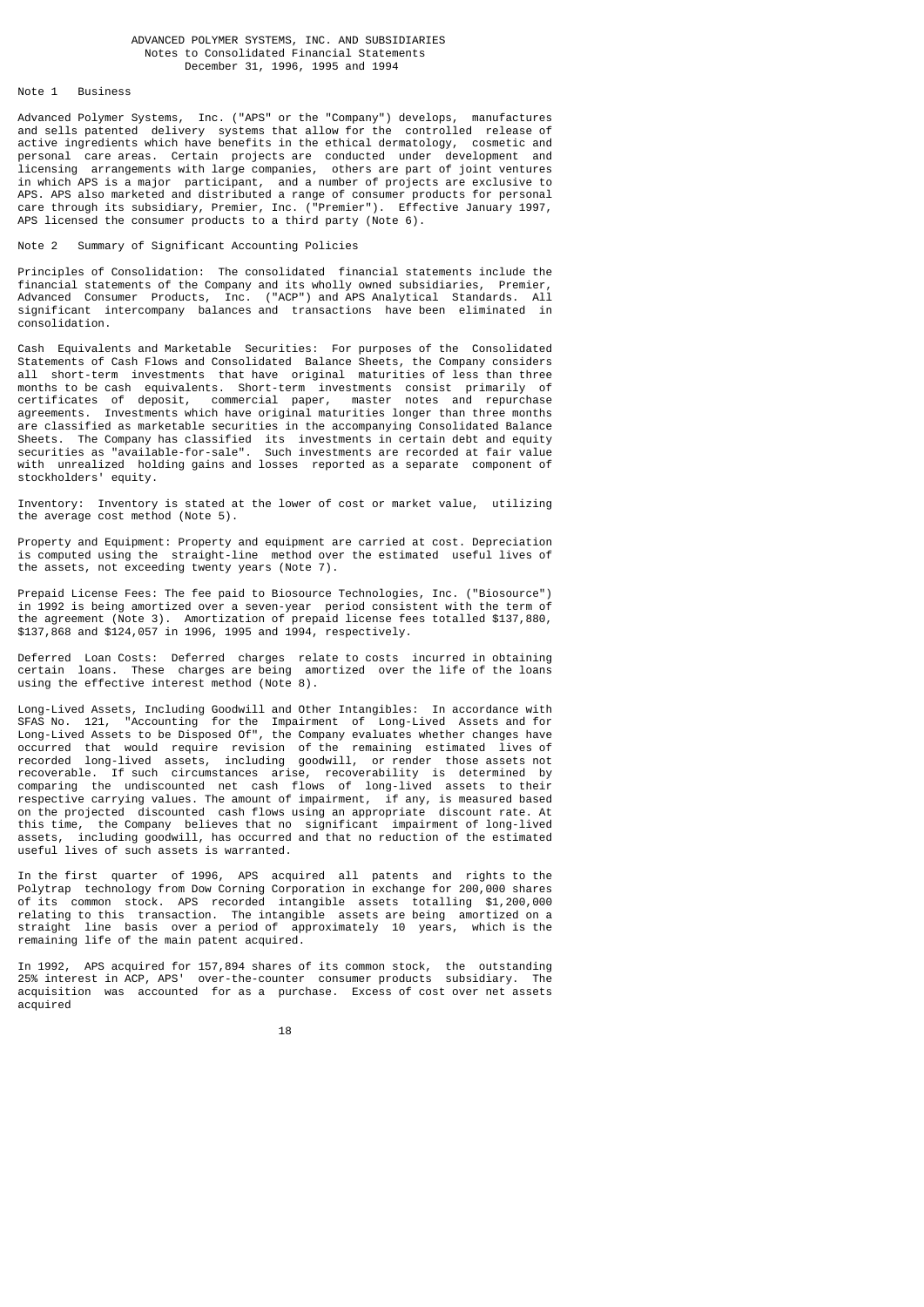# ADVANCED POLYMER SYSTEMS, INC. AND SUBSIDIARIES Notes to Consolidated Financial Statements December 31, 1996, 1995 and 1994

# Note 1 Business

Advanced Polymer Systems, Inc. ("APS" or the "Company") develops, manufactures and sells patented delivery systems that allow for the controlled release of active ingredients which have benefits in the ethical dermatology, cosmetic and personal care areas. Certain projects are conducted under development and licensing arrangements with large companies, others are part of joint ventures in which APS is a major participant, and a number of projects are exclusive to APS. APS also marketed and distributed a range of consumer products for personal care through its subsidiary, Premier, Inc. ("Premier"). Effective January 1997, APS licensed the consumer products to a third party (Note 6).

# Note 2 Summary of Significant Accounting Policies

Principles of Consolidation: The consolidated financial statements include the financial statements of the Company and its wholly owned subsidiaries, Premier, Advanced Consumer Products, Inc. ("ACP") and APS Analytical Standards. All significant intercompany balances and transactions have been eliminated in consolidation.

Cash Equivalents and Marketable Securities: For purposes of the Consolidated Statements of Cash Flows and Consolidated Balance Sheets, the Company considers all short-term investments that have original maturities of less than three months to be cash equivalents. Short-term investments consist primarily of certificates of deposit, commercial paper, master notes and repurchase agreements. Investments which have original maturities longer than three months are classified as marketable securities in the accompanying Consolidated Balance Sheets. The Company has classified its investments in certain debt and equity securities as "available-for-sale". Such investments are recorded at fair value with unrealized holding gains and losses reported as a separate component of stockholders' equity.

Inventory: Inventory is stated at the lower of cost or market value, utilizing the average cost method (Note 5).

Property and Equipment: Property and equipment are carried at cost. Depreciation is computed using the straight-line method over the estimated useful lives of the assets, not exceeding twenty years (Note 7).

Prepaid License Fees: The fee paid to Biosource Technologies, Inc. ("Biosource") in 1992 is being amortized over a seven-year period consistent with the term of the agreement (Note 3). Amortization of prepaid license fees totalled \$137,880, \$137,868 and \$124,057 in 1996, 1995 and 1994, respectively.

Deferred Loan Costs: Deferred charges relate to costs incurred in obtaining certain loans. These charges are being amortized over the life of the loans using the effective interest method (Note 8).

Long-Lived Assets, Including Goodwill and Other Intangibles: In accordance with SFAS No. 121, "Accounting for the Impairment of Long-Lived Assets and for Long-Lived Assets to be Disposed Of", the Company evaluates whether changes have occurred that would require revision of the remaining estimated lives of recorded long-lived assets, including goodwill, or render those assets not recoverable. If such circumstances arise, recoverability is determined by comparing the undiscounted net cash flows of long-lived assets to their respective carrying values. The amount of impairment, if any, is measured based on the projected discounted cash flows using an appropriate discount rate. At this time, the Company believes that no significant impairment of long-lived assets, including goodwill, has occurred and that no reduction of the estimated useful lives of such assets is warranted.

In the first quarter of 1996, APS acquired all patents and rights to the Polytrap technology from Dow Corning Corporation in exchange for 200,000 shares of its common stock. APS recorded intangible assets totalling \$1,200,000 relating to this transaction. The intangible assets are being amortized on a straight line basis over a period of approximately 10 years, which is the remaining life of the main patent acquired.

In 1992, APS acquired for 157,894 shares of its common stock, the outstanding 25% interest in ACP, APS' over-the-counter consumer products subsidiary. The acquisition was accounted for as a purchase. Excess of cost over net assets acquired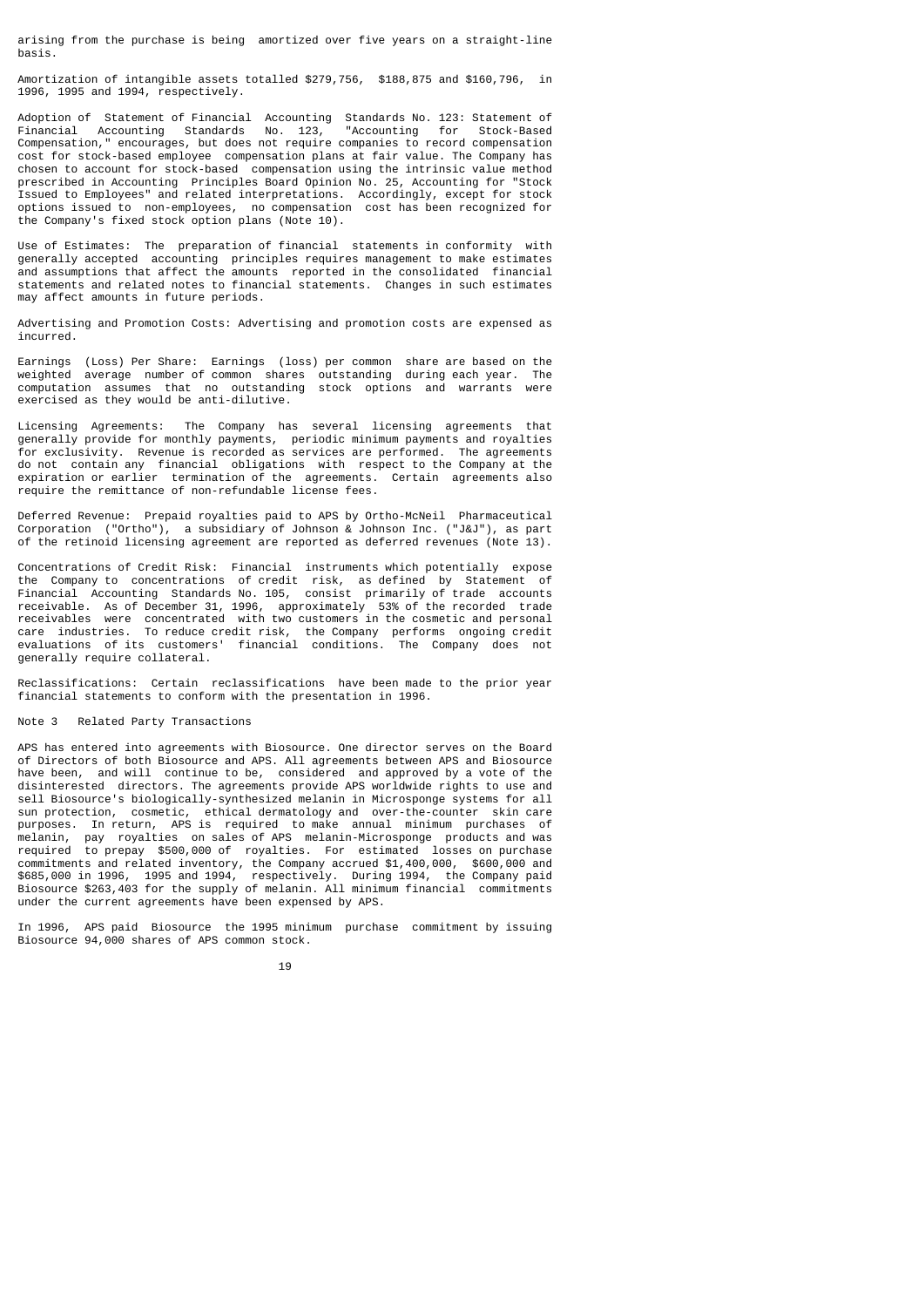arising from the purchase is being amortized over five years on a straight-line basis.

Amortization of intangible assets totalled \$279,756, \$188,875 and \$160,796, in 1996, 1995 and 1994, respectively.

Adoption of Statement of Financial Accounting Standards No. 123: Statement of Financial Accounting Standards No. 123, Compensation," encourages, but does not require companies to record compensation cost for stock-based employee compensation plans at fair value. The Company has chosen to account for stock-based compensation using the intrinsic value method prescribed in Accounting Principles Board Opinion No. 25, Accounting for "Stock Issued to Employees" and related interpretations. Accordingly, except for stock options issued to non-employees, no compensation cost has been recognized for the Company's fixed stock option plans (Note 10).

Use of Estimates: The preparation of financial statements in conformity with generally accepted accounting principles requires management to make estimates and assumptions that affect the amounts reported in the consolidated financial statements and related notes to financial statements. Changes in such estimates may affect amounts in future periods.

Advertising and Promotion Costs: Advertising and promotion costs are expensed as incurred.

Earnings (Loss) Per Share: Earnings (loss) per common share are based on the weighted average number of common shares outstanding during each year. computation assumes that no outstanding stock options and warrants were exercised as they would be anti-dilutive.

Licensing Agreements: The Company has several licensing agreements that generally provide for monthly payments, periodic minimum payments and royalties for exclusivity. Revenue is recorded as services are performed. The agreements do not contain any financial obligations with respect to the Company at the expiration or earlier termination of the agreements. Certain agreements also require the remittance of non-refundable license fees.

Deferred Revenue: Prepaid royalties paid to APS by Ortho-McNeil Pharmaceutical Corporation ("Ortho"), a subsidiary of Johnson & Johnson Inc. ("J&J"), as part of the retinoid licensing agreement are reported as deferred revenues (Note 13).

Concentrations of Credit Risk: Financial instruments which potentially expose the Company to concentrations of credit risk, as defined by Statement of Financial Accounting Standards No. 105, consist primarily of trade accounts receivable. As of December 31, 1996, approximately 53% of the recorded trade receivables were concentrated with two customers in the cosmetic and personal care industries. To reduce credit risk, the Company performs ongoing credit evaluations of its customers' financial conditions. The Company does not generally require collateral.

Reclassifications: Certain reclassifications have been made to the prior year financial statements to conform with the presentation in 1996.

# Note 3 Related Party Transactions

APS has entered into agreements with Biosource. One director serves on the Board of Directors of both Biosource and APS. All agreements between APS and Biosource have been, and will continue to be, considered and approved by a vote of the disinterested directors. The agreements provide APS worldwide rights to use and sell Biosource's biologically-synthesized melanin in Microsponge systems for all sun protection, cosmetic, ethical dermatology and over-the-counter skin care purposes. In return, APS is required to make annual minimum purchases of melanin, pay royalties on sales of APS melanin-Microsponge products and was<br>required to prepay \$500,000 of royalties. For estimated losses on purchase to prepay \$500,000 of royalties. For estimated losses on purchase commitments and related inventory, the Company accrued \$1,400,000, \$600,000 and \$685,000 in 1996, 1995 and 1994, respectively. During 1994, the Company paid Biosource \$263,403 for the supply of melanin. All minimum financial commitments under the current agreements have been expensed by APS.

In 1996, APS paid Biosource the 1995 minimum purchase commitment by issuing Biosource 94,000 shares of APS common stock.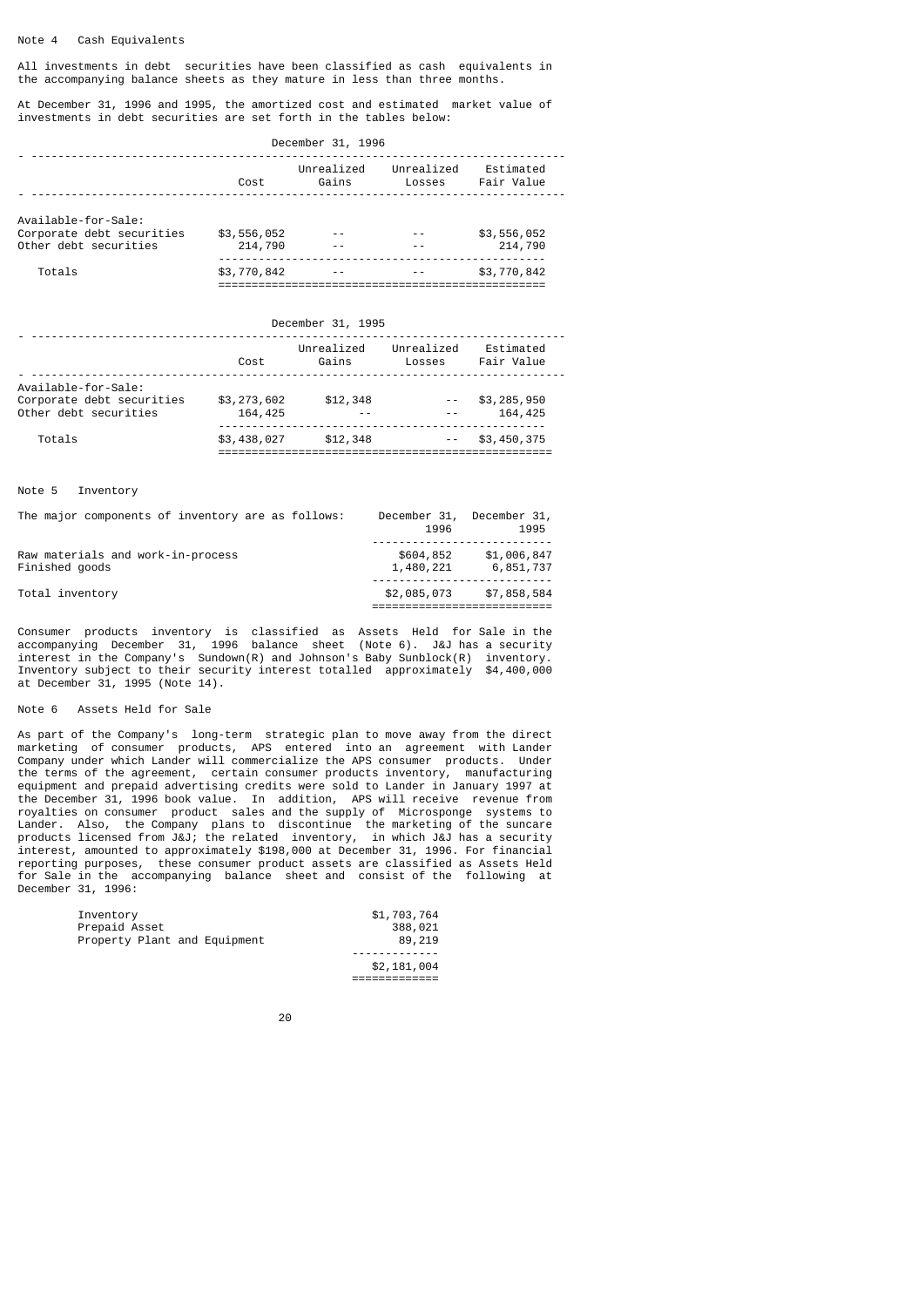# Note 4 Cash Equivalents

All investments in debt securities have been classified as cash equivalents in the accompanying balance sheets as they mature in less than three months.

At December 31, 1996 and 1995, the amortized cost and estimated market value of investments in debt securities are set forth in the tables below:

|                                                                           | December 31, 1996      |                     |                      |                         |  |  |  |
|---------------------------------------------------------------------------|------------------------|---------------------|----------------------|-------------------------|--|--|--|
|                                                                           | Cost                   | Unrealized<br>Gains | Unrealized<br>Losses | Estimated<br>Fair Value |  |  |  |
| Available-for-Sale:<br>Corporate debt securities<br>Other debt securities | \$3,556,052<br>214,790 |                     |                      | \$3,556,052<br>214,790  |  |  |  |
| Totals                                                                    | \$3,770,842            |                     |                      | \$3,770,842             |  |  |  |

# December 31, 1995

|                                                                           | Cost                   | Unrealized<br>Gains | Unrealized<br>Losses                                                                                                                                                                                                                                                                                                                                                                         | Estimated<br>Fair Value |
|---------------------------------------------------------------------------|------------------------|---------------------|----------------------------------------------------------------------------------------------------------------------------------------------------------------------------------------------------------------------------------------------------------------------------------------------------------------------------------------------------------------------------------------------|-------------------------|
| Available-for-Sale:<br>Corporate debt securities<br>Other debt securities | \$3,273,602<br>164,425 | \$12,348            | $\frac{1}{2} \frac{1}{2} \frac{1}{2} \frac{1}{2} \frac{1}{2} \frac{1}{2} \frac{1}{2} \frac{1}{2} \frac{1}{2} \frac{1}{2} \frac{1}{2} \frac{1}{2} \frac{1}{2} \frac{1}{2} \frac{1}{2} \frac{1}{2} \frac{1}{2} \frac{1}{2} \frac{1}{2} \frac{1}{2} \frac{1}{2} \frac{1}{2} \frac{1}{2} \frac{1}{2} \frac{1}{2} \frac{1}{2} \frac{1}{2} \frac{1}{2} \frac{1}{2} \frac{1}{2} \frac{1}{2} \frac{$ | \$3,285,950<br>164,425  |
| Totals                                                                    | \$3,438,027            | \$12,348            |                                                                                                                                                                                                                                                                                                                                                                                              | \$3,450,375             |

# Note 5 Inventory

| The major components of inventory are as follows:   | December 31,<br>1996   | December 31,<br>1995     |
|-----------------------------------------------------|------------------------|--------------------------|
| Raw materials and work-in-process<br>Finished goods | \$604,852<br>1,480,221 | \$1,006,847<br>6,851,737 |
| Total inventory                                     | \$2,085,073            | \$7,858,584              |

Consumer products inventory is classified as Assets Held for Sale in the accompanying December 31, 1996 balance sheet (Note 6). J&J has a security interest in the Company's Sundown(R) and Johnson's Baby Sunblock(R) inventory. Inventory subject to their security interest totalled approximately \$4,400,000 at December 31, 1995 (Note 14).

# Note 6 Assets Held for Sale

As part of the Company's long-term strategic plan to move away from the direct marketing of consumer products, APS entered into an agreement with Lander Company under which Lander will commercialize the APS consumer products. Under the terms of the agreement, certain consumer products inventory, manufacturing equipment and prepaid advertising credits were sold to Lander in January 1997 at the December 31, 1996 book value. In addition, APS will receive revenue from royalties on consumer product sales and the supply of Microsponge systems to Lander. Also, the Company plans to discontinue the marketing of the suncare products licensed from J&J; the related inventory, in which J&J has a security interest, amounted to approximately \$198,000 at December 31, 1996. For financial reporting purposes, these consumer product assets are classified as Assets Held for Sale in the accompanying balance sheet and consist of the following at December 31, 1996:

| Inventory                    | \$1,703,764 |
|------------------------------|-------------|
| Prepaid Asset                | 388,021     |
| Property Plant and Equipment | 89,219      |
|                              | \$2,181,004 |

=============

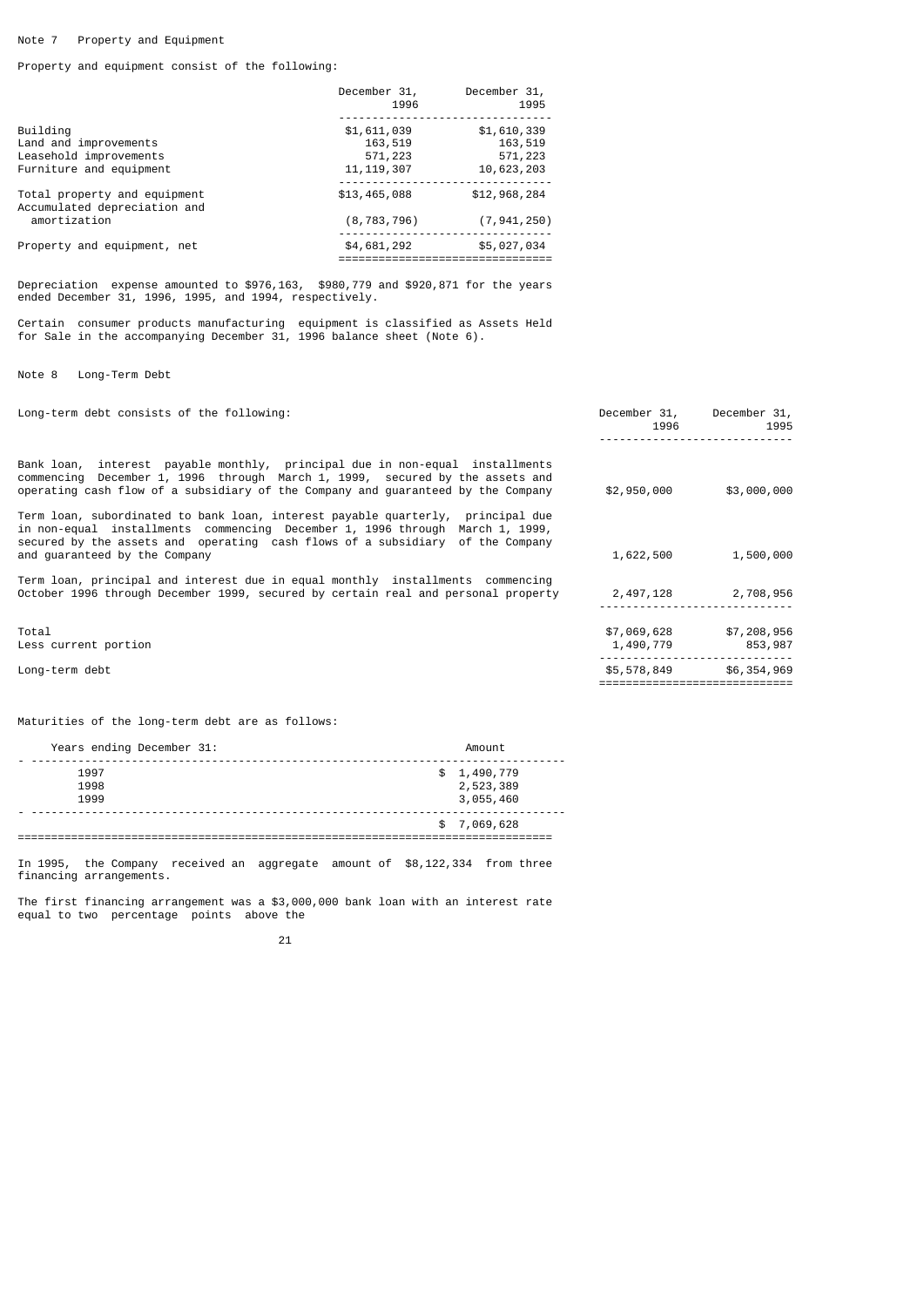# Note 7 Property and Equipment

Property and equipment consist of the following:

|                                                                                        | December 31,<br>1996                              | December 31,<br>1995                            |
|----------------------------------------------------------------------------------------|---------------------------------------------------|-------------------------------------------------|
| Building<br>Land and improvements<br>Leasehold improvements<br>Furniture and equipment | \$1,611,039<br>163,519<br>571,223<br>11, 119, 307 | \$1,610,339<br>163,519<br>571,223<br>10,623,203 |
| Total property and equipment<br>Accumulated depreciation and                           | \$13,465,088                                      | \$12,968,284                                    |
| amortization<br>Property and equipment, net                                            | (8, 783, 796)<br>\$4,681,292                      | (7, 941, 250)<br>\$5,027,034                    |
|                                                                                        |                                                   |                                                 |

Depreciation expense amounted to \$976,163, \$980,779 and \$920,871 for the years ended December 31, 1996, 1995, and 1994, respectively.

Certain consumer products manufacturing equipment is classified as Assets Held for Sale in the accompanying December 31, 1996 balance sheet (Note 6).

Note 8 Long-Term Debt

| Long-term debt consists of the following:                                                                                                                                                                                                                                          | December 31,<br>1996     | December 31,<br>1995   |
|------------------------------------------------------------------------------------------------------------------------------------------------------------------------------------------------------------------------------------------------------------------------------------|--------------------------|------------------------|
| Bank loan,  interest  payable monthly,  principal due in non-equal  installments<br>commencing December 1, 1996 through March 1, 1999, secured by the assets and<br>operating cash flow of a subsidiary of the Company and quaranteed by the Company                               | \$2,950,000              | \$3,000,000            |
| Term loan, subordinated to bank loan, interest payable quarterly,  principal due<br>in non-equal installments commencing December 1, 1996 through March 1, 1999,<br>secured by the assets and operating cash flows of a subsidiary of the Company<br>and quaranteed by the Company | 1,622,500                | 1,500,000              |
| Term loan, principal and interest due in equal monthly  installments  commencing<br>October 1996 through December 1999, secured by certain real and personal property                                                                                                              | 2,497,128                | 2,708,956              |
| Total<br>Less current portion                                                                                                                                                                                                                                                      | \$7,069,628<br>1,490,779 | \$7,208,956<br>853,987 |
| Long-term debt                                                                                                                                                                                                                                                                     | \$5,578,849              | \$6,354,969            |

Maturities of the long-term debt are as follows:

| Years ending December 31: | Amount                                |
|---------------------------|---------------------------------------|
| 1997<br>1998<br>1999      | \$1,490,779<br>2,523,389<br>3,055,460 |
|                           | \$7,069,628                           |

In 1995, the Company received an aggregate amount of \$8,122,334 from three financing arrangements.

The first financing arrangement was a \$3,000,000 bank loan with an interest rate equal to two percentage points above the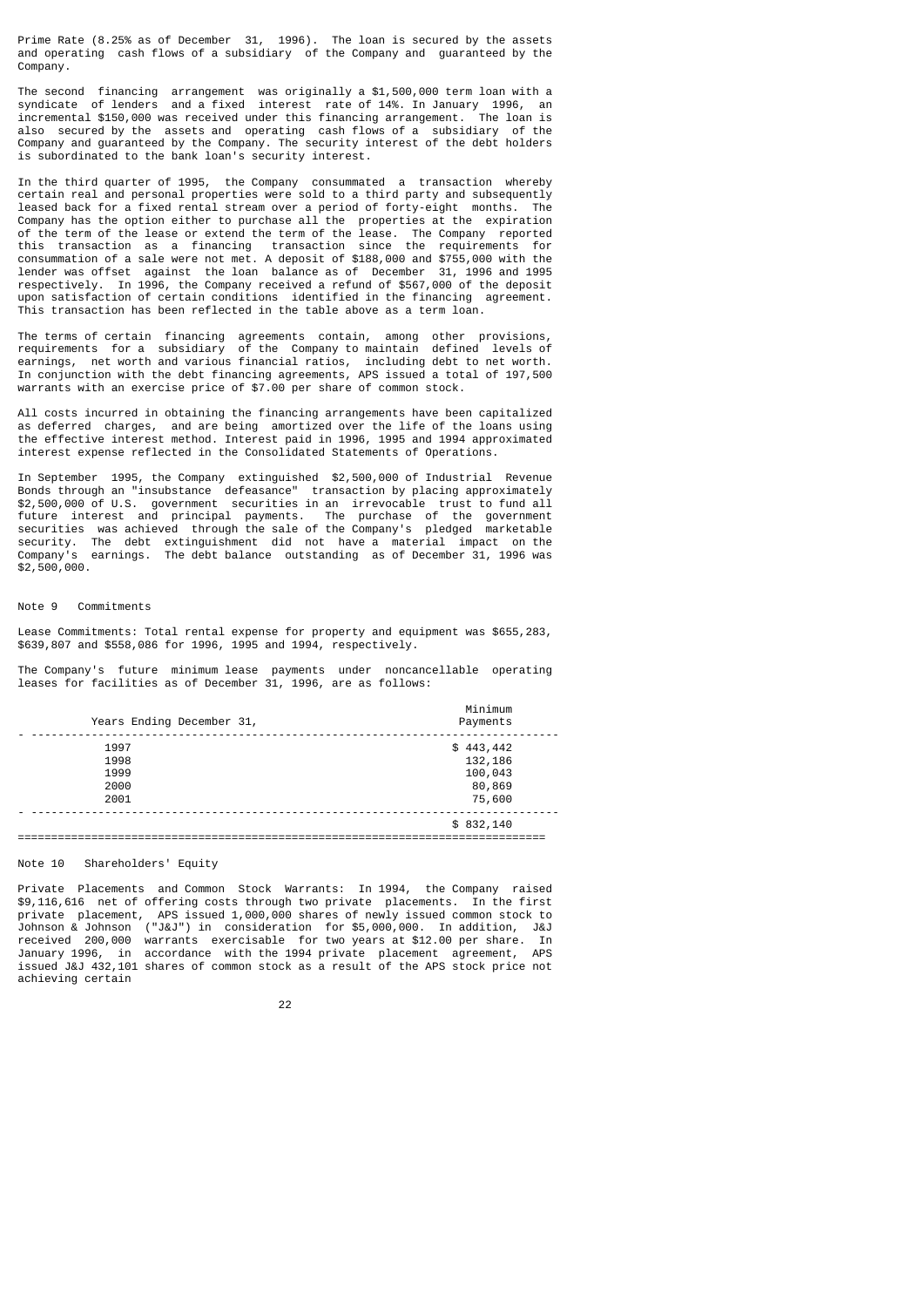Prime Rate (8.25% as of December 31, 1996). The loan is secured by the assets and operating cash flows of a subsidiary of the Company and guaranteed by the Company.

The second financing arrangement was originally a \$1,500,000 term loan with a syndicate of lenders and a fixed interest rate of 14%. In January 1996, an incremental \$150,000 was received under this financing arrangement. The loan is also secured by the assets and operating cash flows of a subsidiary of the Company and guaranteed by the Company. The security interest of the debt holders is subordinated to the bank loan's security interest.

In the third quarter of 1995, the Company consummated a transaction whereby certain real and personal properties were sold to a third party and subsequently leased back for a fixed rental stream over a period of forty-eight months. The Company has the option either to purchase all the properties at the expiration of the term of the lease or extend the term of the lease. The Company reported this transaction as a financing transaction since the requirements for consummation of a sale were not met. A deposit of \$188,000 and \$755,000 with the lender was offset against the loan balance as of December 31, 1996 and 1995 respectively. In 1996, the Company received a refund of \$567,000 of the deposit upon satisfaction of certain conditions identified in the financing agreement. This transaction has been reflected in the table above as a term loan.

The terms of certain financing agreements contain, among other provisions, requirements for a subsidiary of the Company to maintain defined levels of earnings, net worth and various financial ratios, including debt to net worth. In conjunction with the debt financing agreements, APS issued a total of 197,500 warrants with an exercise price of \$7.00 per share of common stock.

All costs incurred in obtaining the financing arrangements have been capitalized as deferred charges, and are being amortized over the life of the loans using the effective interest method. Interest paid in 1996, 1995 and 1994 approximated interest expense reflected in the Consolidated Statements of Operations.

In September 1995, the Company extinguished \$2,500,000 of Industrial Revenue Bonds through an "insubstance defeasance" transaction by placing approximately \$2,500,000 of U.S. government securities in an irrevocable trust to fund all future interest and principal payments. The purchase of the government securities was achieved through the sale of the Company's pledged marketable security. The debt extinguishment did not have a material impact on the Company's earnings. The debt balance outstanding as of December 31, 1996 was  $$2,500,000.$ 

# Note 9 Commitments

Lease Commitments: Total rental expense for property and equipment was \$655,283, \$639,807 and \$558,086 for 1996, 1995 and 1994, respectively.

The Company's future minimum lease payments under noncancellable operating leases for facilities as of December 31, 1996, are as follows:

| Years Ending December 31, | Minimum<br>Payments |
|---------------------------|---------------------|
| 1997                      | \$443,442           |
| 1998                      | 132,186             |
| 1999                      | 100,043             |
| 2000                      | 80,869              |
| 2001                      | 75,600              |
|                           | \$832,140           |
|                           |                     |

Note 10 Shareholders' Equity

Private Placements and Common Stock Warrants: In 1994, the Company raised \$9,116,616 net of offering costs through two private placements. In the first private placement, APS issued 1,000,000 shares of newly issued common stock to Johnson & Johnson ("J&J") in consideration for \$5,000,000. In addition, J&J received 200,000 warrants exercisable for two years at \$12.00 per share. In January 1996, in accordance with the 1994 private placement agreement, APS issued J&J 432,101 shares of common stock as a result of the APS stock price not achieving certain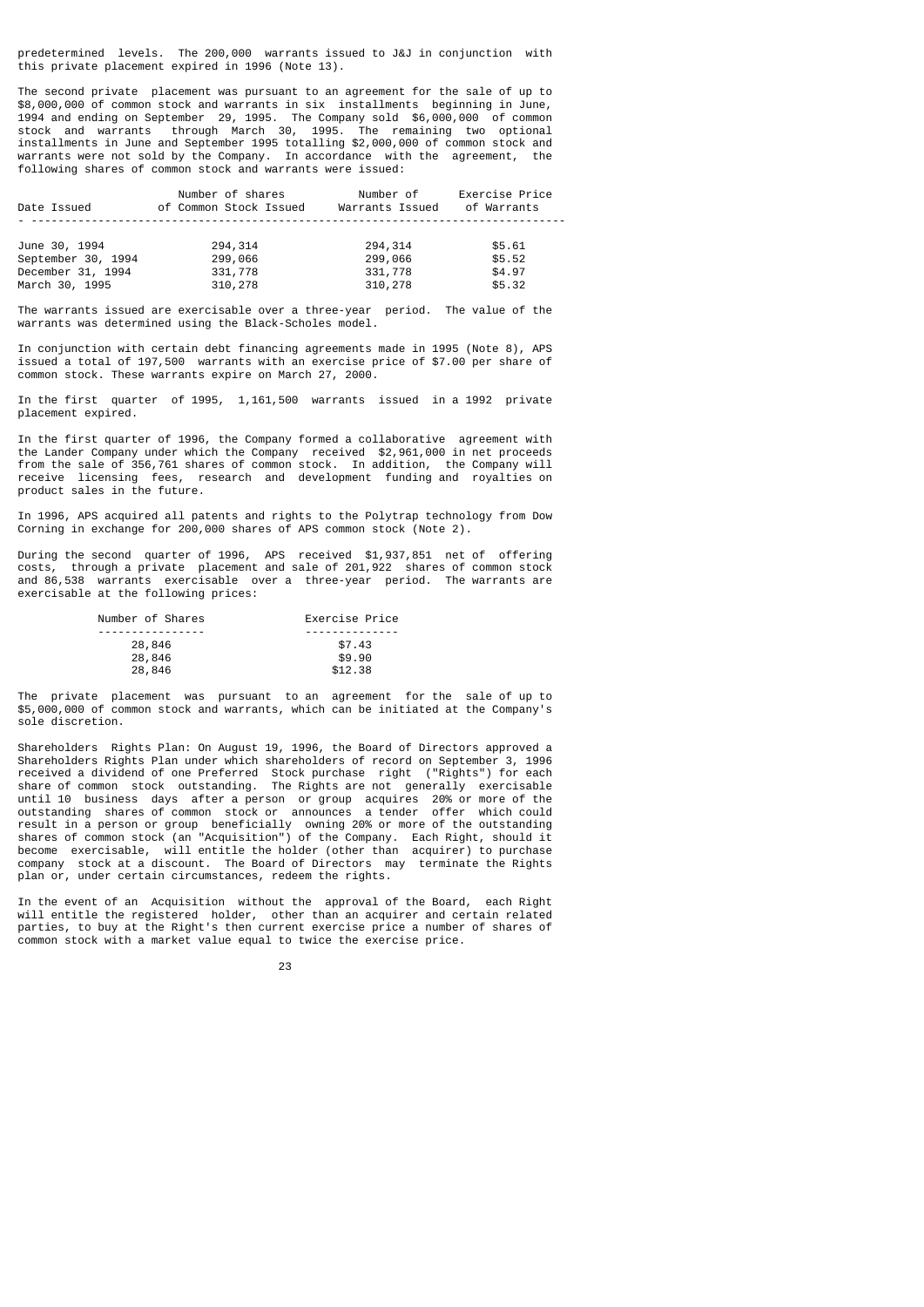predetermined levels. The 200,000 warrants issued to J&J in conjunction with this private placement expired in 1996 (Note 13).

The second private placement was pursuant to an agreement for the sale of up to \$8,000,000 of common stock and warrants in six installments beginning in June, 1994 and ending on September 29, 1995. The Company sold \$6,000,000 of common stock and warrants through March 30, 1995. The remaining two optional installments in June and September 1995 totalling \$2,000,000 of common stock and warrants were not sold by the Company. In accordance with the agreement, the following shares of common stock and warrants were issued:

|             | Number of shares |                        | Number of       | Exercise Price |
|-------------|------------------|------------------------|-----------------|----------------|
| Date Issued |                  | of Common Stock Issued | Warrants Issued | of Warrants    |
|             |                  |                        |                 |                |

| June 30, 1994      | 294,314 | 294, 314 | \$5.61 |
|--------------------|---------|----------|--------|
| September 30, 1994 | 299,066 | 299,066  | \$5.52 |
| December 31, 1994  | 331,778 | 331,778  | \$4.97 |
| March 30, 1995     | 310,278 | 310,278  | \$5.32 |

The warrants issued are exercisable over a three-year period. The value of the warrants was determined using the Black-Scholes model.

In conjunction with certain debt financing agreements made in 1995 (Note 8), APS issued a total of 197,500 warrants with an exercise price of \$7.00 per share of common stock. These warrants expire on March 27, 2000.

In the first quarter of 1995, 1,161,500 warrants issued in a 1992 private placement expired.

In the first quarter of 1996, the Company formed a collaborative agreement with the Lander Company under which the Company received \$2,961,000 in net proceeds from the sale of 356,761 shares of common stock. In addition, the Company will receive licensing fees, research and development funding and royalties on product sales in the future.

In 1996, APS acquired all patents and rights to the Polytrap technology from Dow Corning in exchange for 200,000 shares of APS common stock (Note 2).

During the second quarter of 1996, APS received \$1,937,851 net of offering costs, through a private placement and sale of 201,922 shares of common stock and 86,538 warrants exercisable over a three-year period. The warrants are exercisable at the following prices:

| Number of Shares | Exercise Price |
|------------------|----------------|
|                  |                |
| 28,846           | \$7.43         |
| 28,846           | \$9.90         |
| 28,846           | \$12.38        |

The private placement was pursuant to an agreement for the sale of up to \$5,000,000 of common stock and warrants, which can be initiated at the Company's sole discretion.

Shareholders Rights Plan: On August 19, 1996, the Board of Directors approved a Shareholders Rights Plan under which shareholders of record on September 3, 1996 received a dividend of one Preferred Stock purchase right ("Rights") for each share of common stock outstanding. The Rights are not generally exercisable until 10 business days after a person or group acquires 20% or more of the outstanding shares of common stock or announces a tender offer which could result in a person or group beneficially owning 20% or more of the outstanding shares of common stock (an "Acquisition") of the Company. Each Right, should it become exercisable, will entitle the holder (other than acquirer) to purchase company stock at a discount. The Board of Directors may terminate the Rights plan or, under certain circumstances, redeem the rights.

In the event of an Acquisition without the approval of the Board, each Right will entitle the registered holder, other than an acquirer and certain related parties, to buy at the Right's then current exercise price a number of shares of common stock with a market value equal to twice the exercise price.

<u>23 and 23</u>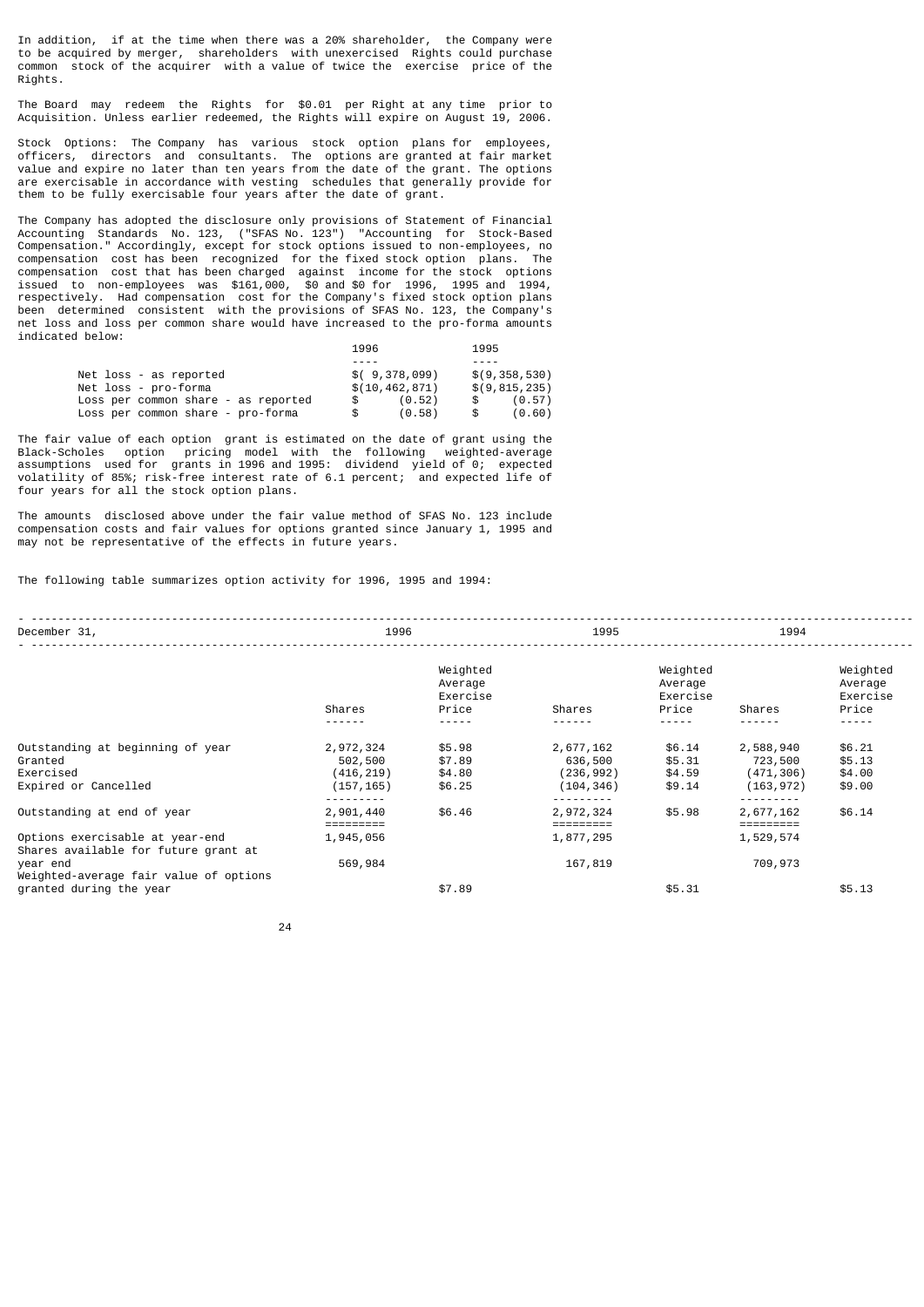In addition, if at the time when there was a 20% shareholder, the Company were to be acquired by merger, shareholders with unexercised Rights could purchase common stock of the acquirer with a value of twice the exercise price of the Rights.

The Board may redeem the Rights for \$0.01 per Right at any time prior to Acquisition. Unless earlier redeemed, the Rights will expire on August 19, 2006.

Stock Options: The Company has various stock option plans for employees, officers, directors and consultants. The options are granted at fair market value and expire no later than ten years from the date of the grant. The options are exercisable in accordance with vesting schedules that generally provide for them to be fully exercisable four years after the date of grant.

The Company has adopted the disclosure only provisions of Statement of Financial Accounting Standards No. 123, ("SFAS No. 123") "Accounting for Stock-Based Compensation." Accordingly, except for stock options issued to non-employees, no compensation cost has been recognized for the fixed stock option plans. The compensation cost that has been charged against income for the stock options issued to non-employees was \$161,000, \$0 and \$0 for 1996, 1995 and 1994, respectively. Had compensation cost for the Company's fixed stock option plans been determined consistent with the provisions of SFAS No. 123, the Company's net loss and loss per common share would have increased to the pro-forma amounts indicated below:

|                                     | 1996             | 1995            |
|-------------------------------------|------------------|-----------------|
|                                     |                  |                 |
| Net loss - as reported              | \$(9,378,099)    | \$(9,358,530)   |
| Net loss - pro-forma                | \$(10, 462, 871) | \$(9, 815, 235) |
| Loss per common share - as reported | (0.52)           | (0.57)          |
| Loss per common share - pro-forma   | (0.58)<br>\$.    | (0.60)          |

The fair value of each option grant is estimated on the date of grant using the Black-Scholes option pricing model with the following weighted-average assumptions used for grants in 1996 and 1995: dividend yield of 0; expected volatility of 85%; risk-free interest rate of 6.1 percent; and expected life of four years for all the stock option plans.

The amounts disclosed above under the fair value method of SFAS No. 123 include compensation costs and fair values for options granted since January 1, 1995 and may not be representative of the effects in future years.

The following table summarizes option activity for 1996, 1995 and 1994:

| December 31,                                                                                                      |                                                  | 1996<br>1995                             |                                                  | 1994                                     |                                                  |                                               |
|-------------------------------------------------------------------------------------------------------------------|--------------------------------------------------|------------------------------------------|--------------------------------------------------|------------------------------------------|--------------------------------------------------|-----------------------------------------------|
|                                                                                                                   | Shares<br><u>.</u>                               | Weighted<br>Average<br>Exercise<br>Price | Shares                                           | Weighted<br>Average<br>Exercise<br>Price | Shares                                           | Weighted<br>Average<br>Exercise<br>Price<br>. |
| Outstanding at beginning of year<br>Granted<br>Exercised<br>Expired or Cancelled                                  | 2,972,324<br>502,500<br>(416, 219)<br>(157, 165) | \$5.98<br>\$7.89<br>\$4.80<br>\$6.25     | 2,677,162<br>636,500<br>(236, 992)<br>(104, 346) | \$6.14<br>\$5.31<br>\$4.59<br>\$9.14     | 2,588,940<br>723,500<br>(471, 306)<br>(163, 972) | \$6.21<br>\$5.13<br>\$4.00<br>\$9.00          |
| Outstanding at end of year<br>Options exercisable at year-end<br>Shares available for future grant at<br>year end | 2,901,440<br>1,945,056<br>569,984                | \$6.46                                   | 2,972,324<br>1,877,295<br>167,819                | \$5.98                                   | 2,677,162<br>1,529,574<br>709,973                | \$6.14                                        |
| Weighted-average fair value of options<br>granted during the year                                                 |                                                  | \$7.89                                   |                                                  | \$5.31                                   |                                                  | \$5.13                                        |

<u>24</u>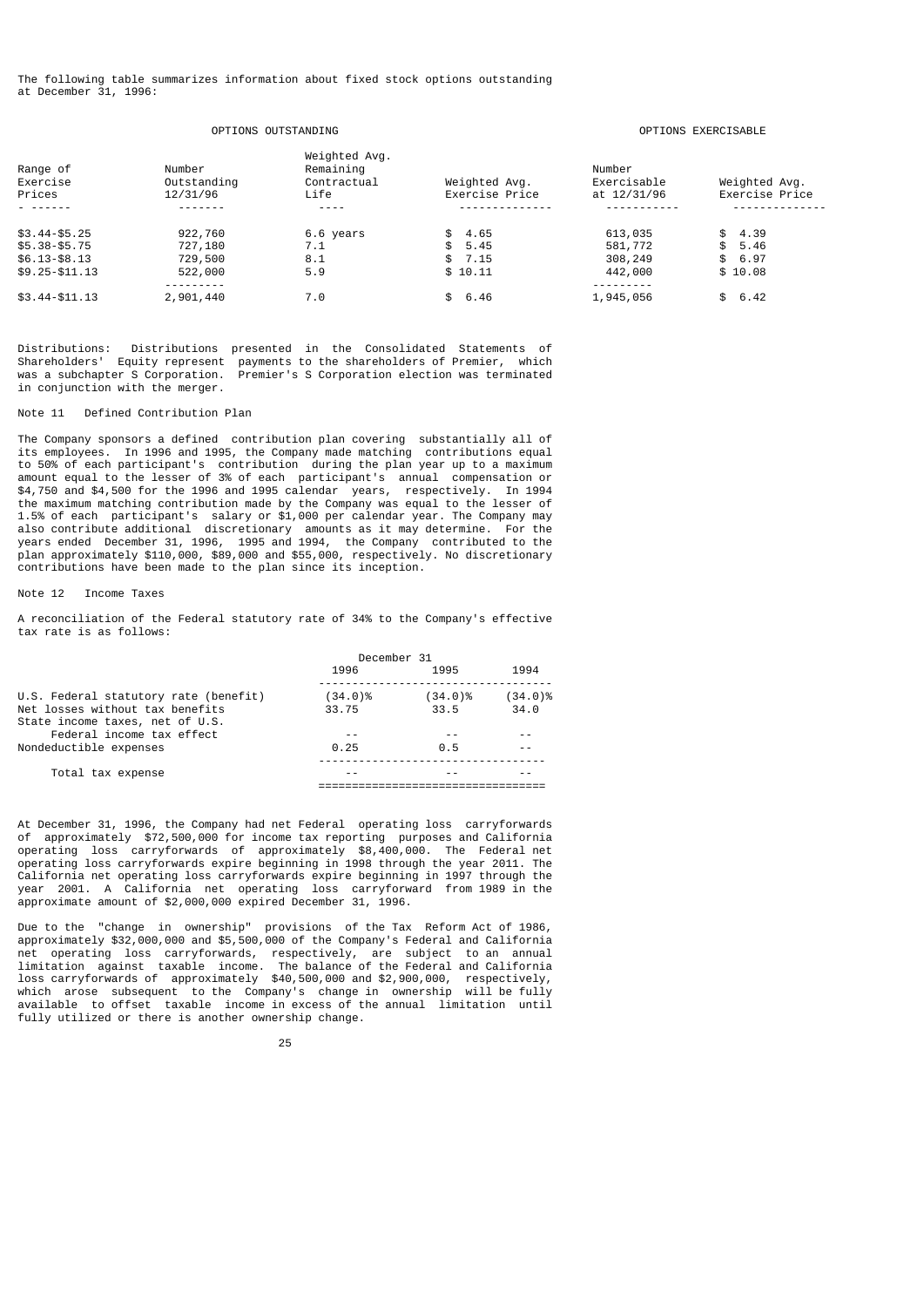The following table summarizes information about fixed stock options outstanding at December 31, 1996:

# OPTIONS OUTSTANDING OPTIONS EXERCISABLE

| Range of<br>Exercise<br>Prices | Number<br>Outstanding<br>12/31/96 | Weighted Avg.<br>Remaining<br>Contractual<br>Life | Weighted Avg.<br>Exercise Price | Number<br>Exercisable<br>at 12/31/96 | Weighted Avg.<br>Exercise Price |
|--------------------------------|-----------------------------------|---------------------------------------------------|---------------------------------|--------------------------------------|---------------------------------|
|                                |                                   |                                                   |                                 |                                      |                                 |
| $$3.44 - $5.25$                | 922,760                           | 6.6 years                                         | \$4.65                          | 613,035                              | \$4.39                          |
| $$5.38 - $5.75$                | 727,180                           | 7.1                                               | \$5.45                          | 581,772                              | \$5.46                          |
| $$6.13 - $8.13$                | 729,500                           | 8.1                                               | \$7.15                          | 308,249                              | \$6.97                          |
| $$9.25 - $11.13$               | 522,000                           | 5.9                                               | \$10.11                         | 442,000                              | \$10.08                         |
|                                | - - - - - - - - -                 |                                                   |                                 | - - - - - - - - -                    |                                 |
| $$3.44 - $11.13$               | 2,901,440                         | 7.0                                               | \$6.46                          | 1,945,056                            | \$6.42                          |

Distributions: Distributions presented in the Consolidated Statements of Shareholders' Equity represent payments to the shareholders of Premier, which was a subchapter S Corporation. Premier's S Corporation election was terminated in conjunction with the merger.

# Note 11 Defined Contribution Plan

The Company sponsors a defined contribution plan covering substantially all of its employees. In 1996 and 1995, the Company made matching contributions equal to 50% of each participant's contribution during the plan year up to a maximum amount equal to the lesser of 3% of each participant's annual compensation or \$4,750 and \$4,500 for the 1996 and 1995 calendar years, respectively. In 1994 the maximum matching contribution made by the Company was equal to the lesser of 1.5% of each participant's salary or \$1,000 per calendar year. The Company may also contribute additional discretionary amounts as it may determine. For the years ended December 31, 1996, 1995 and 1994, the Company contributed to the plan approximately \$110,000, \$89,000 and \$55,000, respectively. No discretionary contributions have been made to the plan since its inception.

# Note 12 Income Taxes

A reconciliation of the Federal statutory rate of 34% to the Company's effective tax rate is as follows:

| December 31 |            |            |
|-------------|------------|------------|
| 1996        | 1995       | 1994       |
| $(34.0)\%$  | $(34.0)\%$ | $(34.0)\%$ |
| 33.75       | 33.5       | 34.0       |
|             |            |            |
| 0.25        | 0.5        |            |
|             |            |            |
|             |            |            |
|             |            |            |
|             |            |            |

At December 31, 1996, the Company had net Federal operating loss carryforwards of approximately \$72,500,000 for income tax reporting purposes and California operating loss carryforwards of approximately \$8,400,000. The Federal net operating loss carryforwards expire beginning in 1998 through the year 2011. The California net operating loss carryforwards expire beginning in 1997 through the year 2001. A California net operating loss carryforward from 1989 in the approximate amount of \$2,000,000 expired December 31, 1996.

Due to the "change in ownership" provisions of the Tax Reform Act of 1986, approximately \$32,000,000 and \$5,500,000 of the Company's Federal and California net operating loss carryforwards, respectively, are subject to an annual limitation against taxable income. The balance of the Federal and California loss carryforwards of approximately \$40,500,000 and \$2,900,000, respectively, which arose subsequent to the Company's change in ownership will be fully available to offset taxable income in excess of the annual limitation until fully utilized or there is another ownership change.

<u>25 and 25 and 26 and 26 and 26 and 26 and 26 and 26 and 26 and 26 and 26 and 26 and 26 and 26 and 26 and 26 and 26 and 26 and 26 and 26 and 26 and 26 and 26 and 26 and 26 and 27 and 27 and 27 and 27 and 27 and 27 and 27 a</u>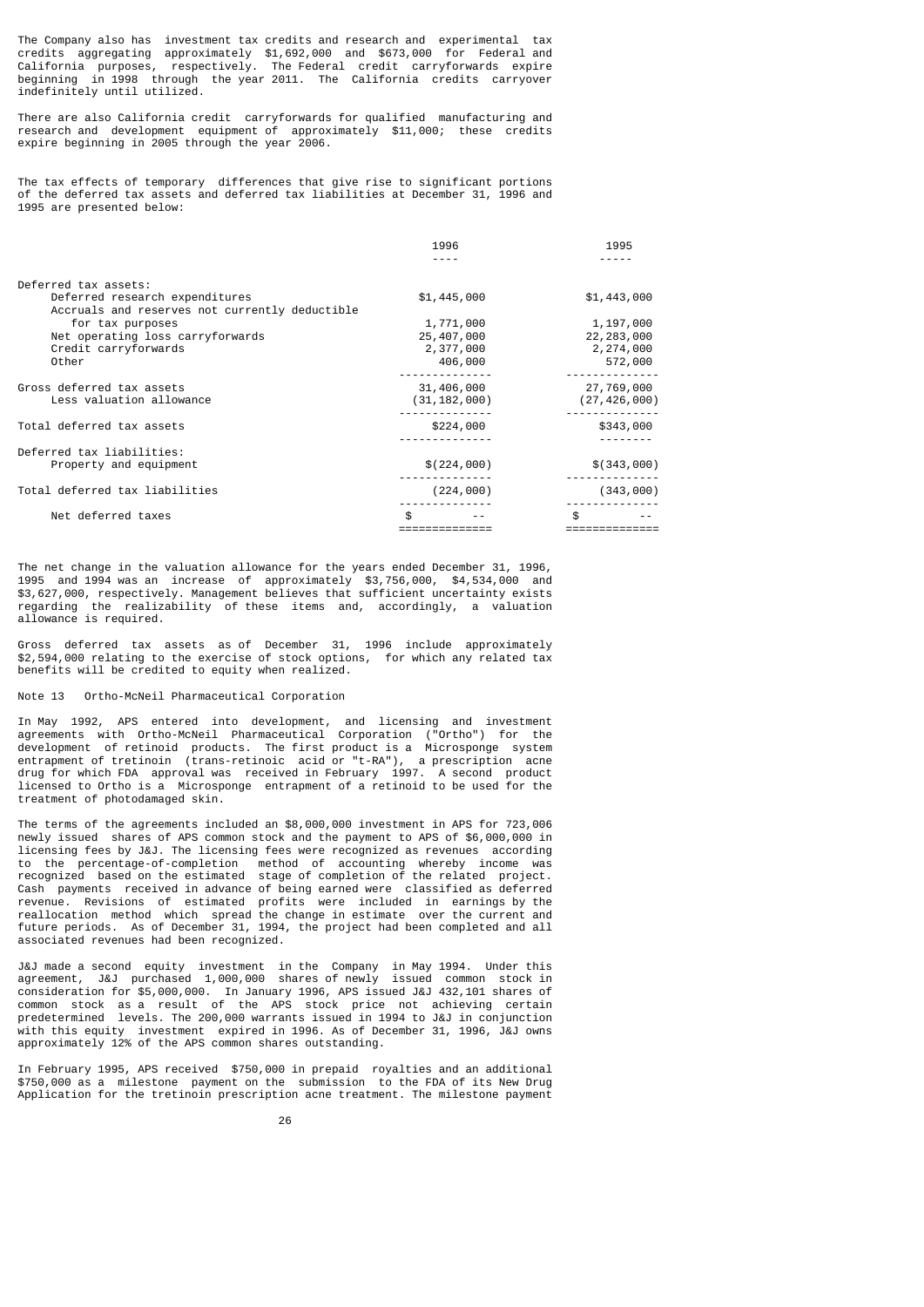The Company also has investment tax credits and research and experimental tax credits aggregating approximately \$1,692,000 and \$673,000 for Federal and California purposes, respectively. The Federal credit carryforwards expire beginning in 1998 through the year 2011. The California credits carryover indefinitely until utilized.

There are also California credit carryforwards for qualified manufacturing and research and development equipment of approximately \$11,000; these credits expire beginning in 2005 through the year 2006.

The tax effects of temporary differences that give rise to significant portions of the deferred tax assets and deferred tax liabilities at December 31, 1996 and 1995 are presented below:

|                                                |     | 1996           | 1995           |
|------------------------------------------------|-----|----------------|----------------|
|                                                |     |                |                |
| Deferred tax assets:                           |     |                |                |
| Deferred research expenditures                 |     | \$1,445,000    | \$1,443,000    |
| Accruals and reserves not currently deductible |     |                |                |
| for tax purposes                               |     | 1,771,000      | 1,197,000      |
| Net operating loss carryforwards               |     | 25,407,000     | 22, 283, 000   |
| Credit carryforwards                           |     | 2,377,000      | 2,274,000      |
| Other                                          |     | 406,000        | 572,000        |
| Gross deferred tax assets                      |     | 31,406,000     | 27,769,000     |
| Less valuation allowance                       |     | (31, 182, 000) | (27, 426, 000) |
| Total deferred tax assets                      |     | \$224,000      | \$343,000      |
|                                                |     |                |                |
| Deferred tax liabilities:                      |     |                |                |
| Property and equipment                         |     | \$(224,000)    | \$(343,000)    |
| Total deferred tax liabilities                 |     | (224, 000)     | (343,000)      |
| Net deferred taxes                             | \$. |                | \$             |
|                                                |     |                |                |

The net change in the valuation allowance for the years ended December 31, 1996, 1995 and 1994 was an increase of approximately \$3,756,000, \$4,534,000 and \$3,627,000, respectively. Management believes that sufficient uncertainty exists regarding the realizability of these items and, accordingly, a valuation allowance is required.

Gross deferred tax assets as of December 31, 1996 include approximately \$2,594,000 relating to the exercise of stock options, for which any related tax benefits will be credited to equity when realized.

# Note 13 Ortho-McNeil Pharmaceutical Corporation

In May 1992, APS entered into development, and licensing and investment agreements with Ortho-McNeil Pharmaceutical Corporation ("Ortho") for the development of retinoid products. The first product is a Microsponge system entrapment of tretinoin (trans-retinoic acid or "t-RA"), a prescription acne drug for which FDA approval was received in February 1997. A second product licensed to Ortho is a Microsponge entrapment of a retinoid to be used for the treatment of photodamaged skin.

The terms of the agreements included an \$8,000,000 investment in APS for 723,006 newly issued shares of APS common stock and the payment to APS of \$6,000,000 in licensing fees by J&J. The licensing fees were recognized as revenues according to the percentage-of-completion method of accounting whereby income was recognized based on the estimated stage of completion of the related project. Cash payments received in advance of being earned were classified as deferred revenue. Revisions of estimated profits were included in earnings by the reallocation method which spread the change in estimate over the current and future periods. As of December 31, 1994, the project had been completed and all associated revenues had been recognized.

J&J made a second equity investment in the Company in May 1994. Under this agreement, J&J purchased 1,000,000 shares of newly issued common stock in consideration for \$5,000,000. In January 1996, APS issued J&J 432,101 shares of common stock as a result of the APS stock price not achieving certain predetermined levels. The 200,000 warrants issued in 1994 to J&J in conjunction with this equity investment expired in 1996. As of December 31, 1996, J&J owns approximately 12% of the APS common shares outstanding.

In February 1995, APS received \$750,000 in prepaid royalties and an additional \$750,000 as a milestone payment on the submission to the FDA of its New Drug Application for the tretinoin prescription acne treatment. The milestone payment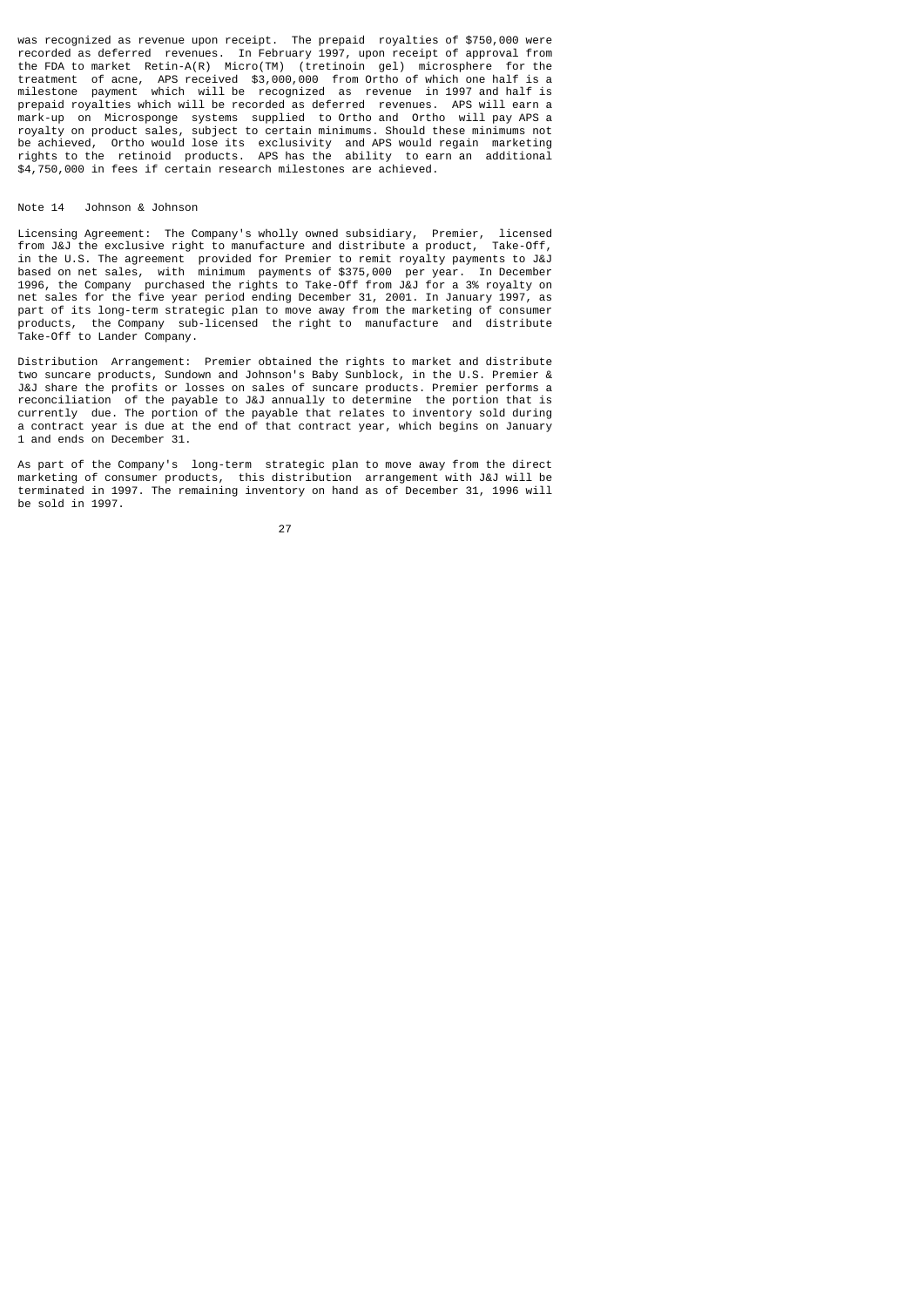was recognized as revenue upon receipt. The prepaid royalties of \$750,000 were recorded as deferred revenues. In February 1997, upon receipt of approval from the FDA to market Retin-A(R) Micro(TM) (tretinoin gel) microsphere for the treatment of acne, APS received \$3,000,000 from Ortho of which one half is a milestone payment which will be recognized as revenue in 1997 and half is prepaid royalties which will be recorded as deferred revenues. APS will earn a mark-up on Microsponge systems supplied to Ortho and Ortho will pay APS a royalty on product sales, subject to certain minimums. Should these minimums not be achieved, Ortho would lose its exclusivity and APS would regain marketing rights to the retinoid products. APS has the ability to earn an additional \$4,750,000 in fees if certain research milestones are achieved.

# Note 14 Johnson & Johnson

Licensing Agreement: The Company's wholly owned subsidiary, Premier, licensed from J&J the exclusive right to manufacture and distribute a product, Take-Off, in the U.S. The agreement provided for Premier to remit royalty payments to J&J based on net sales, with minimum payments of \$375,000 per year. In December 1996, the Company purchased the rights to Take-Off from J&J for a 3% royalty on net sales for the five year period ending December 31, 2001. In January 1997, as part of its long-term strategic plan to move away from the marketing of consumer products, the Company sub-licensed the right to manufacture and distribute Take-Off to Lander Company.

Distribution Arrangement: Premier obtained the rights to market and distribute two suncare products, Sundown and Johnson's Baby Sunblock, in the U.S. Premier & J&J share the profits or losses on sales of suncare products. Premier performs a reconciliation of the payable to J&J annually to determine the portion that is currently due. The portion of the payable that relates to inventory sold during a contract year is due at the end of that contract year, which begins on January 1 and ends on December 31.

As part of the Company's long-term strategic plan to move away from the direct marketing of consumer products, this distribution arrangement with J&J will be terminated in 1997. The remaining inventory on hand as of December 31, 1996 will be sold in 1997.

<u>27 and 27</u>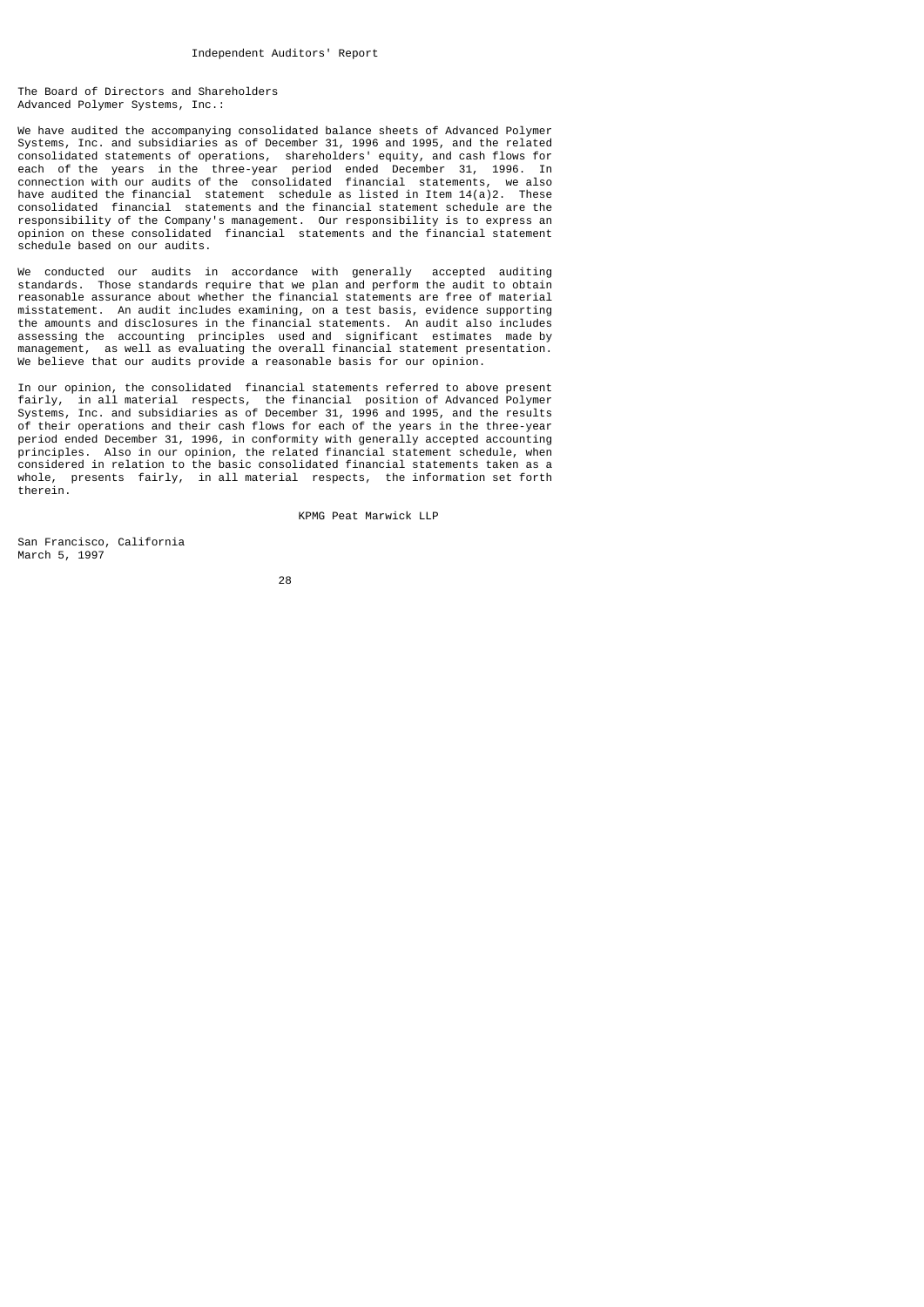The Board of Directors and Shareholders Advanced Polymer Systems, Inc.:

We have audited the accompanying consolidated balance sheets of Advanced Polymer Systems, Inc. and subsidiaries as of December 31, 1996 and 1995, and the related consolidated statements of operations, shareholders' equity, and cash flows for each of the years in the three-year period ended December 31, 1996. In connection with our audits of the consolidated financial statements, we also have audited the financial statement schedule as listed in Item  $14(a)2$ . These consolidated financial statements and the financial statement schedule are the responsibility of the Company's management. Our responsibility is to express an opinion on these consolidated financial statements and the financial statement schedule based on our audits.

We conducted our audits in accordance with generally accepted auditing standards. Those standards require that we plan and perform the audit to obtain reasonable assurance about whether the financial statements are free of material misstatement. An audit includes examining, on a test basis, evidence supporting the amounts and disclosures in the financial statements. An audit also includes assessing the accounting principles used and significant estimates made by management, as well as evaluating the overall financial statement presentation. We believe that our audits provide a reasonable basis for our opinion.

In our opinion, the consolidated financial statements referred to above present fairly, in all material respects, the financial position of Advanced Polymer Systems, Inc. and subsidiaries as of December 31, 1996 and 1995, and the results of their operations and their cash flows for each of the years in the three-year period ended December 31, 1996, in conformity with generally accepted accounting principles. Also in our opinion, the related financial statement schedule, when considered in relation to the basic consolidated financial statements taken as a whole, presents fairly, in all material respects, the information set forth therein.

KPMG Peat Marwick LLP

San Francisco, California March 5, 1997

<u>28 and 28 and 28 and 28 and 28 and 28 and 28 and 28 and 28 and 28 and 28 and 28 and 28 and 28 and 28 and 28 and 28 and 28 and 28 and 28 and 28 and 28 and 28 and 28 and 28 and 28 and 28 and 28 and 28 and 28 and 28 and 28 a</u>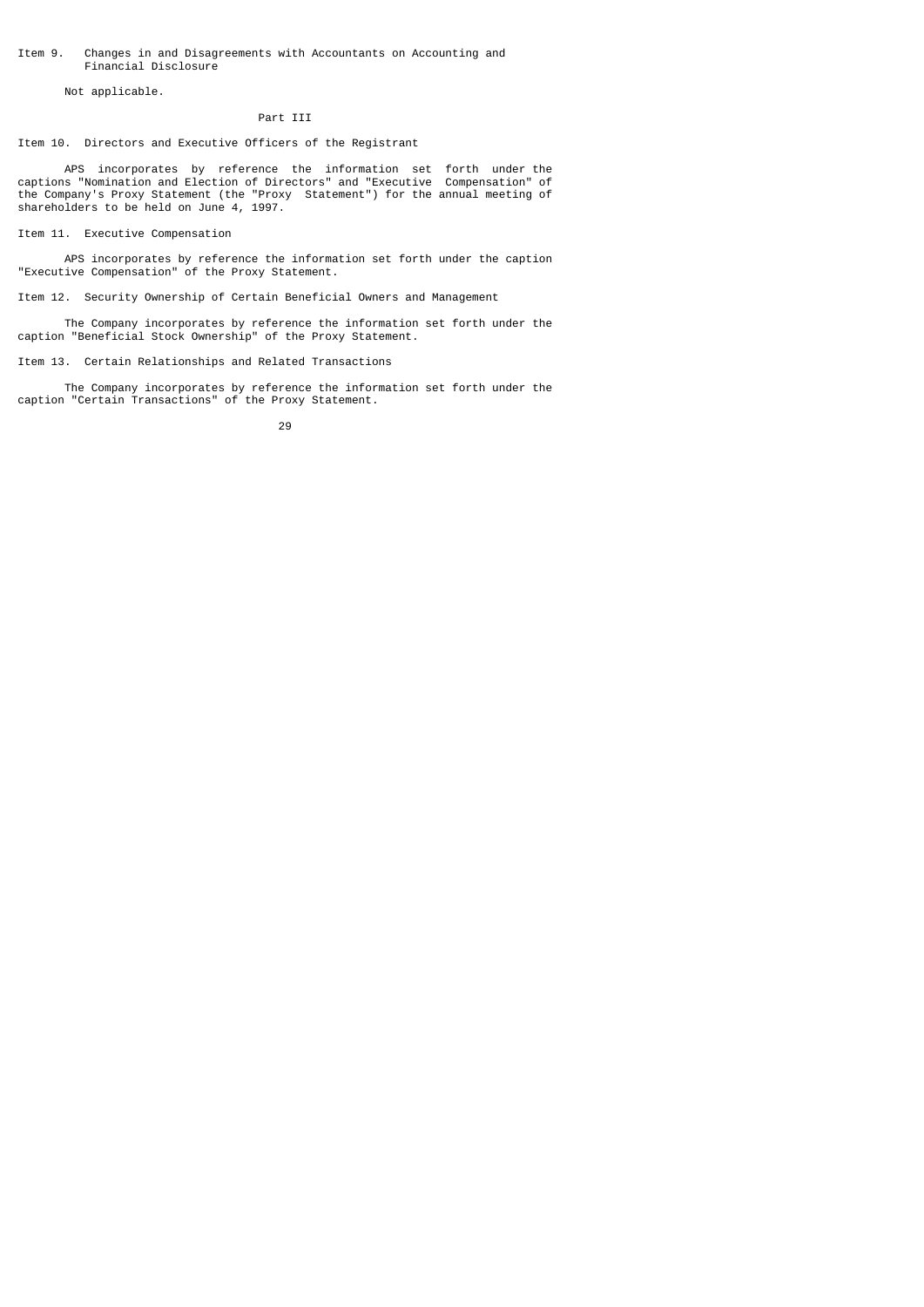# Item 9. Changes in and Disagreements with Accountants on Accounting and Financial Disclosure

Not applicable.

# Part III

Item 10. Directors and Executive Officers of the Registrant

 APS incorporates by reference the information set forth under the captions "Nomination and Election of Directors" and "Executive Compensation" of the Company's Proxy Statement (the "Proxy Statement") for the annual meeting of shareholders to be held on June 4, 1997.

Item 11. Executive Compensation

 APS incorporates by reference the information set forth under the caption "Executive Compensation" of the Proxy Statement.

Item 12. Security Ownership of Certain Beneficial Owners and Management

 The Company incorporates by reference the information set forth under the caption "Beneficial Stock Ownership" of the Proxy Statement.

Item 13. Certain Relationships and Related Transactions

 The Company incorporates by reference the information set forth under the caption "Certain Transactions" of the Proxy Statement.

<u>29 and 29 and 29 and 29 and 29 and 29 and 29 and 29 and 29 and 29 and 29 and 29 and 29 and 29 and 29 and 2012 </u>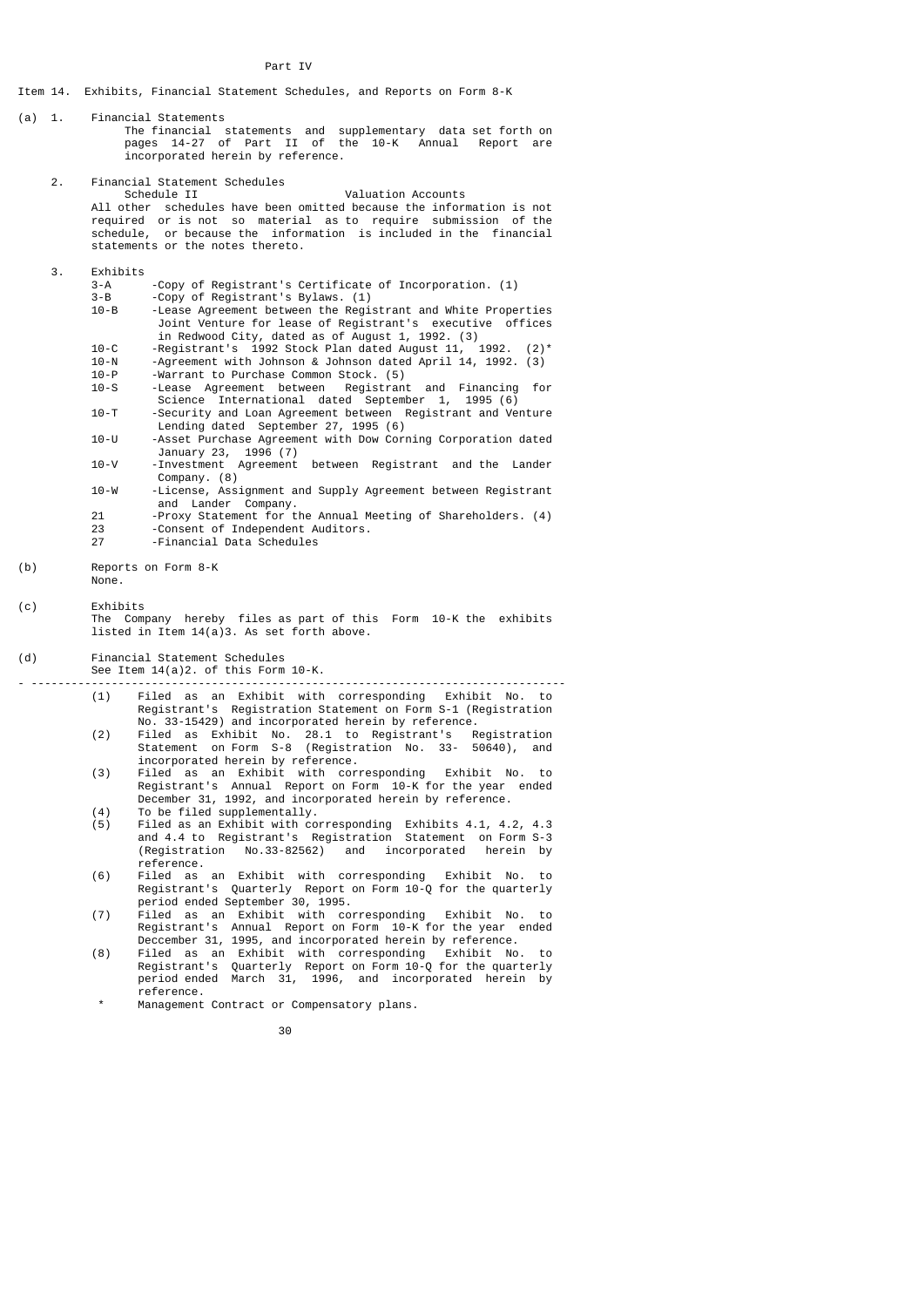- Item 14. Exhibits, Financial Statement Schedules, and Reports on Form 8-K
- (a) 1. Financial Statements The financial statements and supplementary data set forth on pages 14-27 of Part II of the 10-K Annual Report are incorporated herein by reference.
	- 2. Financial Statement Schedules<br>Schedule II Valuation Accounts All other schedules have been omitted because the information is not required or is not so material as to require submission of the schedule, or because the information is included in the financial statements or the notes thereto.
	- 3. Exhibits
- 3-A -Copy of Registrant's Certificate of Incorporation. (1) 3-B -Copy of Registrant's Bylaws. (1)
- 10-B -Lease Agreement between the Registrant and White Properties Joint Venture for lease of Registrant's executive offices in Redwood City, dated as of August 1, 1992. (3)<br>10-C - Reqistrant's 1992 Stock Plan dated August 11. 1992.
	- 10-C -Registrant's 1992 Stock Plan dated August 11,<br>10-N -Agreement with Johnson & Johnson dated April 1
	- 10-N -Agreement with Johnson & Johnson dated April 14, 1992. (3)
	- 10-P Warrant to Purchase Common Stock. (5)<br>10-S Lease Agreement between Registrant
	- -Lease Agreement between Registrant and Financing for Science International dated September 1, 1995 (6)<br>10-T - Security and Loan Agreement between Registrant and Ve
	- -Security and Loan Agreement between Registrant and Venture Lending dated September 27, 1995 (6)<br>10-U -Asset Purchase Agreement with Dow Cor
- -Asset Purchase Agreement with Dow Corning Corporation dated January 23, 1996 (7)
- 10-V -Investment Agreement between Registrant and the Lander Company. (8)<br>10-W -license. Assi
	- -License, Assignment and Supply Agreement between Registrant and Lander Company.<br>Proxy Statement for the Land
	- -Proxy Statement for the Annual Meeting of Shareholders. (4)
	- 23 Consent of Independent Auditors.<br>27 Financial Data Schedules -Financial Data Schedules
- (b) Reports on Form 8-K None.
- 

(c) Exhibits The Company hereby files as part of this Form 10-K the exhibits listed in Item  $14(a)3$ . As set forth above.

(d) Financial Statement Schedules

- See Item 14(a)2. of this Form 10-K.
- -------------------------------------------------------------------------------- (1) Filed as an Exhibit with corresponding Exhibit No. to Registrant's Registration Statement on Form S-1 (Registration
- No. 33-15429) and incorporated herein by reference.<br>(2) Filed as Exhibit No. 28.1 to Registrant's R (2) Filed as Exhibit No. 28.1 to Registrant's Registration Statement on Form S-8 (Registration No. 33- 50640), and incorporated herein by reference.
- (3) Filed as an Exhibit with corresponding Exhibit No. to Registrant's Annual Report on Form 10-K for the year ended December 31, 1992, and incorporated herein by reference.
- (4) To be filed supplementally. (5) Filed as an Exhibit with corresponding Exhibits 4.1, 4.2, 4.3 and 4.4 to Registrant's Registration Statement on Form S-3 (Registration No.33-82562) and incorporated herein by
- reference.<br>(6) Filed as (6) Filed as an Exhibit with corresponding Exhibit No. to Registrant's Quarterly Report on Form 10-Q for the quarterly period ended September 30, 1995.<br>(7) Filed as an Exhibit with com
	- .<br>Filed as an Exhibit with corresponding Exhibit No. to Registrant's Annual Report on Form 10-K for the year ended Deccember 31, 1995, and incorporated herein by reference.<br>(8) Filed as an Exhibit with corresponding Exhibit No.
- (8) Filed as an Exhibit with corresponding Exhibit No. to Registrant's Quarterly Report on Form 10-Q for the quarterly period ended March 31, 1996, and incorporated herein by reference.
	- Management Contract or Compensatory plans.

30 and 20 and 20 and 20 and 20 and 20 and 20 and 20 and 20 and 20 and 20 and 20 and 20 and 20 and 20 and 20 an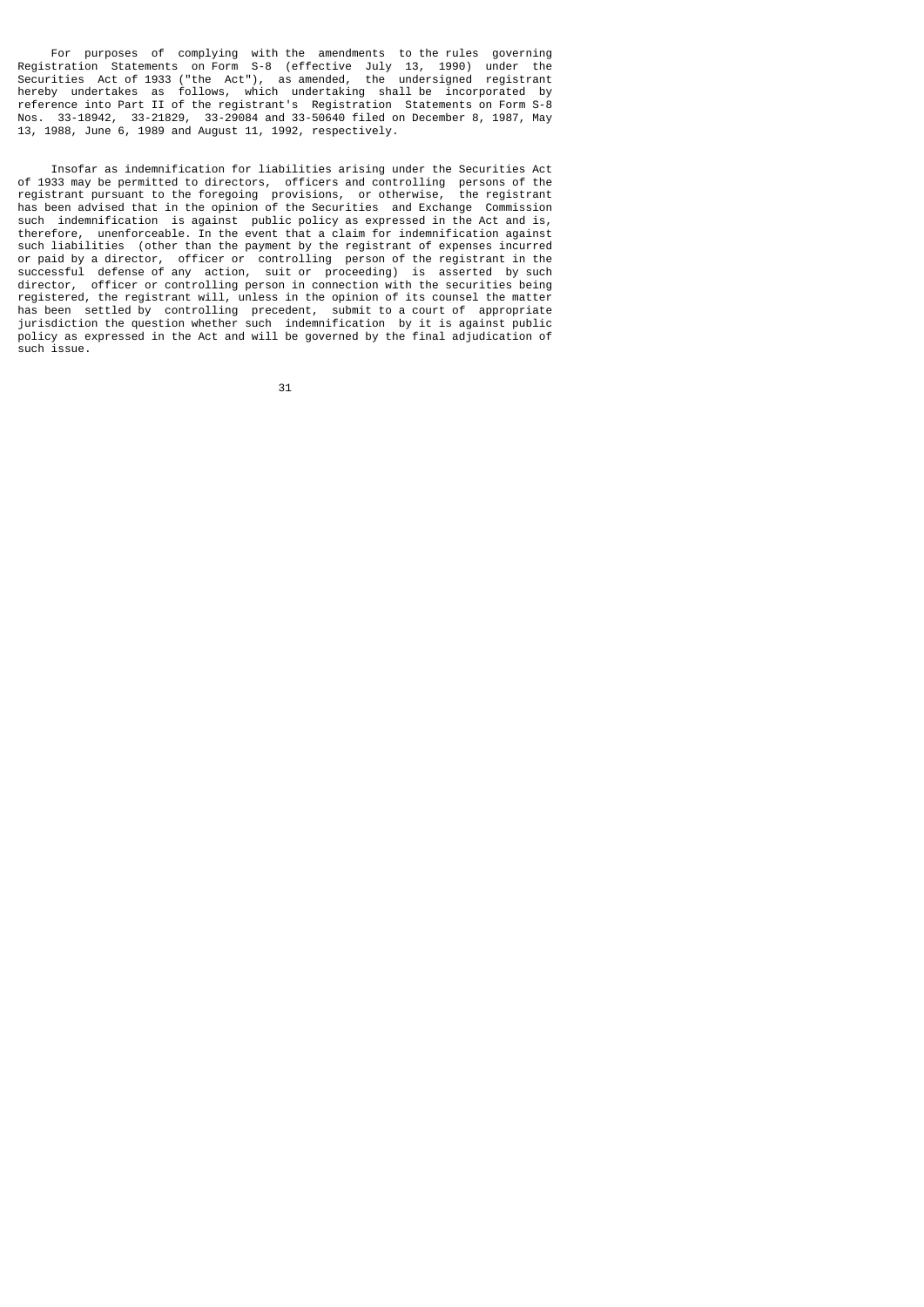For purposes of complying with the amendments to the rules governing Registration Statements on Form S-8 (effective July 13, 1990) under the Securities Act of 1933 ("the Act"), as amended, the undersigned registrant hereby undertakes as follows, which undertaking shall be incorporated by reference into Part II of the registrant's Registration Statements on Form S-8 Nos. 33-18942, 33-21829, 33-29084 and 33-50640 filed on December 8, 1987, May 13, 1988, June 6, 1989 and August 11, 1992, respectively.

 Insofar as indemnification for liabilities arising under the Securities Act of 1933 may be permitted to directors, officers and controlling persons of the registrant pursuant to the foregoing provisions, or otherwise, the registrant registrant pursuant to the foregoing provisions, or otherwise, has been advised that in the opinion of the Securities and Exchange Commission such indemnification is against public policy as expressed in the Act and is, therefore, unenforceable. In the event that a claim for indemnification against such liabilities (other than the payment by the registrant of expenses incurred or paid by a director, officer or controlling person of the registrant in the successful defense of any action, suit or proceeding) is asserted by such director, officer or controlling person in connection with the securities being registered, the registrant will, unless in the opinion of its counsel the matter has been settled by controlling precedent, submit to a court of appropriate jurisdiction the question whether such indemnification by it is against public policy as expressed in the Act and will be governed by the final adjudication of such issue.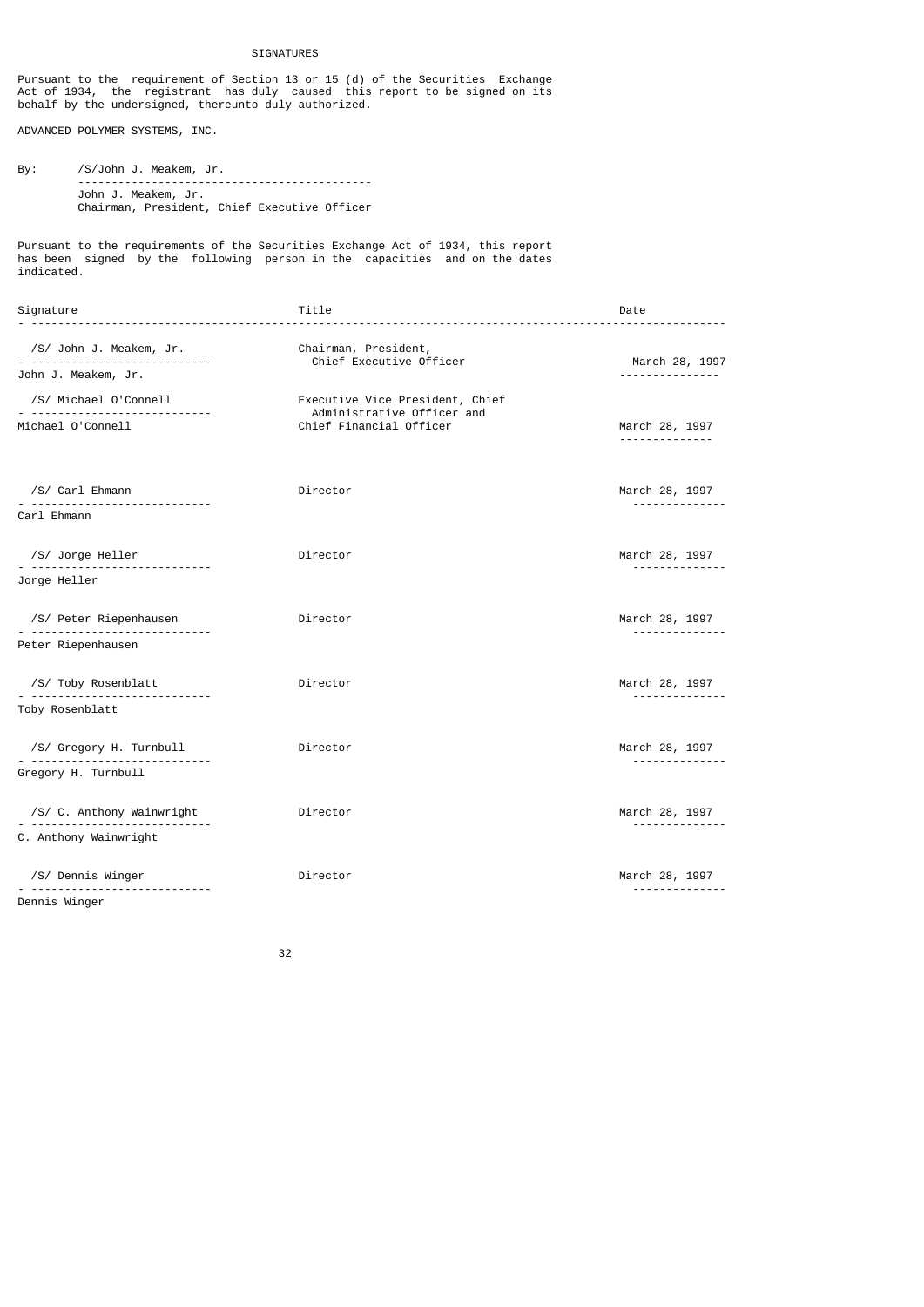# SIGNATURES

Pursuant to the requirement of Section 13 or 15 (d) of the Securities Exchange Act of 1934, the registrant has duly caused this report to be signed on its behalf by the undersigned, thereunto duly authorized.

ADVANCED POLYMER SYSTEMS, INC.

By: /S/John J. Meakem, Jr. -------------------------------------------- John J. Meakem, Jr. Chairman, President, Chief Executive Officer

Pursuant to the requirements of the Securities Exchange Act of 1934, this report has been signed by the following person in the capacities and on the dates indicated.

| Signature                   | Title                                                 | Date                       |
|-----------------------------|-------------------------------------------------------|----------------------------|
| /S/ John J. Meakem, Jr.     | Chairman, President,<br>Chief Executive Officer       | March 28, 1997             |
| John J. Meakem, Jr.         |                                                       | .                          |
| /S/ Michael O'Connell       | Executive Vice President, Chief                       |                            |
| Michael O'Connell           | Administrative Officer and<br>Chief Financial Officer | March 28, 1997<br>.        |
| /S/ Carl Ehmann             | Director                                              | March 28, 1997<br>.        |
| Carl Ehmann                 |                                                       |                            |
| /S/ Jorge Heller            | Director                                              | March 28, 1997             |
| <u>. </u><br>Jorge Heller   |                                                       | .                          |
| /S/ Peter Riepenhausen<br>. | Director                                              | March 28, 1997<br>.        |
| Peter Riepenhausen          |                                                       |                            |
| /S/ Toby Rosenblatt         | Director                                              | March 28, 1997<br><u>.</u> |
| Toby Rosenblatt             |                                                       |                            |
| /S/ Gregory H. Turnbull     | Director                                              | March 28, 1997             |
| Gregory H. Turnbull         |                                                       | --------------             |
| /S/ C. Anthony Wainwright   | Director                                              | March 28, 1997<br><u>.</u> |
| C. Anthony Wainwright       |                                                       |                            |
| /S/ Dennis Winger           | Director                                              | March 28, 1997             |
| Dennis Winger               |                                                       | <u>.</u>                   |

<u>32 and 2010 and 2010 and 2010 and 2010 and 2010 and 2010 and 2010 and 2010 and 2010 and 2010 and 2010 and 201</u>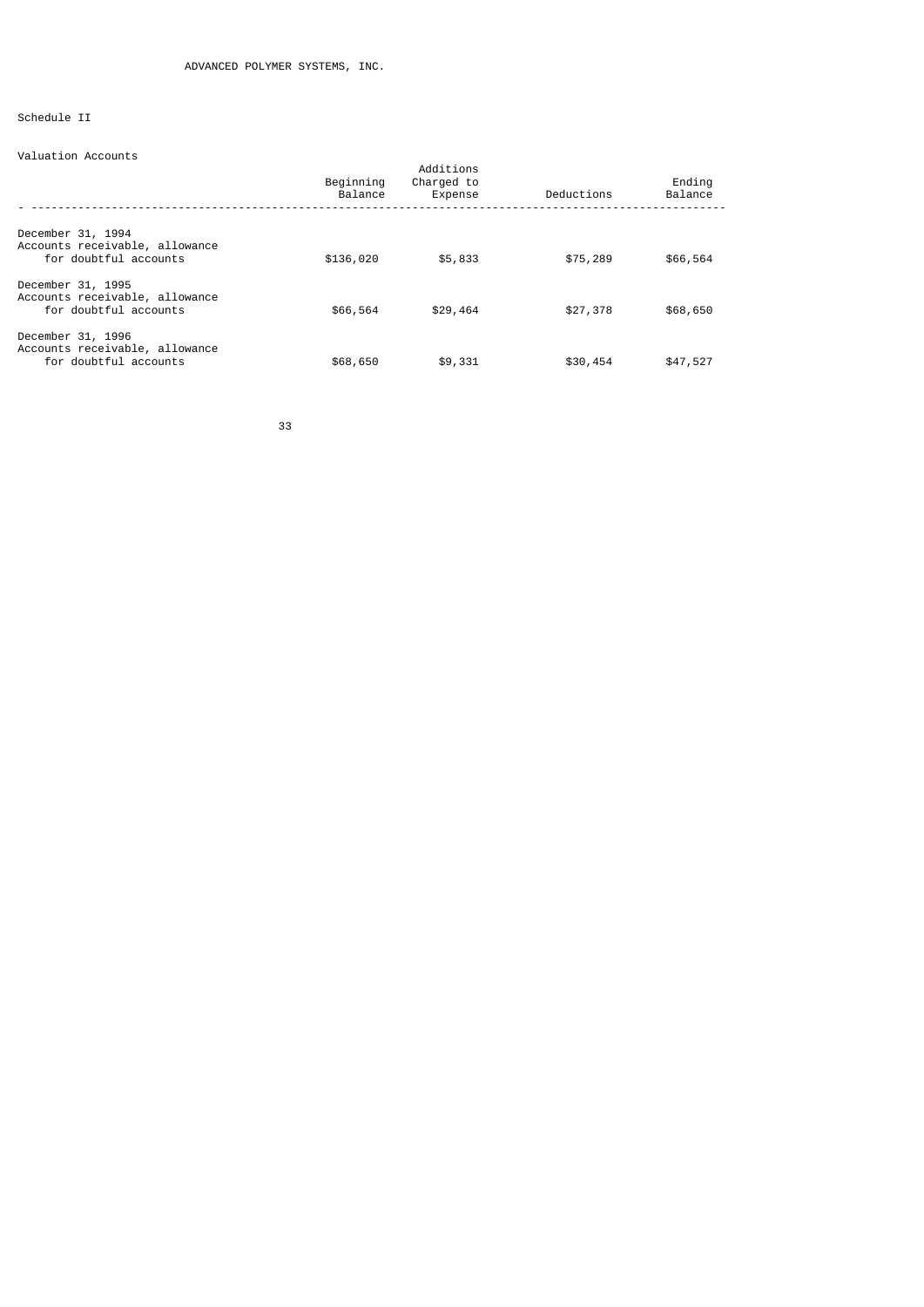# Schedule II

# Valuation Accounts

|                                                                              | Beginning<br>Balance | Additions<br>Charged to<br>Expense | Deductions | Ending<br>Balance |
|------------------------------------------------------------------------------|----------------------|------------------------------------|------------|-------------------|
| December 31, 1994<br>Accounts receivable, allowance<br>for doubtful accounts | \$136,020            | \$5,833                            | \$75,289   | \$66,564          |
| December 31, 1995<br>Accounts receivable, allowance<br>for doubtful accounts | \$66,564             | \$29,464                           | \$27,378   | \$68,650          |
| December 31, 1996<br>Accounts receivable, allowance<br>for doubtful accounts | \$68,650             | \$9,331                            | \$30,454   | \$47,527          |

33 and 2012 and 2013 and 2013 and 2014 and 2014 and 2014 and 2014 and 2014 and 2014 and 2014 and 2014 and 2014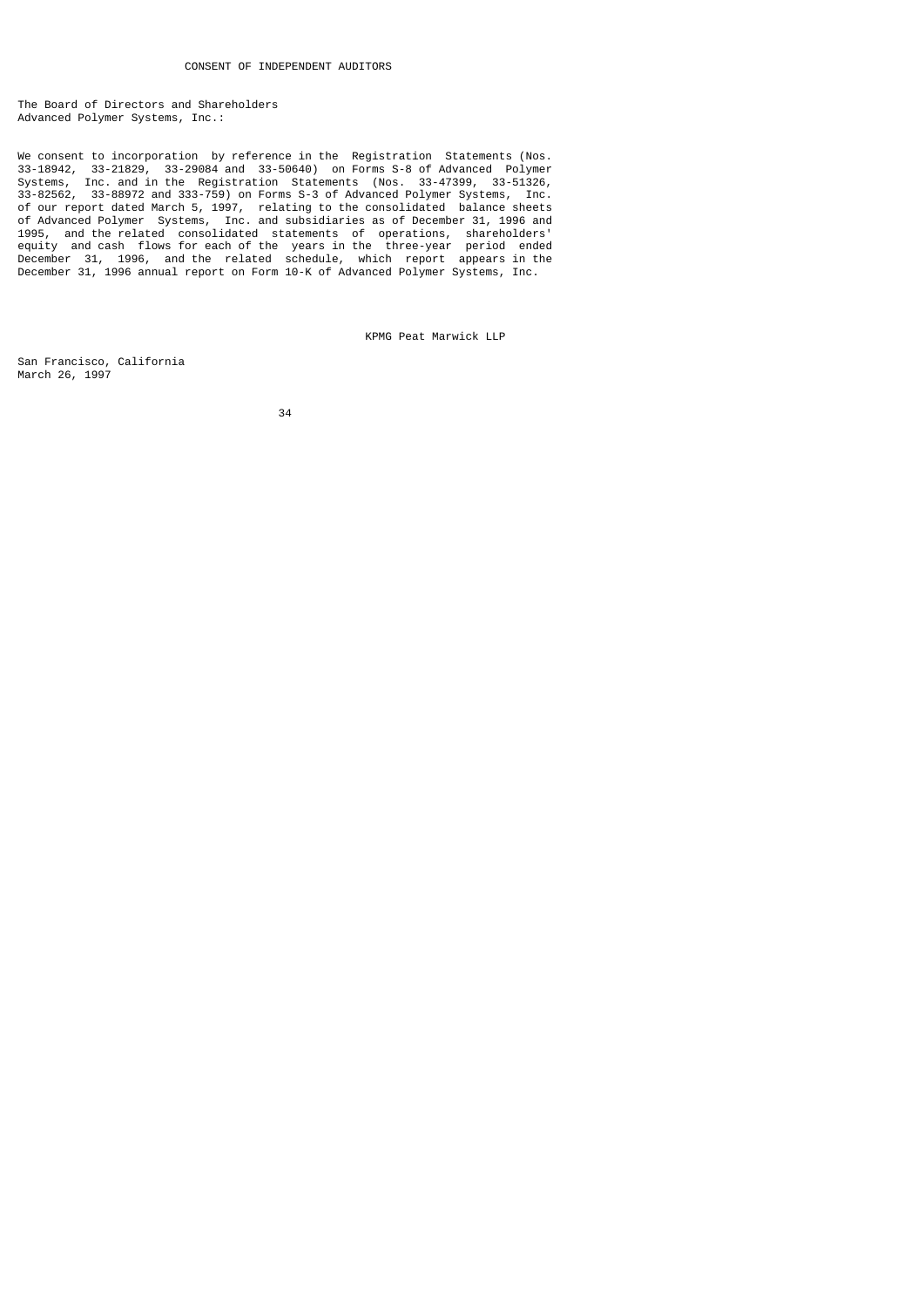The Board of Directors and Shareholders Advanced Polymer Systems, Inc.:

We consent to incorporation by reference in the Registration Statements (Nos. 33-18942, 33-21829, 33-29084 and 33-50640) on Forms S-8 of Advanced Polymer Systems, Inc. and in the Registration Statements (Nos. 33-47399, 33-51326, 33-82562, 33-88972 and 333-759) on Forms S-3 of Advanced Polymer Systems, Inc. of our report dated March 5, 1997, relating to the consolidated balance sheets of Advanced Polymer Systems, Inc. and subsidiaries as of December 31, 1996 and 1995, and the related consolidated statements of operations, shareholders' equity and cash flows for each of the years in the three-year period ended December 31, 1996, and the related schedule, which report appears in the December 31, 1996 annual report on Form 10-K of Advanced Polymer Systems, Inc.

KPMG Peat Marwick LLP

San Francisco, California March 26, 1997

<u>34 and 2012</u>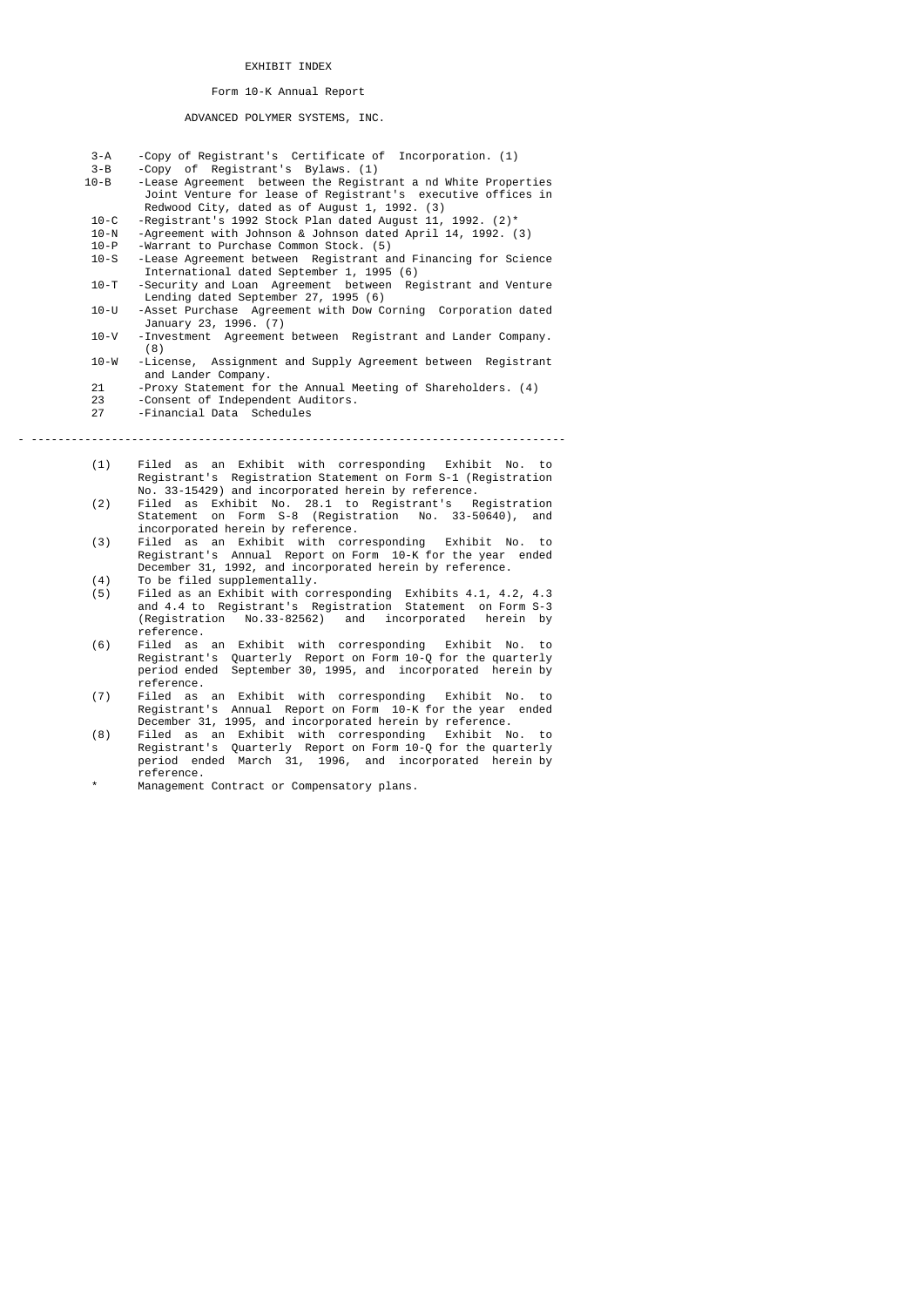### EXHIBIT INDEX

## Form 10-K Annual Report

### ADVANCED POLYMER SYSTEMS, INC.

| $3 - A$  | -Copy of Registrant's Certificate of Incorporation. (1)        |
|----------|----------------------------------------------------------------|
| $3 - B$  | -Copy of Registrant's Bylaws, (1)                              |
| $10 - B$ | - Lease Agreement between the Registrant a nd White Properties |
|          | Joint Venture for lease of Registrant's executive offices in   |
|          | Redwood City, dated as of August 1, 1992. (3)                  |

- 10-C -Registrant's 1992 Stock Plan dated August 11, 1992. (2)\*
	- 10-N -Agreement with Johnson & Johnson dated April 14, 1992. (3)
- 10-P -Warrant to Purchase Common Stock. (5)

 10-S -Lease Agreement between Registrant and Financing for Science International dated September 1, 1995 (6)

- 10-T -Security and Loan Agreement between Registrant and Venture Lending dated September 27, 1995 (6)
- 10-U -Asset Purchase Agreement with Dow Corning Corporation dated January 23, 1996. (7)
- 10-V -Investment Agreement between Registrant and Lander Company.  $(8)$ <br>10-W -License,
	- Assignment and Supply Agreement between Registrant and Lander Company.<br>21 - Proxy Statement for
	- ent the European Statement for the Annual Meeting of Shareholders. (4)<br>23 Consent of Independent Auditors.
	- 23 Consent of Independent Auditors.<br>27 Einancial Data, Schedules
	- -Financial Data Schedules

- --------------------------------------------------------------------------------

- (1) Filed as an Exhibit with corresponding Exhibit No. to Registrant's Registration Statement on Form S-1 (Registration No. 33-15429) and incorporated herein by reference.<br>(2) Filed as Exhibit No. 28.1 to Registrant's R
- (2) Filed as Exhibit No. 28.1 to Registrant's Registration Statement on Form S-8 (Registration No. 33-50640), and incorporated herein by reference.
- (3) Filed as an Exhibit with corresponding Exhibit No. to Registrant's Annual Report on Form 10-K for the year ended December 31, 1992, and incorporated herein by reference.
- (4) To be filed supplementally.<br>(5) Filed as an Exhibit with co (5) Filed as an Exhibit with corresponding Exhibits 4.1, 4.2, 4.3 and 4.4 to Registrant's Registration Statement on Form S-3 (Registration No.33-82562) and incorporated herein by
- reference.<br>(6) Filed as (6) Filed as an Exhibit with corresponding Exhibit No. to Registrant's Quarterly Report on Form 10-Q for the quarterly period ended September 30, 1995, and incorporated herein by
	- reference.<br>(7) Filed as Filed as an Exhibit with corresponding Exhibit No. to Registrant's Annual Report on Form 10-K for the year ended December 31, 1995, and incorporated herein by reference.<br>(8) Filed as an Exhibit with corresponding Exhibit N
- (8) Filed as an Exhibit with corresponding Exhibit No. to Registrant's Quarterly Report on Form 10-Q for the quarterly period ended March 31, 1996, and incorporated herein by reference.
	- Management Contract or Compensatory plans.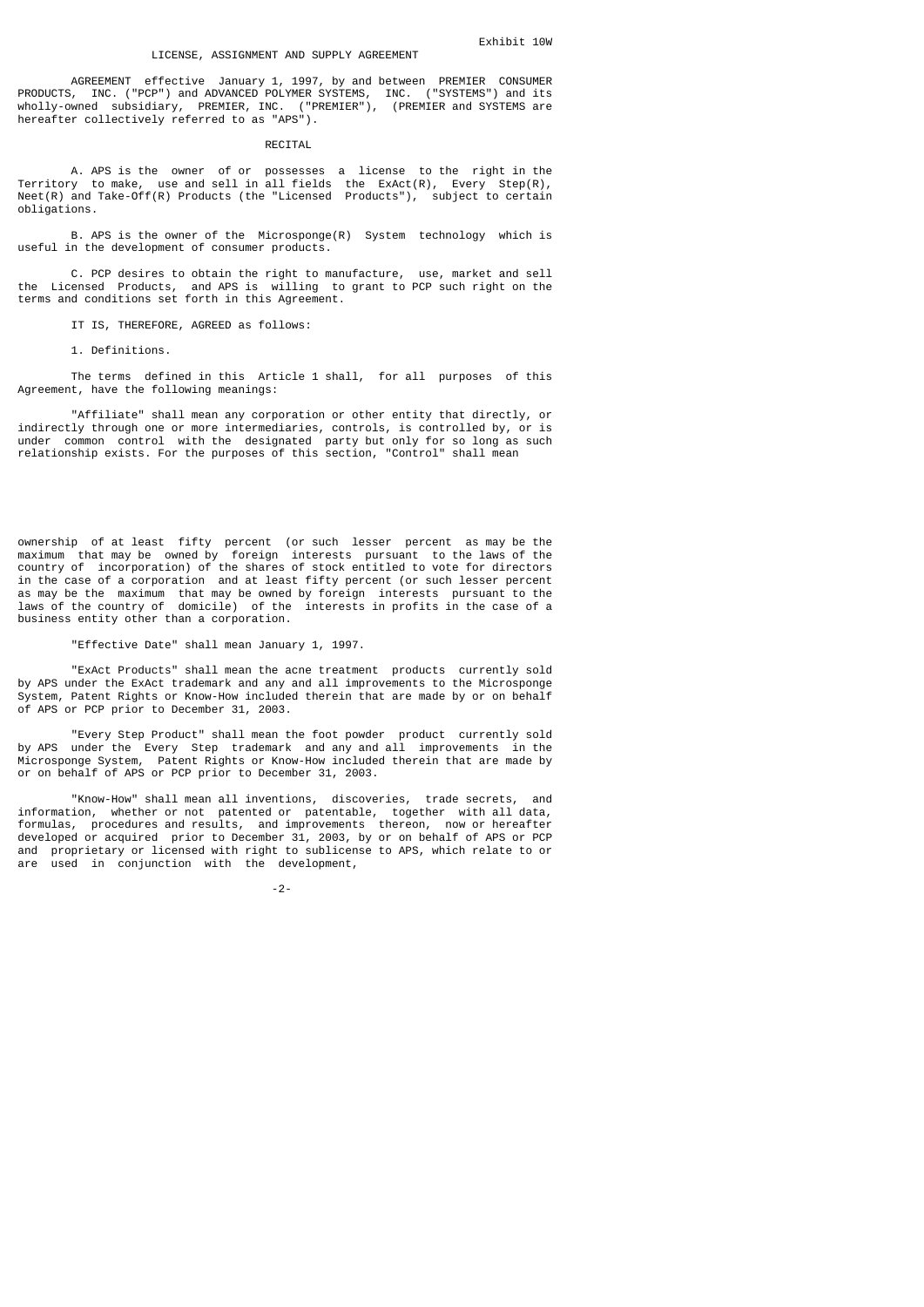AGREEMENT effective January 1, 1997, by and between PREMIER CONSUMER PRODUCTS, INC. ("PCP") and ADVANCED POLYMER SYSTEMS, INC. ("SYSTEMS") and its wholly-owned subsidiary, PREMIER, INC. ("PREMIER"), (PREMIER and SYSTEMS are hereafter collectively referred to as "APS").

#### RECITAL

 A. APS is the owner of or possesses a license to the right in the Territory to make, use and sell in all fields the ExAct(R), Every Step(R), Neet(R) and Take-Off(R) Products (the "Licensed Products"), subject to certain obligations.

 B. APS is the owner of the Microsponge(R) System technology which is useful in the development of consumer products.

 C. PCP desires to obtain the right to manufacture, use, market and sell the Licensed Products, and APS is willing to grant to PCP such right on the terms and conditions set forth in this Agreement.

IT IS, THEREFORE, AGREED as follows:

1. Definitions.

 The terms defined in this Article 1 shall, for all purposes of this Agreement, have the following meanings:

 "Affiliate" shall mean any corporation or other entity that directly, or indirectly through one or more intermediaries, controls, is controlled by, or is under common control with the designated party but only for so long as such relationship exists. For the purposes of this section, "Control" shall mean

ownership of at least fifty percent (or such lesser percent as may be the maximum that may be owned by foreign interests pursuant to the laws of the country of incorporation) of the shares of stock entitled to vote for directors in the case of a corporation and at least fifty percent (or such lesser percent as may be the maximum that may be owned by foreign interests pursuant to the laws of the country of domicile) of the interests in profits in the case of a business entity other than a corporation.

### "Effective Date" shall mean January 1, 1997.

 "ExAct Products" shall mean the acne treatment products currently sold by APS under the ExAct trademark and any and all improvements to the Microsponge System, Patent Rights or Know-How included therein that are made by or on behalf of APS or PCP prior to December 31, 2003.

 "Every Step Product" shall mean the foot powder product currently sold by APS under the Every Step trademark and any and all improvements in the Microsponge System, Patent Rights or Know-How included therein that are made by or on behalf of APS or PCP prior to December 31, 2003.

 "Know-How" shall mean all inventions, discoveries, trade secrets, and information, whether or not patented or patentable, together with all data, formulas, procedures and results, and improvements thereon, now or hereafter developed or acquired prior to December 31, 2003, by or on behalf of APS or PCP and proprietary or licensed with right to sublicense to APS, which relate to or are used in conjunction with the development,

-2-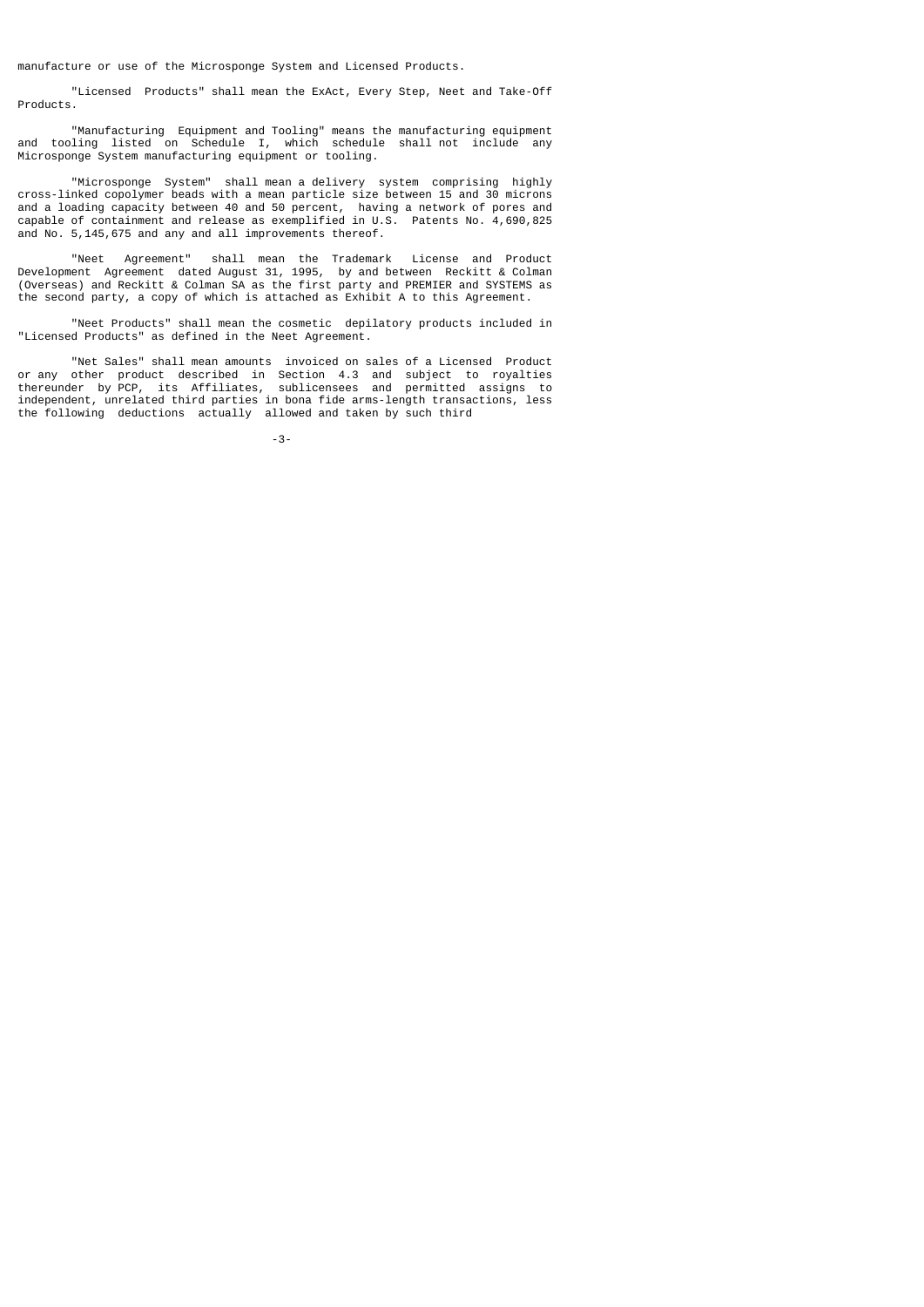manufacture or use of the Microsponge System and Licensed Products.

 "Licensed Products" shall mean the ExAct, Every Step, Neet and Take-Off Products.

 "Manufacturing Equipment and Tooling" means the manufacturing equipment and tooling listed on Schedule I, which schedule shall not include any Microsponge System manufacturing equipment or tooling.

 "Microsponge System" shall mean a delivery system comprising highly cross-linked copolymer beads with a mean particle size between 15 and 30 microns and a loading capacity between 40 and 50 percent, having a network of pores and capable of containment and release as exemplified in U.S. Patents No. 4,690,825 and No. 5,145,675 and any and all improvements thereof.

 "Neet Agreement" shall mean the Trademark License and Product Development Agreement dated August 31, 1995, by and between Reckitt & Colman (Overseas) and Reckitt & Colman SA as the first party and PREMIER and SYSTEMS as the second party, a copy of which is attached as Exhibit A to this Agreement.

 "Neet Products" shall mean the cosmetic depilatory products included in "Licensed Products" as defined in the Neet Agreement.

 "Net Sales" shall mean amounts invoiced on sales of a Licensed Product or any other product described in Section 4.3 and subject to royalties thereunder by PCP, its Affiliates, sublicensees and permitted assigns to independent, unrelated third parties in bona fide arms-length transactions, less the following deductions actually allowed and taken by such third

-3-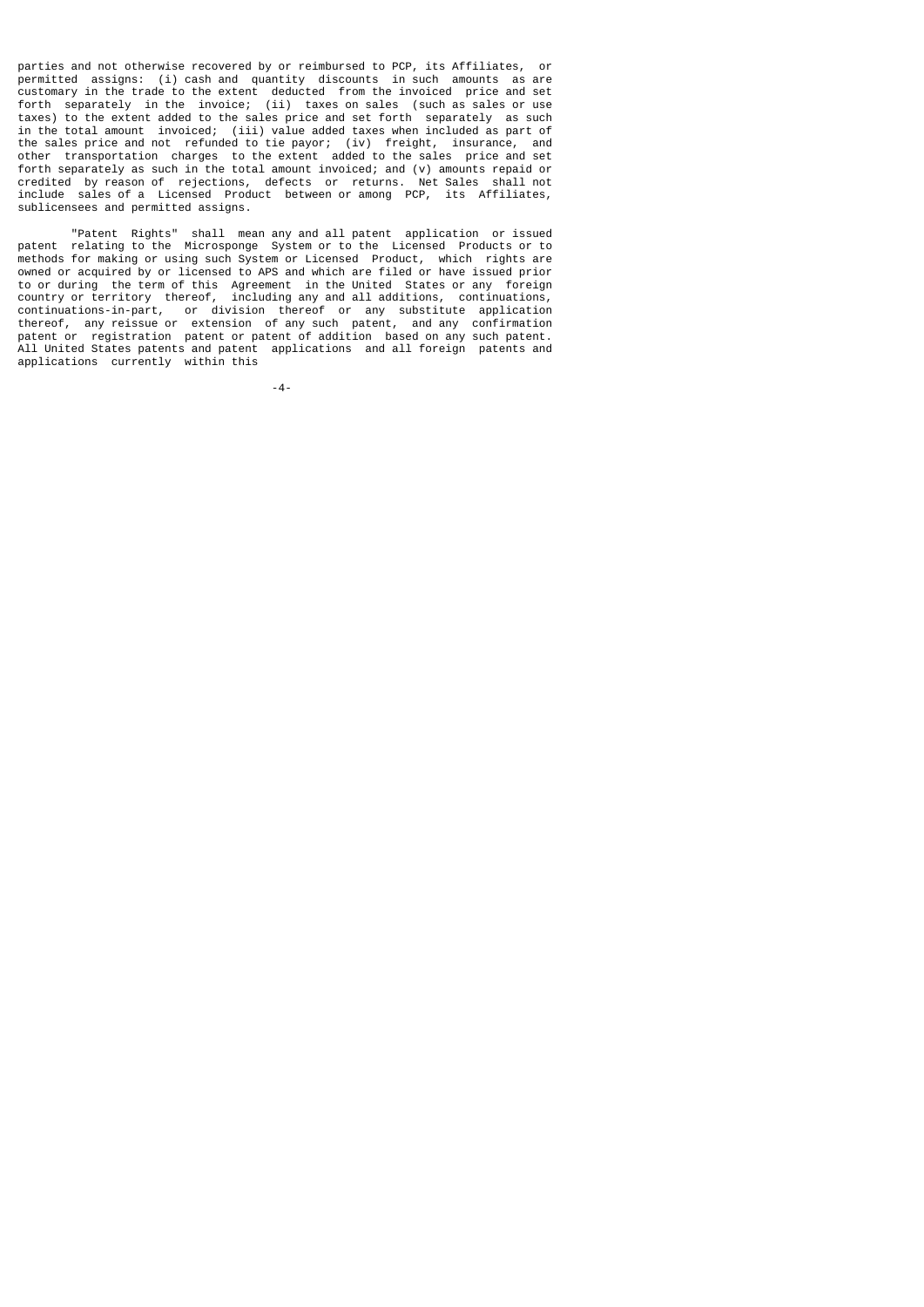parties and not otherwise recovered by or reimbursed to PCP, its Affiliates, or permitted assigns: (i) cash and quantity discounts in such amounts as are customary in the trade to the extent deducted from the invoiced price and set forth separately in the invoice; (ii) taxes on sales (such as sales or use taxes) to the extent added to the sales price and set forth separately as such in the total amount invoiced; (iii) value added taxes when included as part of the sales price and not refunded to tie payor; (iv) freight, insurance, and other transportation charges to the extent added to the sales price and set forth separately as such in the total amount invoiced; and (v) amounts repaid or credited by reason of rejections, defects or returns. Net Sales shall not credited by reason of rejections, defects or returns. Net Sales shall not include sales of a Licensed Product between or among PCP, its Affiliates, sublicensees and permitted assigns.

 "Patent Rights" shall mean any and all patent application or issued patent relating to the Microsponge System or to the Licensed Products or to methods for making or using such System or Licensed Product, which rights are owned or acquired by or licensed to APS and which are filed or have issued prior to or during the term of this Agreement in the United States or any foreign country or territory thereof, including any and all additions, continuations, continuations-in-part, or division thereof or any substitute application thereof, any reissue or extension of any such patent, and any confirmation patent or registration patent or patent of addition based on any such patent. All United States patents and patent applications and all foreign patents and applications currently within this

-4-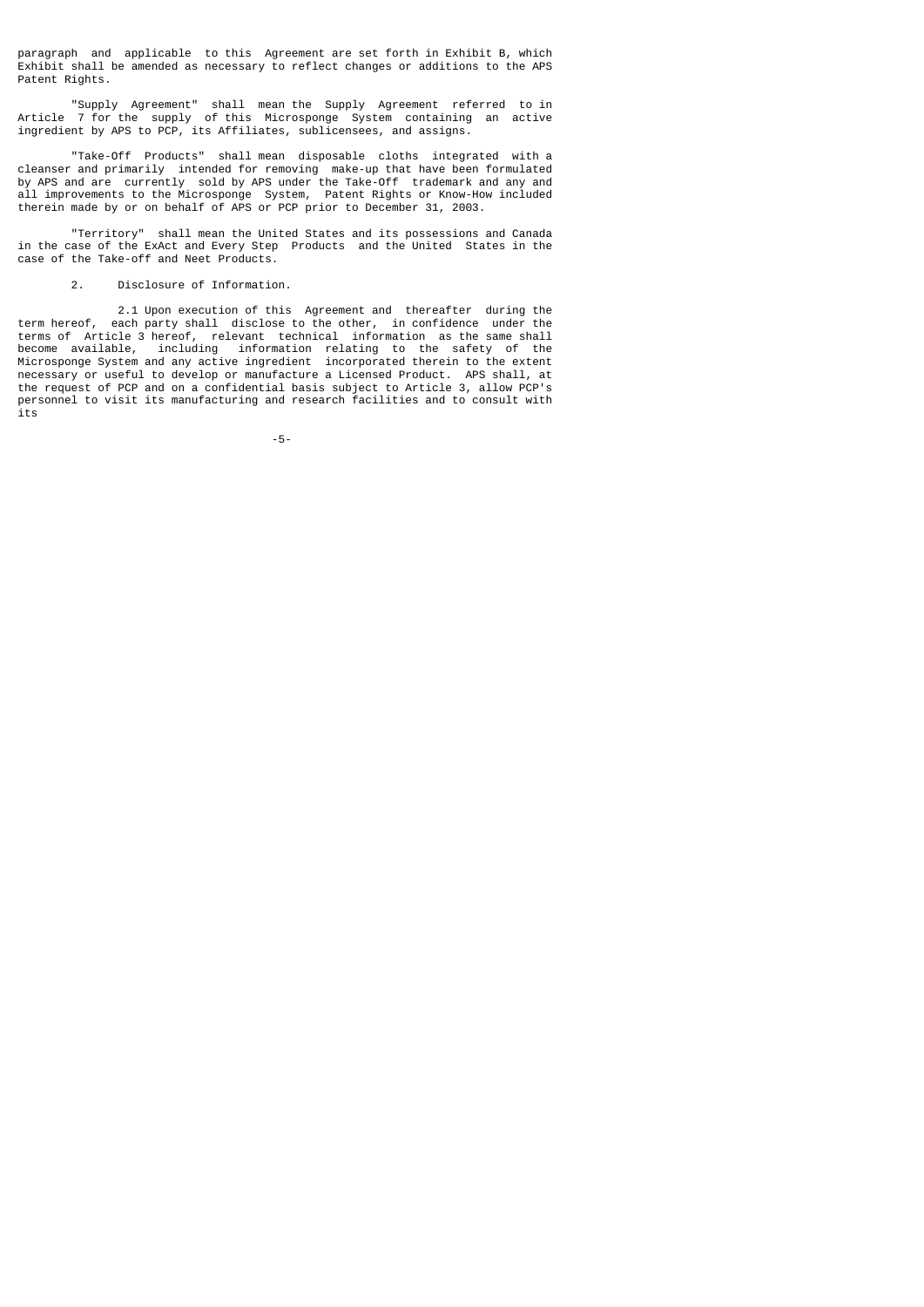paragraph and applicable to this Agreement are set forth in Exhibit B, which Exhibit shall be amended as necessary to reflect changes or additions to the APS Patent Rights.

 "Supply Agreement" shall mean the Supply Agreement referred to in Article 7 for the supply of this Microsponge System containing an active ingredient by APS to PCP, its Affiliates, sublicensees, and assigns.

 "Take-Off Products" shall mean disposable cloths integrated with a cleanser and primarily intended for removing make-up that have been formulated by APS and are currently sold by APS under the Take-Off trademark and any and all improvements to the Microsponge System, Patent Rights or Know-How included therein made by or on behalf of APS or PCP prior to December 31, 2003.

 "Territory" shall mean the United States and its possessions and Canada in the case of the ExAct and Every Step Products and the United States in the case of the Take-off and Neet Products.

# 2. Disclosure of Information.

 2.1 Upon execution of this Agreement and thereafter during the term hereof, each party shall disclose to the other, in confidence under the terms of Article 3 hereof, relevant technical information as the same shall become available, including information relating to the safety of the Microsponge System and any active ingredient incorporated therein to the extent necessary or useful to develop or manufacture a Licensed Product. APS shall, at the request of PCP and on a confidential basis subject to Article 3, allow PCP's personnel to visit its manufacturing and research facilities and to consult with its

-5-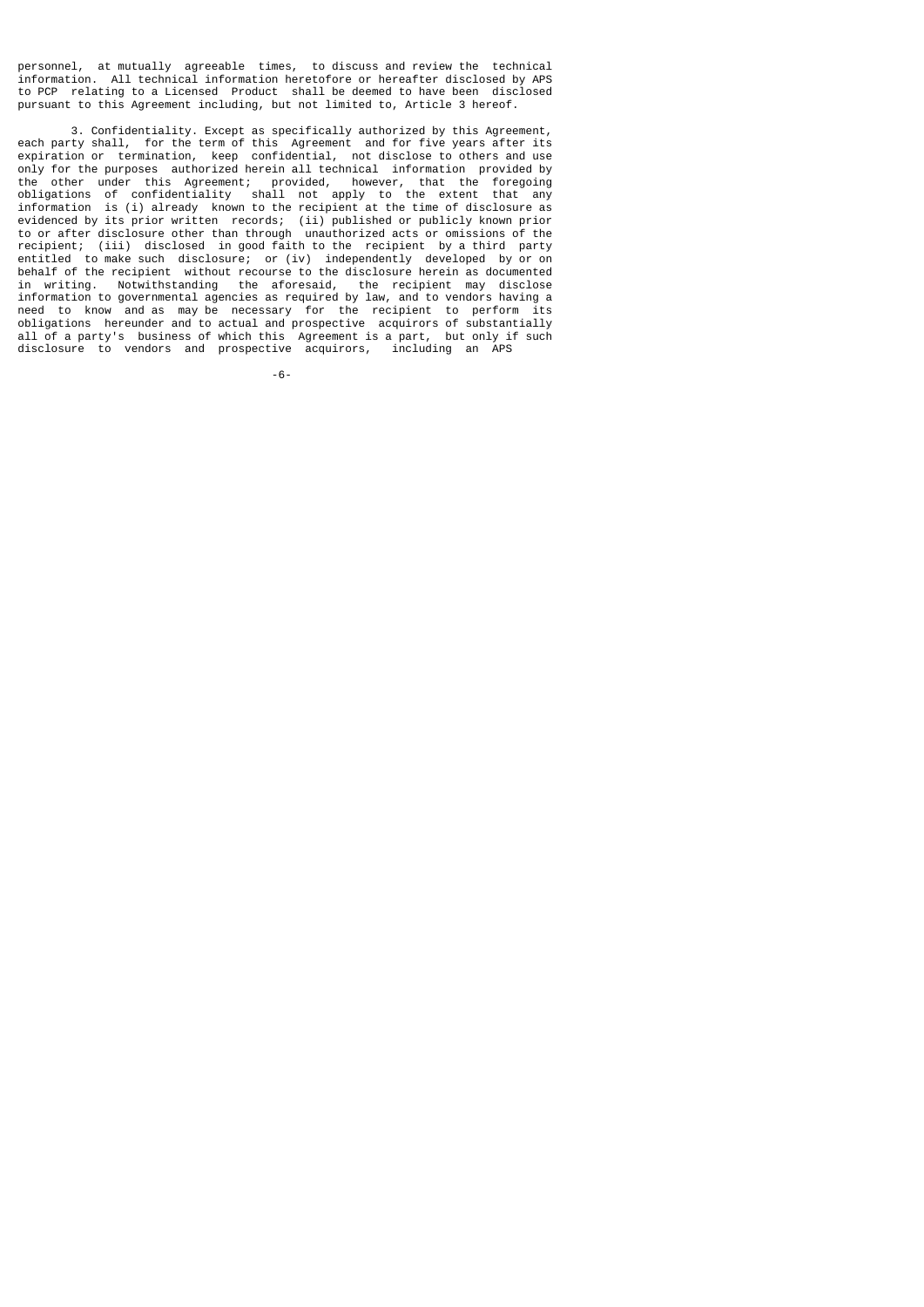personnel, at mutually agreeable times, to discuss and review the technical information. All technical information heretofore or hereafter disclosed by APS to PCP relating to a Licensed Product shall be deemed to have been disclosed pursuant to this Agreement including, but not limited to, Article 3 hereof.

 3. Confidentiality. Except as specifically authorized by this Agreement, each party shall, for the term of this Agreement and for five years after its expiration or termination, keep confidential, not disclose to others and use only for the purposes authorized herein all technical information provided by the other under this Agreement; provided, however, that the foregoing obligations of confidentiality shall not apply to the extent that any information is (i) already known to the recipient at the time of disclosure as evidenced by its prior written records; (ii) published or publicly known prior to or after disclosure other than through unauthorized acts or omissions of the recipient; (iii) disclosed in good faith to the recipient by a third party entitled to make such disclosure; or (iv) independently developed by or on behalf of the recipient without recourse to the disclosure herein as documented in writing. Notwithstanding the aforesaid, the recipient may disclose information to governmental agencies as required by law, and to vendors having a need to know and as may be necessary for the recipient to perform its obligations hereunder and to actual and prospective acquirors of substantially all of a party's business of which this Agreement is a part, but only if such disclosure to vendors and prospective acquirors, including an APS

-6-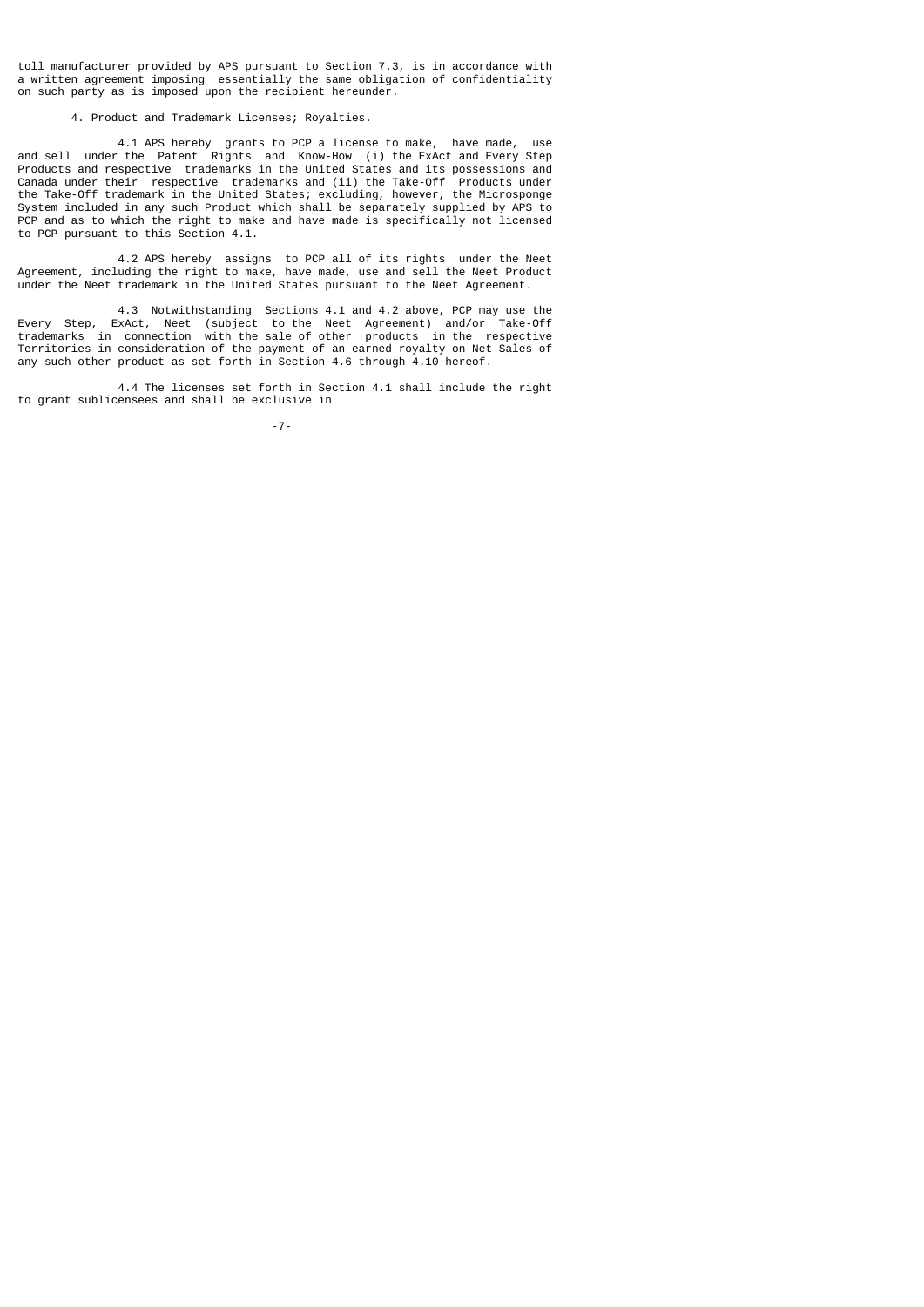toll manufacturer provided by APS pursuant to Section 7.3, is in accordance with a written agreement imposing essentially the same obligation of confidentiality on such party as is imposed upon the recipient hereunder.

### 4. Product and Trademark Licenses; Royalties.

 4.1 APS hereby grants to PCP a license to make, have made, use and sell under the Patent Rights and Know-How (i) the ExAct and Every Step Products and respective trademarks in the United States and its possessions and Canada under their respective trademarks and (ii) the Take-Off Products under the Take-Off trademark in the United States; excluding, however, the Microsponge System included in any such Product which shall be separately supplied by APS to PCP and as to which the right to make and have made is specifically not licensed to PCP pursuant to this Section 4.1.

 4.2 APS hereby assigns to PCP all of its rights under the Neet Agreement, including the right to make, have made, use and sell the Neet Product under the Neet trademark in the United States pursuant to the Neet Agreement.

 4.3 Notwithstanding Sections 4.1 and 4.2 above, PCP may use the Every Step, ExAct, Neet (subject to the Neet Agreement) and/or Take-Off trademarks in connection with the sale of other products in the respective Territories in consideration of the payment of an earned royalty on Net Sales of any such other product as set forth in Section 4.6 through 4.10 hereof.

 4.4 The licenses set forth in Section 4.1 shall include the right to grant sublicensees and shall be exclusive in

-7-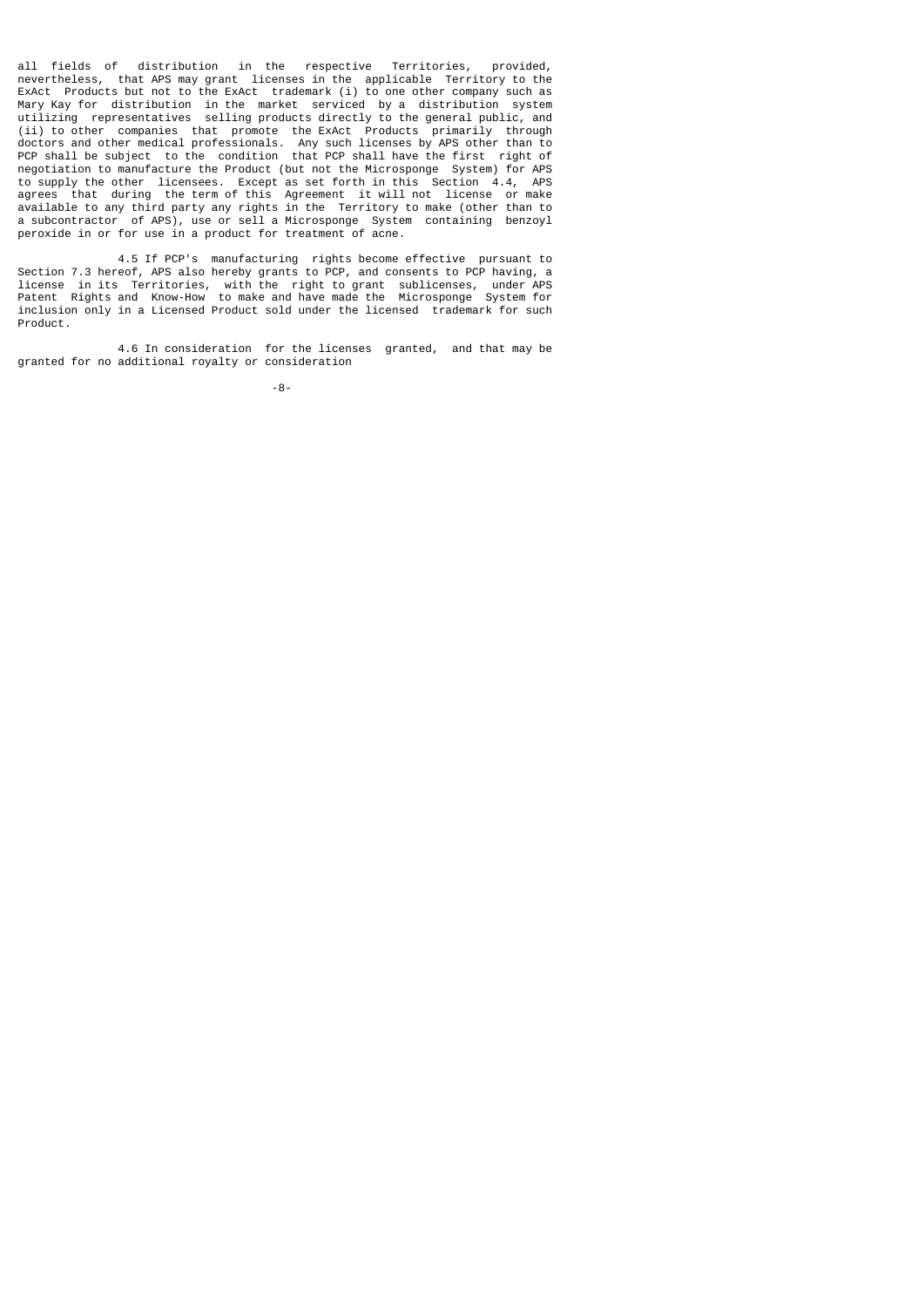all fields of distribution in the respective Territories, provided, nevertheless, that APS may grant licenses in the applicable Territory to the ExAct Products but not to the ExAct trademark (i) to one other company such as Mary Kay for distribution in the market serviced by a distribution system utilizing representatives selling products directly to the general public, and (ii) to other companies that promote the ExAct Products primarily through doctors and other medical professionals. Any such licenses by APS other than to PCP shall be subject to the condition that PCP shall have the first right of negotiation to manufacture the Product (but not the Microsponge System) for APS to supply the other licensees. Except as set forth in this Section 4.4, APS agrees that during the term of this Agreement it will not license or make available to any third party any rights in the Territory to make (other than to a subcontractor of APS), use or sell a Microsponge System containing benzoyl peroxide in or for use in a product for treatment of acne.

 4.5 If PCP's manufacturing rights become effective pursuant to Section 7.3 hereof, APS also hereby grants to PCP, and consents to PCP having, a license in its Territories, with the right to grant sublicenses, under APS Patent Rights and Know-How to make and have made the Microsponge System for inclusion only in a Licensed Product sold under the licensed trademark for such Product.

 4.6 In consideration for the licenses granted, and that may be granted for no additional royalty or consideration

-8-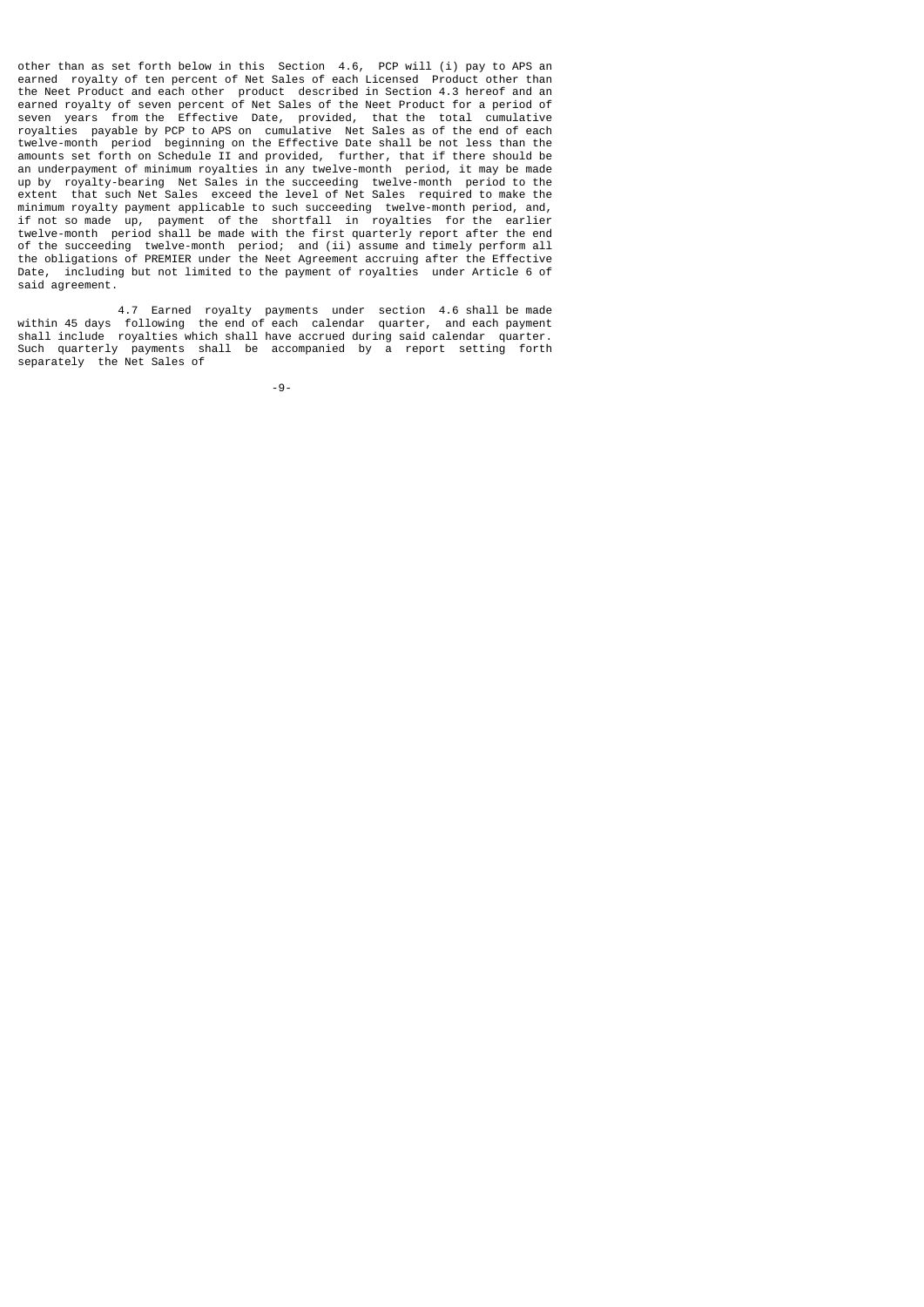other than as set forth below in this Section 4.6, PCP will (i) pay to APS an earned royalty of ten percent of Net Sales of each Licensed Product other than the Neet Product and each other product described in Section 4.3 hereof and an earned royalty of seven percent of Net Sales of the Neet Product for a period of seven years from the Effective Date, provided, that the total cumulative royalties payable by PCP to APS on cumulative Net Sales as of the end of each twelve-month period beginning on the Effective Date shall be not less than the amounts set forth on Schedule II and provided, further, that if there should be an underpayment of minimum royalties in any twelve-month period, it may be made up by royalty-bearing Net Sales in the succeeding twelve-month period to the extent that such Net Sales exceed the level of Net Sales required to make the minimum royalty payment applicable to such succeeding twelve-month period, and, if not so made up, payment of the shortfall in royalties for the earlier twelve-month period shall be made with the first quarterly report after the end of the succeeding twelve-month period; and (ii) assume and timely perform all the obligations of PREMIER under the Neet Agreement accruing after the Effective Date, including but not limited to the payment of royalties under Article 6 of said agreement.

 4.7 Earned royalty payments under section 4.6 shall be made within 45 days following the end of each calendar quarter, and each payment shall include royalties which shall have accrued during said calendar quarter. Such quarterly payments shall be accompanied by a report setting forth separately the Net Sales of

-9-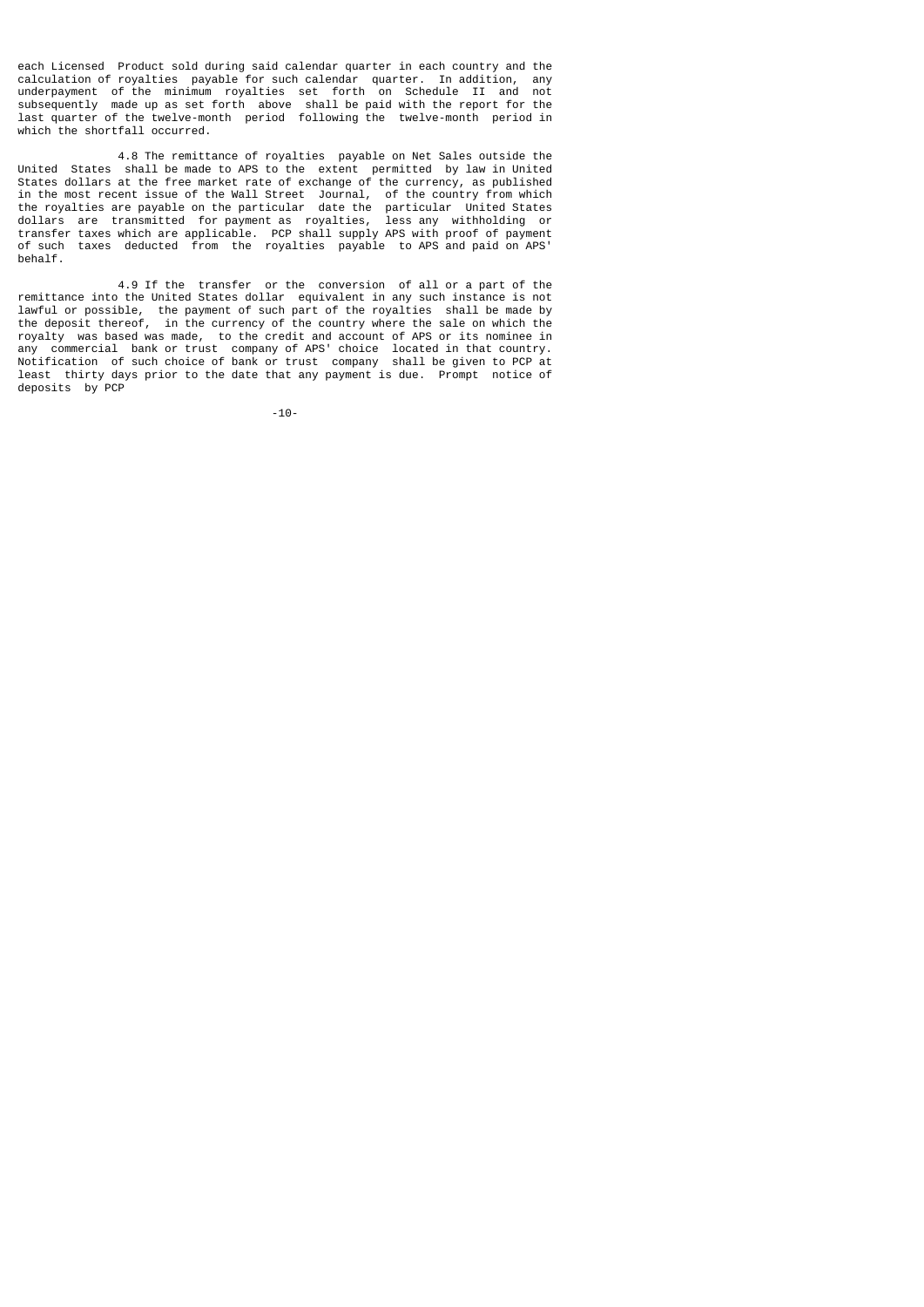each Licensed Product sold during said calendar quarter in each country and the calculation of royalties payable for such calendar quarter. In addition, any underpayment of the minimum royalties set forth on Schedule II and not subsequently made up as set forth above shall be paid with the report for the last quarter of the twelve-month period following the twelve-month period in which the shortfall occurred.

 4.8 The remittance of royalties payable on Net Sales outside the United States shall be made to APS to the extent permitted by law in United States dollars at the free market rate of exchange of the currency, as published in the most recent issue of the Wall Street Journal, of the country from which the royalties are payable on the particular date the particular United States dollars are transmitted for payment as royalties, less any withholding or transfer taxes which are applicable. PCP shall supply APS with proof of payment of such taxes deducted from the royalties payable to APS and paid on APS' behalf.

 4.9 If the transfer or the conversion of all or a part of the remittance into the United States dollar equivalent in any such instance is not lawful or possible, the payment of such part of the royalties shall be made by the deposit thereof, in the currency of the country where the sale on which the royalty was based was made, to the credit and account of APS or its nominee in any commercial bank or trust company of APS' choice located in that country. Notification of such choice of bank or trust company shall be given to PCP at least thirty days prior to the date that any payment is due. Prompt notice of deposits by PCP

-10-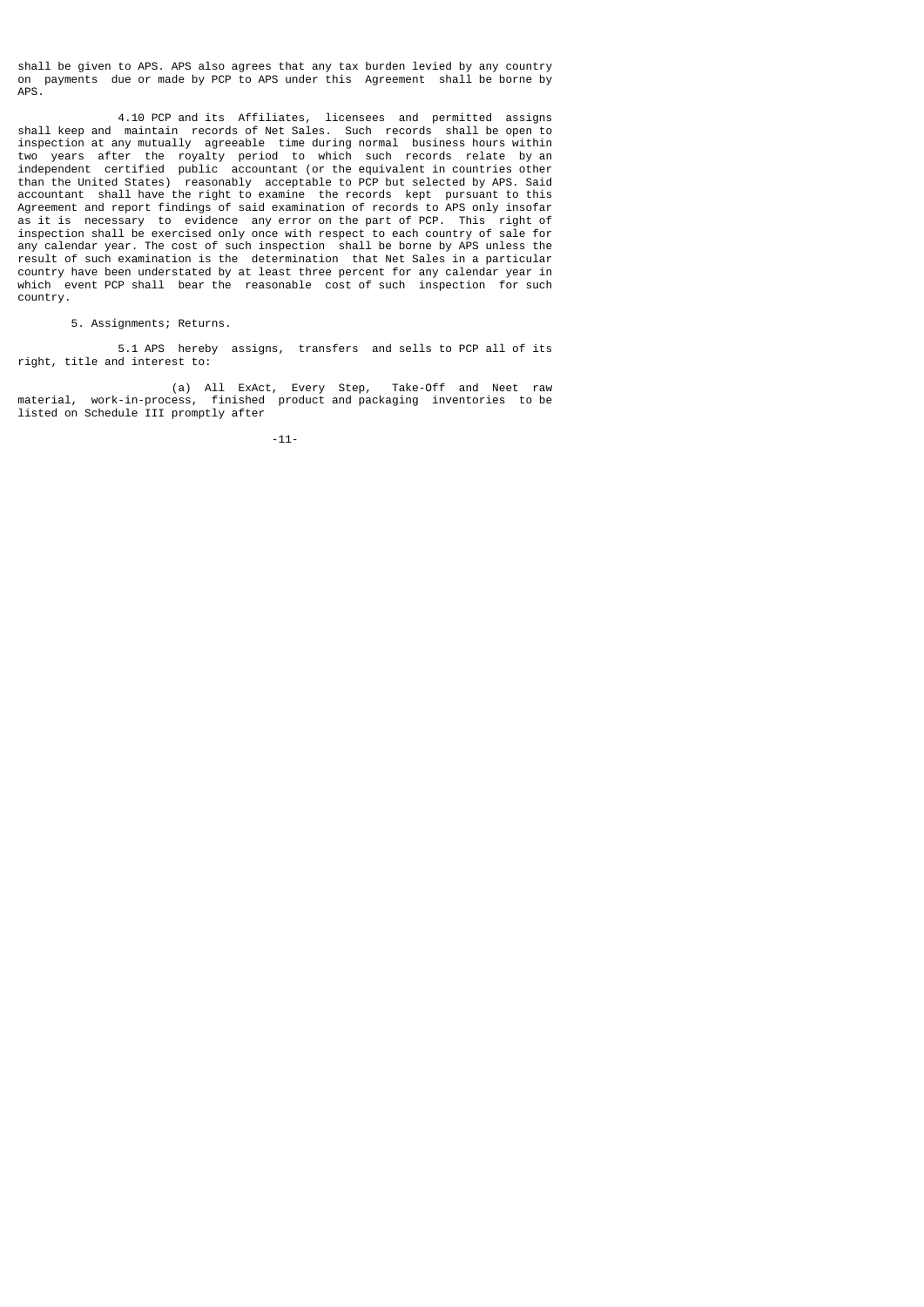shall be given to APS. APS also agrees that any tax burden levied by any country on payments due or made by PCP to APS under this Agreement shall be borne by APS.

 4.10 PCP and its Affiliates, licensees and permitted assigns shall keep and maintain records of Net Sales. Such records shall be open to inspection at any mutually agreeable time during normal business hours within two years after the royalty period to which such records relate by an independent certified public accountant (or the equivalent in countries other than the United States) reasonably acceptable to PCP but selected by APS. Said accountant shall have the right to examine the records kept pursuant to this Agreement and report findings of said examination of records to APS only insofar as it is necessary to evidence any error on the part of PCP. This right of inspection shall be exercised only once with respect to each country of sale for any calendar year. The cost of such inspection shall be borne by APS unless the result of such examination is the determination that Net Sales in a particular country have been understated by at least three percent for any calendar year in which event PCP shall bear the reasonable cost of such inspection for such country.

5. Assignments; Returns.

 5.1 APS hereby assigns, transfers and sells to PCP all of its right, title and interest to:

 (a) All ExAct, Every Step, Take-Off and Neet raw material, work-in-process, finished product and packaging inventories to be listed on Schedule III promptly after

-11-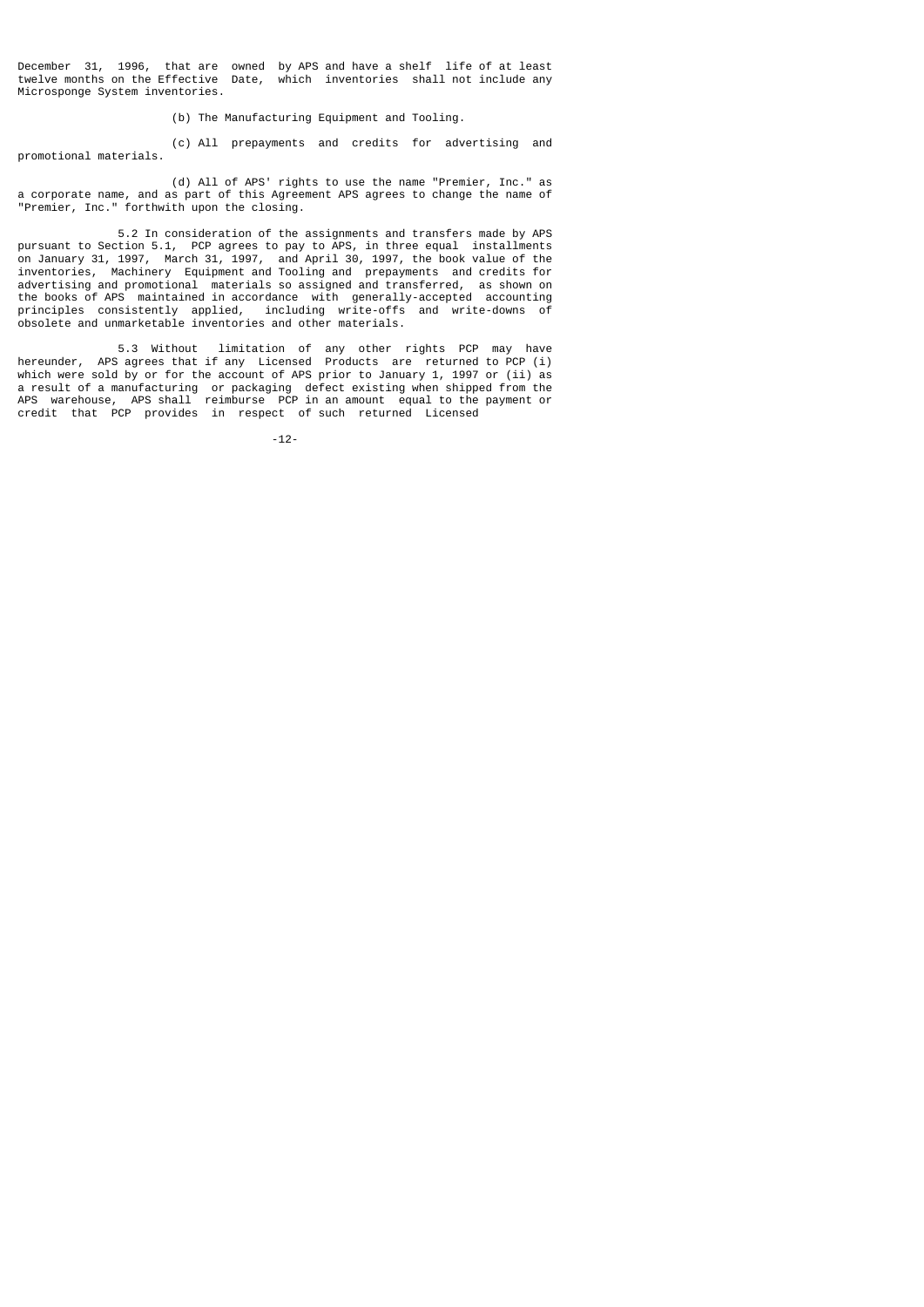December 31, 1996, that are owned by APS and have a shelf life of at least twelve months on the Effective Date, which inventories shall not include any Microsponge System inventories.

(b) The Manufacturing Equipment and Tooling.

 (c) All prepayments and credits for advertising and promotional materials.

 (d) All of APS' rights to use the name "Premier, Inc." as a corporate name, and as part of this Agreement APS agrees to change the name of "Premier, Inc." forthwith upon the closing.

 5.2 In consideration of the assignments and transfers made by APS pursuant to Section 5.1, PCP agrees to pay to APS, in three equal installments on January 31, 1997, March 31, 1997, and April 30, 1997, the book value of the inventories, Machinery Equipment and Tooling and prepayments and credits for advertising and promotional materials so assigned and transferred, as shown on the books of APS maintained in accordance with generally-accepted accounting principles consistently applied, including write-offs and write-downs of obsolete and unmarketable inventories and other materials.

 5.3 Without limitation of any other rights PCP may have hereunder, APS agrees that if any Licensed Products are returned to PCP (i) which were sold by or for the account of APS prior to January 1, 1997 or (ii) as a result of a manufacturing or packaging defect existing when shipped from the APS warehouse, APS shall reimburse PCP in an amount equal to the payment or credit that PCP provides in respect of such returned Licensed

-12-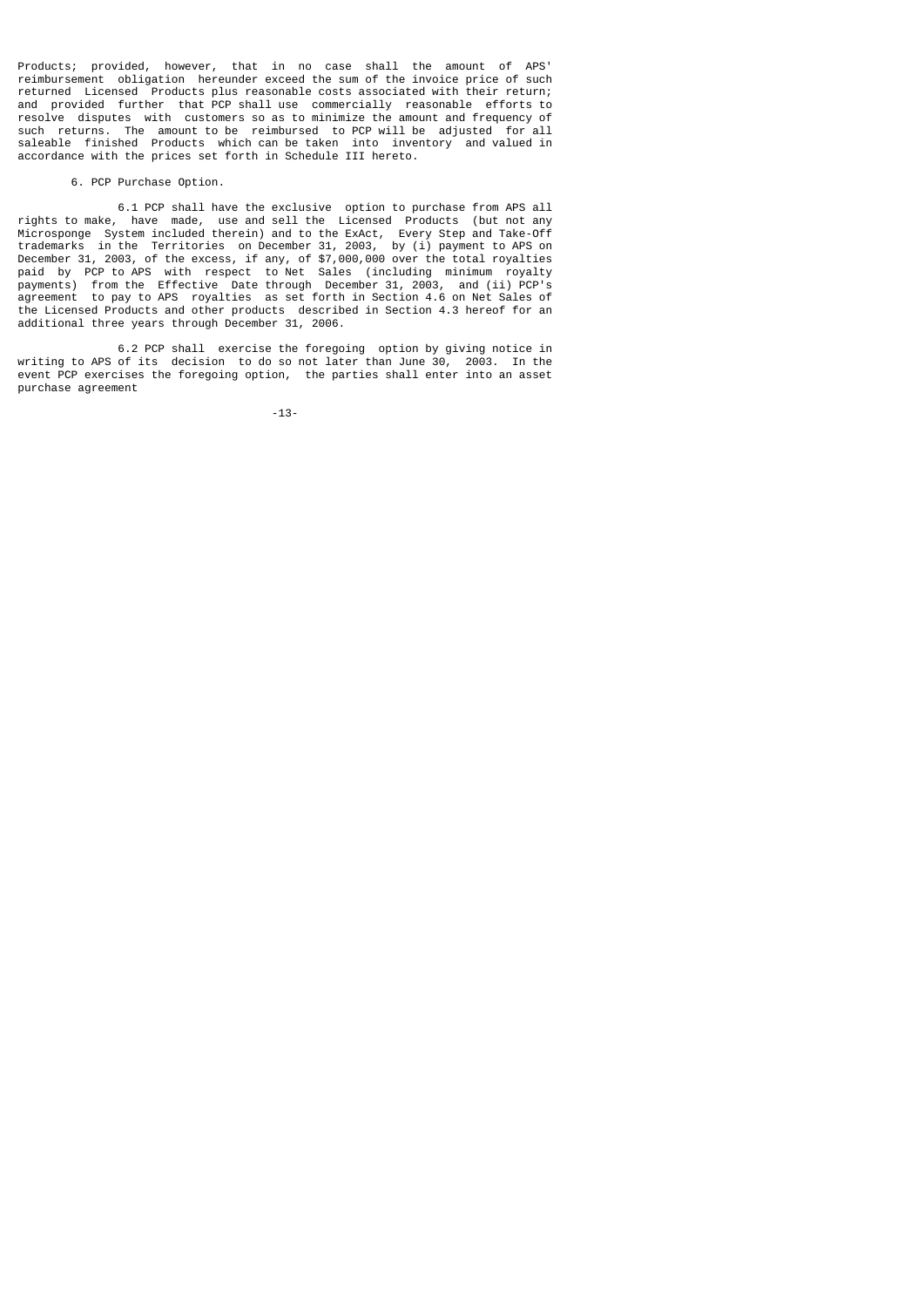Products; provided, however, that in no case shall the amount of APS' reimbursement obligation hereunder exceed the sum of the invoice price of such returned Licensed Products plus reasonable costs associated with their return; and provided further that PCP shall use commercially reasonable efforts to resolve disputes with customers so as to minimize the amount and frequency of such returns. The amount to be reimbursed to PCP will be adjusted for all saleable finished Products which can be taken into inventory and valued in accordance with the prices set forth in Schedule III hereto.

## 6. PCP Purchase Option.

 6.1 PCP shall have the exclusive option to purchase from APS all rights to make, have made, use and sell the Licensed Products (but not any Microsponge System included therein) and to the ExAct, Every Step and Take-Off trademarks in the Territories on December 31, 2003, by (i) payment to APS on December 31, 2003, of the excess, if any, of \$7,000,000 over the total royalties paid by PCP to APS with respect to Net Sales (including minimum royalty payments) from the Effective Date through December 31, 2003, and (ii) PCP's agreement to pay to APS royalties as set forth in Section 4.6 on Net Sales of the Licensed Products and other products described in Section 4.3 hereof for an additional three years through December 31, 2006.

 6.2 PCP shall exercise the foregoing option by giving notice in writing to APS of its decision to do so not later than June 30, 2003. In the event PCP exercises the foregoing option, the parties shall enter into an asset purchase agreement

-13-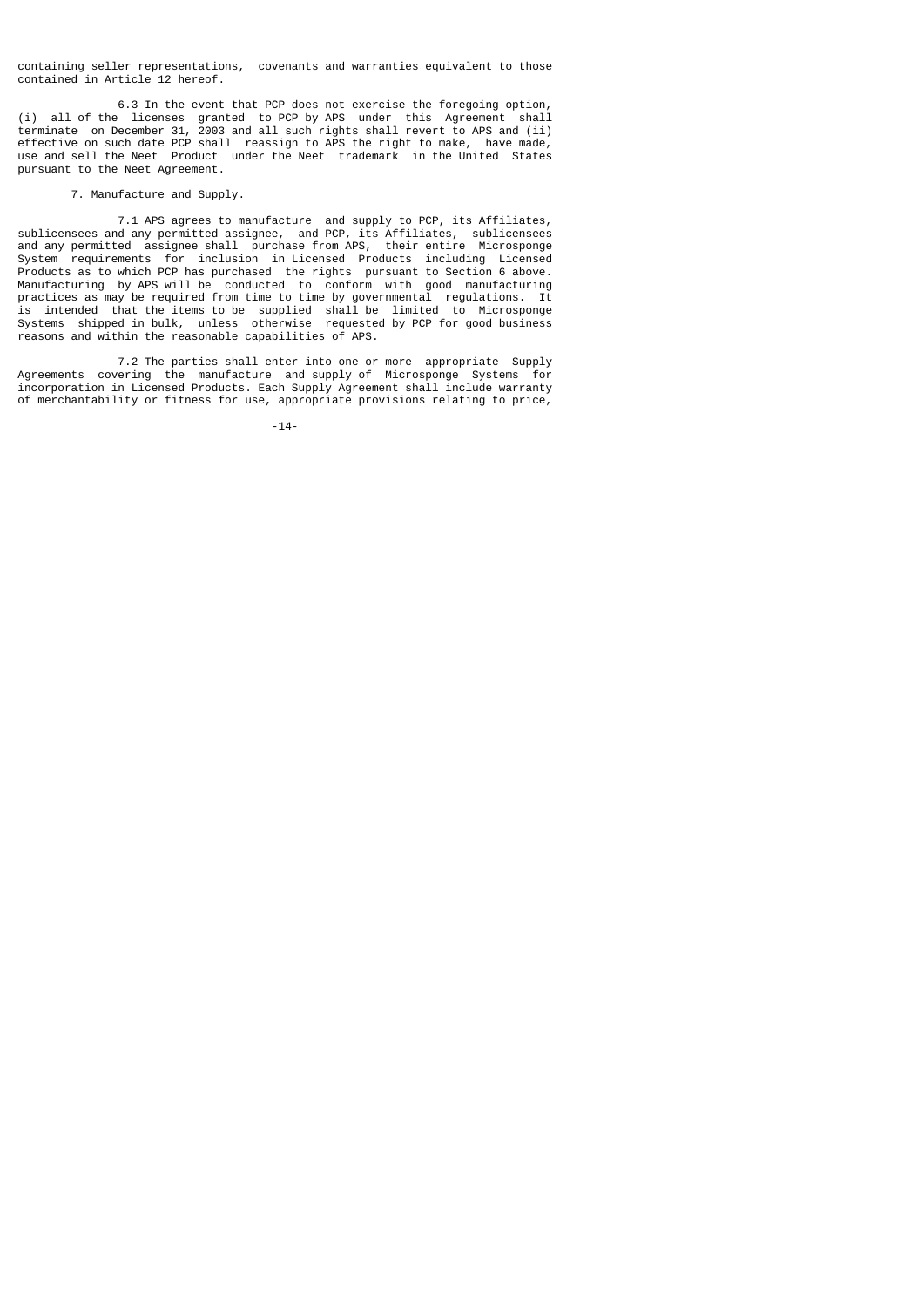containing seller representations, covenants and warranties equivalent to those contained in Article 12 hereof.

 6.3 In the event that PCP does not exercise the foregoing option, (i) all of the licenses granted to PCP by APS under this Agreement shall terminate on December 31, 2003 and all such rights shall revert to APS and (ii) effective on soccured between the contract to the right to make, have made, use and sell the Neet Product under the Neet trademark in the United States pursuant to the Neet Agreement.

## 7. Manufacture and Supply.

 7.1 APS agrees to manufacture and supply to PCP, its Affiliates, sublicensees and any permitted assignee, and PCP, its Affiliates, sublicensees and any permitted assignee shall purchase from APS, their entire Microsponge System requirements for inclusion in Licensed Products including Licensed Products as to which PCP has purchased the rights pursuant to Section 6 above. Manufacturing by APS will be conducted to conform with good manufacturing practices as may be required from time to time by governmental regulations. It is intended that the items to be supplied shall be limited to Microsponge Systems shipped in bulk, unless otherwise requested by PCP for good business reasons and within the reasonable capabilities of APS.

 7.2 The parties shall enter into one or more appropriate Supply Agreements covering the manufacture and supply of Microsponge Systems for incorporation in Licensed Products. Each Supply Agreement shall include warranty of merchantability or fitness for use, appropriate provisions relating to price,

-14-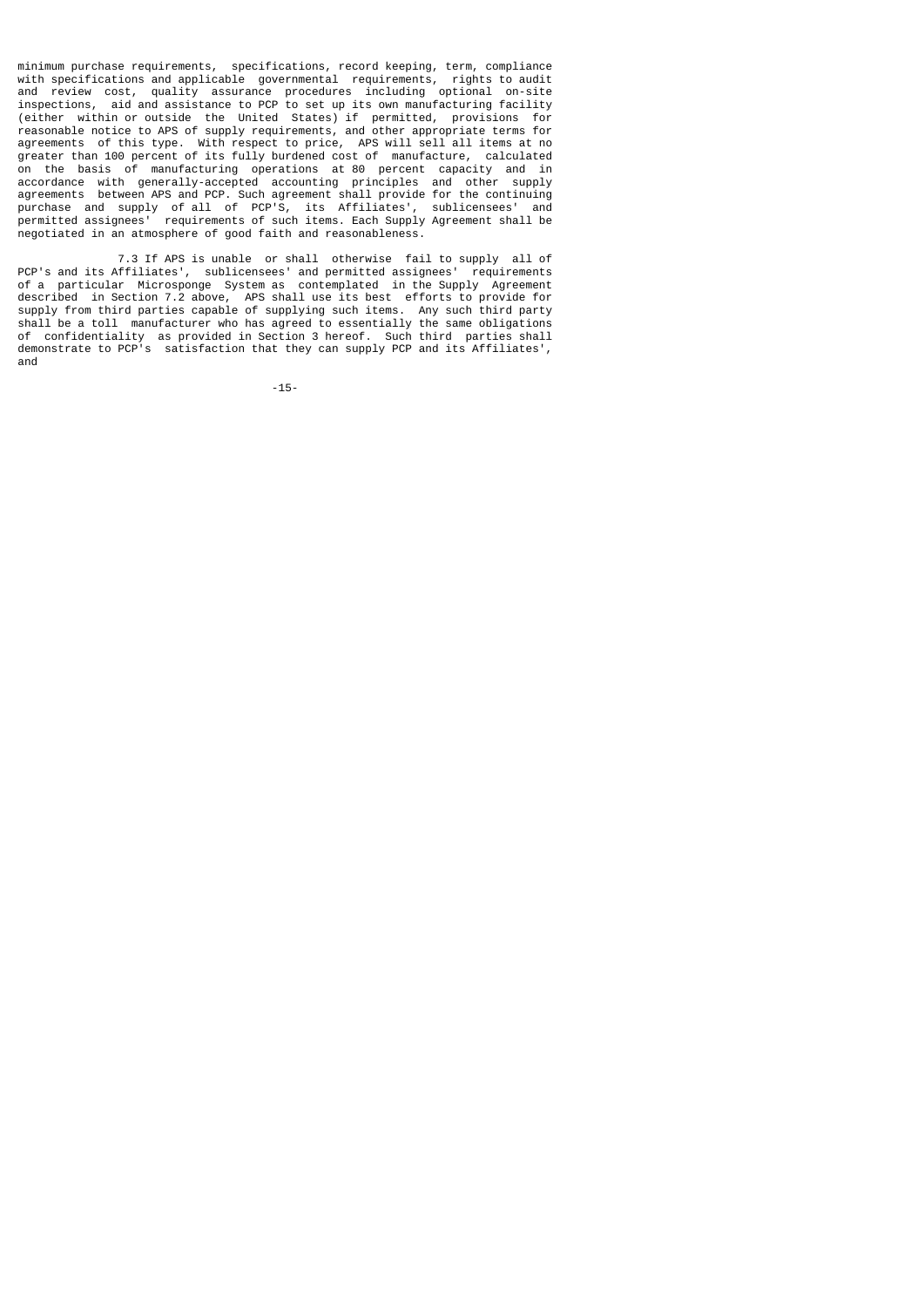minimum purchase requirements, specifications, record keeping, term, compliance with specifications and applicable governmental requirements, rights to audit and review cost, quality assurance procedures including optional on-site<br>inspections, aid and assistance to PCP to set un its own manufacturing facility aid and assistance to PCP to set up its own manufacturing facility (either within or outside the United States) if permitted, provisions for reasonable notice to APS of supply requirements, and other appropriate terms for agreements of this type. With respect to price, APS will sell all items at no greater than 100 percent of its fully burdened cost of manufacture, calculated on the basis of manufacturing operations at 80 percent capacity and in accordance with generally-accepted accounting principles and other supply agreements between APS and PCP. Such agreement shall provide for the continuing purchase and supply of all of PCP'S, its Affiliates', sublicensees' and permitted assignees' requirements of such items. Each Supply Agreement shall be negotiated in an atmosphere of good faith and reasonableness.

 7.3 If APS is unable or shall otherwise fail to supply all of PCP's and its Affiliates', sublicensees' and permitted assignees' requirements of a particular Microsponge System as contemplated in the Supply Agreement described in Section 7.2 above, APS shall use its best efforts to provide for supply from third parties capable of supplying such items. Any such third party shall be a toll manufacturer who has agreed to essentially the same obligations of confidentiality as provided in Section 3 hereof. Such third parties shall demonstrate to PCP's satisfaction that they can supply PCP and its Affiliates', and

-15-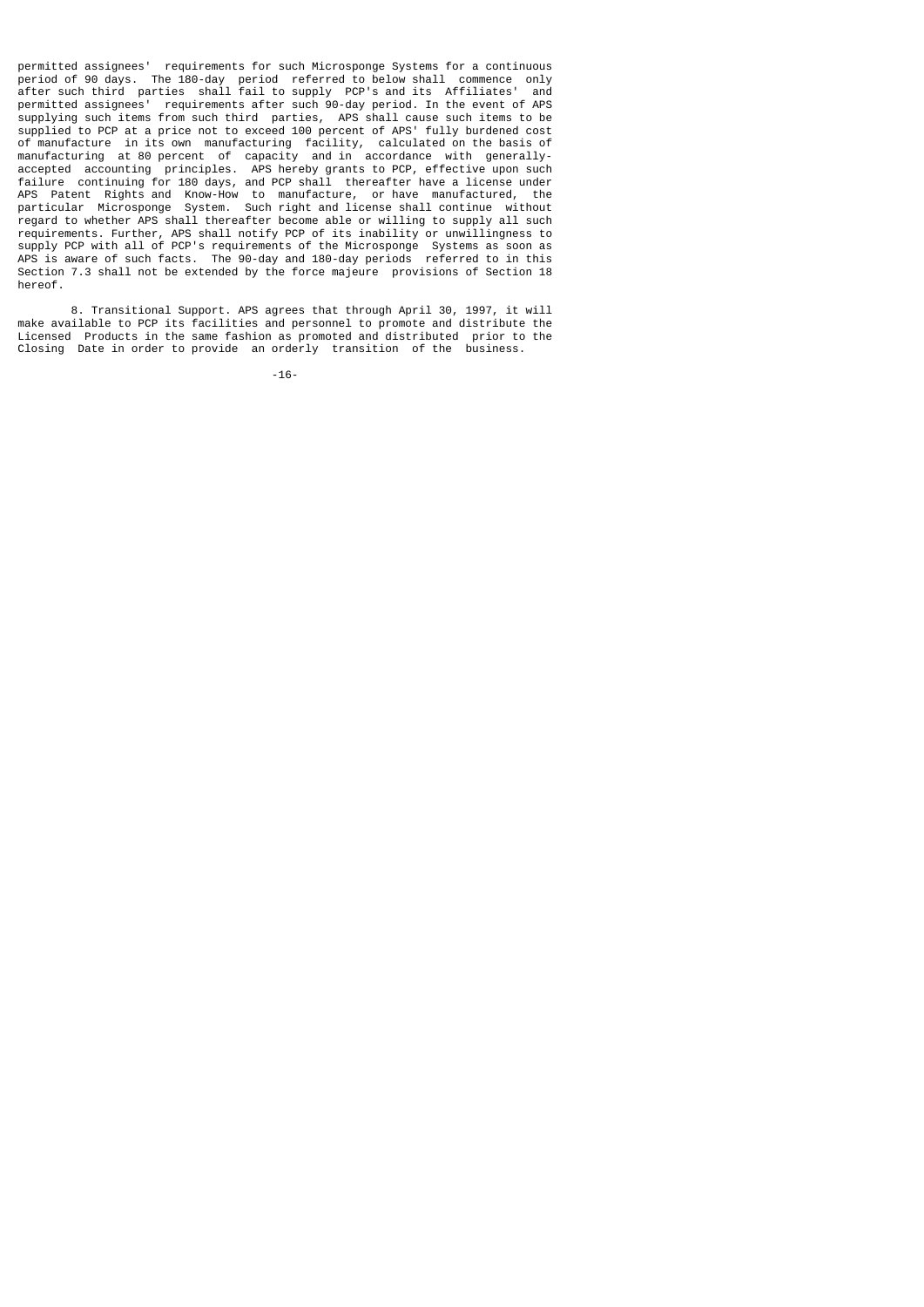permitted assignees' requirements for such Microsponge Systems for a continuous period of 90 days. The 180-day period referred to below shall commence only after such third parties shall fail to supply PCP's and its Affiliates' and permitted assignees' requirements after such 90-day period. In the event of APS supplying such items from such third parties, APS shall cause such items to be supplied to PCP at a price not to exceed 100 percent of APS' fully burdened cost of manufacture in its own manufacturing facility, calculated on the basis of manufacturing at 80 percent of capacity and in accordance with generallyaccepted accounting principles. APS hereby grants to PCP, effective upon such failure continuing for 180 days, and PCP shall thereafter have a license under APS Patent Rights and Know-How to manufacture, or have manufactured, the particular Microsponge System. Such right and license shall continue without regard to whether APS shall thereafter become able or willing to supply all such requirements. Further, APS shall notify PCP of its inability or unwillingness to supply PCP with all of PCP's requirements of the Microsponge Systems as soon as APS is aware of such facts. The 90-day and 180-day periods referred to in this Section 7.3 shall not be extended by the force majeure provisions of Section 18 hereof.

 8. Transitional Support. APS agrees that through April 30, 1997, it will make available to PCP its facilities and personnel to promote and distribute the Licensed Products in the same fashion as promoted and distributed prior to the Closing Date in order to provide an orderly transition of the business.

-16-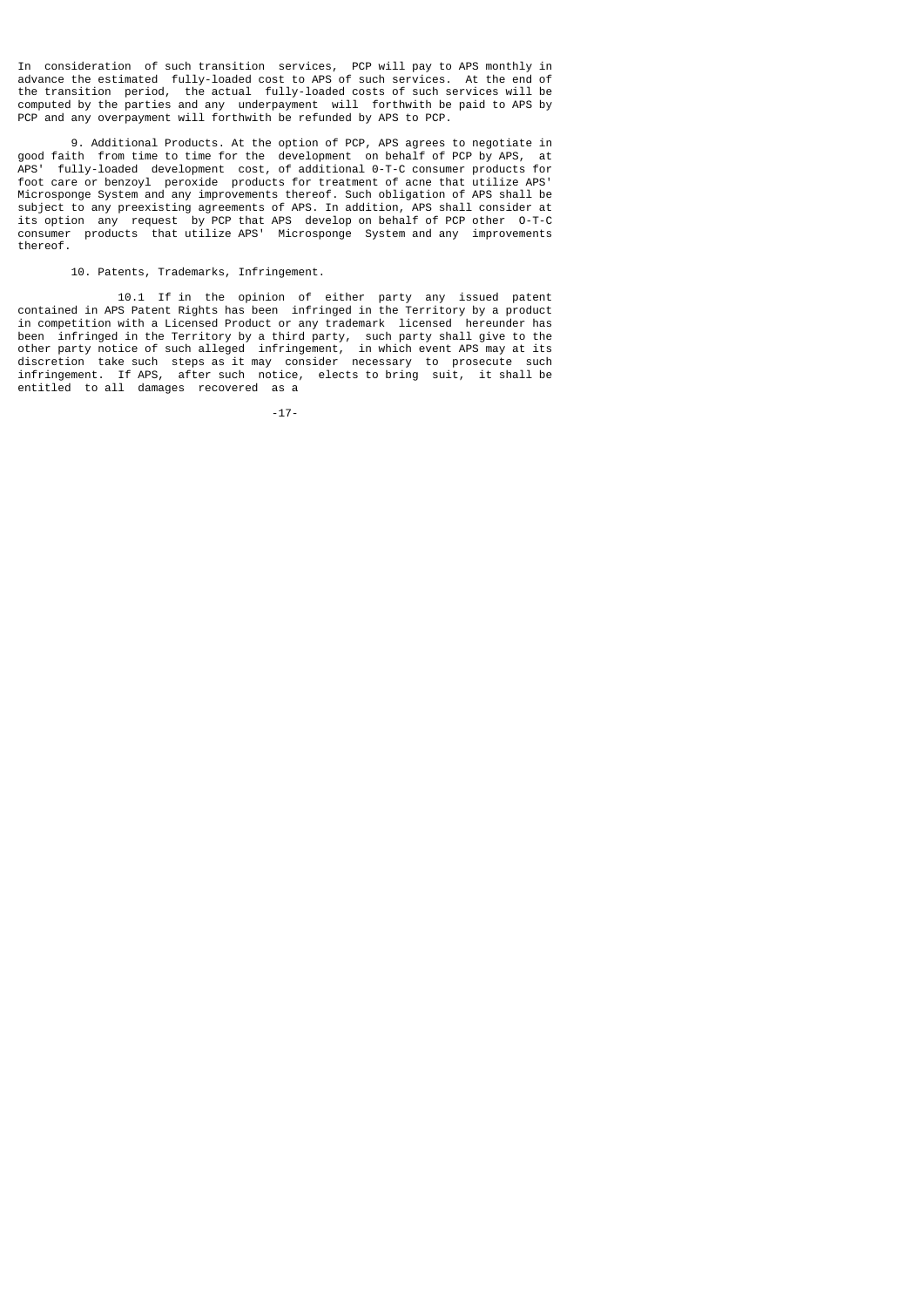In consideration of such transition services, PCP will pay to APS monthly in advance the estimated fully-loaded cost to APS of such services. At the end of the transition period, the actual fully-loaded costs of such services will be computed by the parties and any underpayment will forthwith be paid to APS by PCP and any overpayment will forthwith be refunded by APS to PCP.

 9. Additional Products. At the option of PCP, APS agrees to negotiate in good faith from time to time for the development on behalf of PCP by APS, at APS' fully-loaded development cost, of additional 0-T-C consumer products for foot care or benzoyl peroxide products for treatment of acne that utilize APS' Microsponge System and any improvements thereof. Such obligation of APS shall be subject to any preexisting agreements of APS. In addition, APS shall consider at its option any request by PCP that APS develop on behalf of PCP other O-T-C consumer products that utilize APS' Microsponge System and any improvements thereof.

### 10. Patents, Trademarks, Infringement.

 10.1 If in the opinion of either party any issued patent contained in APS Patent Rights has been infringed in the Territory by a product in competition with a Licensed Product or any trademark licensed hereunder has been infringed in the Territory by a third party, such party shall give to the other party notice of such alleged infringement, in which event APS may at its discretion take such steps as it may consider necessary to prosecute such infringement. If APS, after such notice, elects to bring suit, it shall be entitled to all damages recovered as a

-17-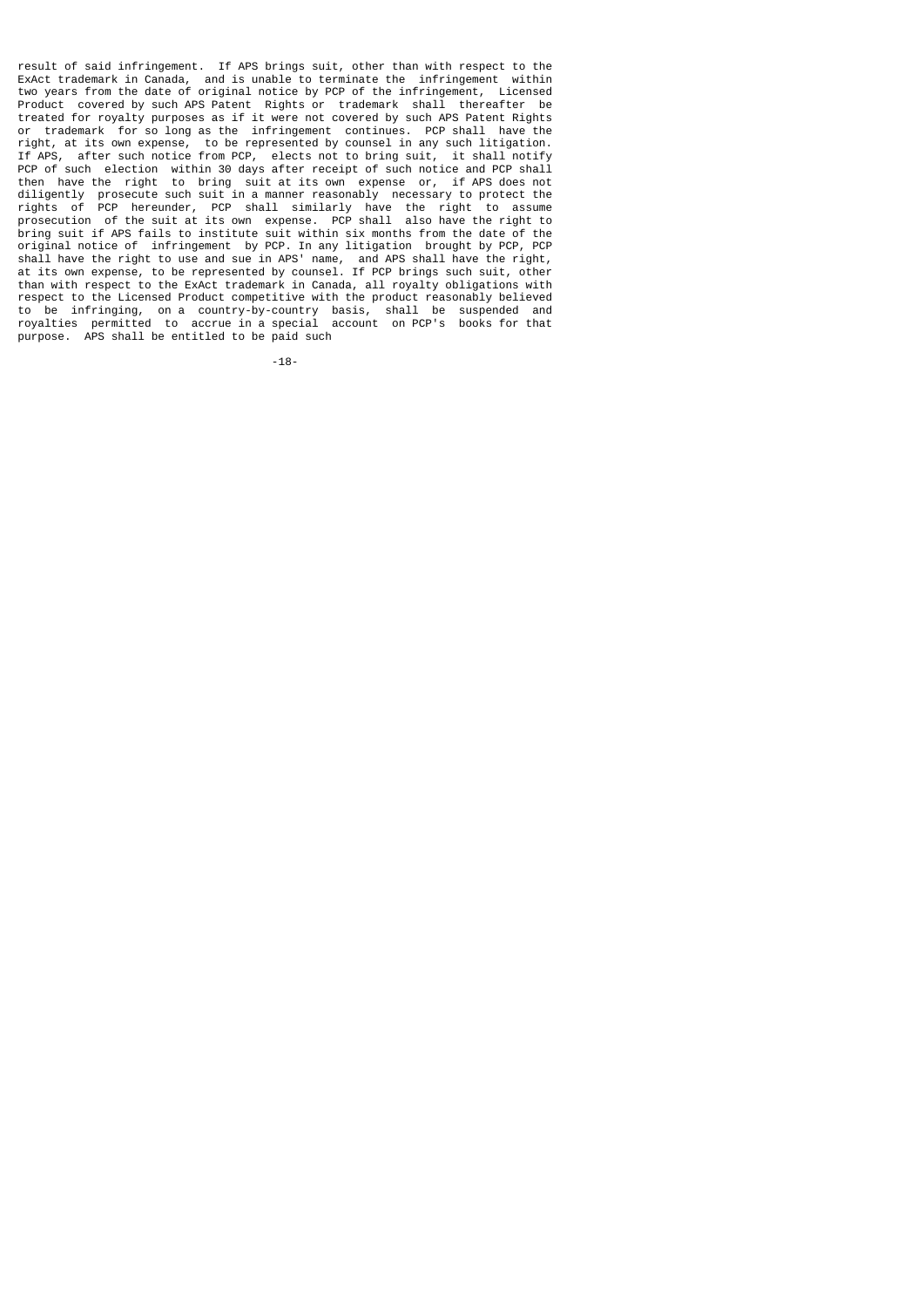result of said infringement. If APS brings suit, other than with respect to the ExAct trademark in Canada, and is unable to terminate the infringement within two years from the date of original notice by PCP of the infringement, Licensed Product covered by such APS Patent Rights or trademark shall thereafter be treated for royalty purposes as if it were not covered by such APS Patent Rights or trademark for so long as the infringement continues. PCP shall have the right, at its own expense, to be represented by counsel in any such litigation. If APS, after such notice from PCP, elects not to bring suit, it shall notify PCP of such election within 30 days after receipt of such notice and PCP shall then have the right to bring suit at its own expense or, if APS does not diligently prosecute such suit in a manner reasonably necessary to protect the rights of PCP hereunder, PCP shall similarly have the right to assume prosecution of the suit at its own expense. PCP shall also have the right to bring suit if APS fails to institute suit within six months from the date of the original notice of infringement by PCP. In any litigation brought by PCP, PCP shall have the right to use and sue in APS' name, and APS shall have the right, at its own expense, to be represented by counsel. If PCP brings such suit, other than with respect to the ExAct trademark in Canada, all royalty obligations with respect to the Licensed Product competitive with the product reasonably believed to be infringing, on a country-by-country basis, shall be suspended and royalties permitted to accrue in a special account on PCP's books for that purpose. APS shall be entitled to be paid such

-18-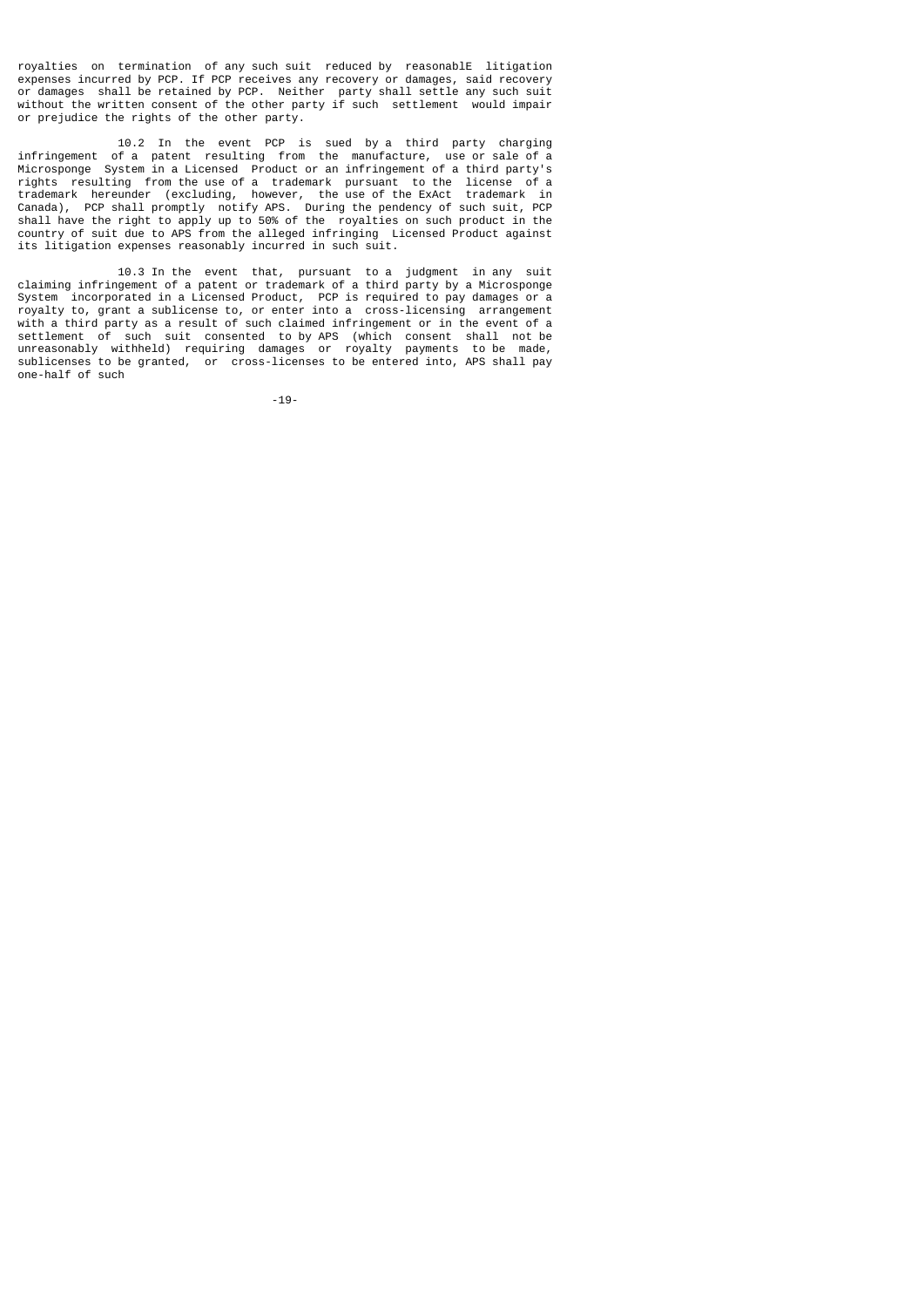royalties on termination of any such suit reduced by reasonablE litigation expenses incurred by PCP. If PCP receives any recovery or damages, said recovery or damages shall be retained by PCP. Neither party shall settle any such suit without the written consent of the other party if such settlement would impair or prejudice the rights of the other party.

 10.2 In the event PCP is sued by a third party charging infringement of a patent resulting from the manufacture, use or sale of a Microsponge System in a Licensed Product or an infringement of a third party's rights resulting from the use of a trademark pursuant to the license of a trademark hereunder (excluding, however, the use of the ExAct trademark in Canada), PCP shall promptly notify APS. During the pendency of such suit, PCP shall have the right to apply up to 50% of the royalties on such product in the country of suit due to APS from the alleged infringing Licensed Product against its litigation expenses reasonably incurred in such suit.

 10.3 In the event that, pursuant to a judgment in any suit claiming infringement of a patent or trademark of a third party by a Microsponge System incorporated in a Licensed Product, PCP is required to pay damages or a royalty to, grant a sublicense to, or enter into a cross-licensing arrangement with a third party as a result of such claimed infringement or in the event of a settlement of such suit consented to by APS (which consent shall not be unreasonably withheld) requiring damages or royalty payments to be made, sublicenses to be granted, or cross-licenses to be entered into, APS shall pay one-half of such

-19-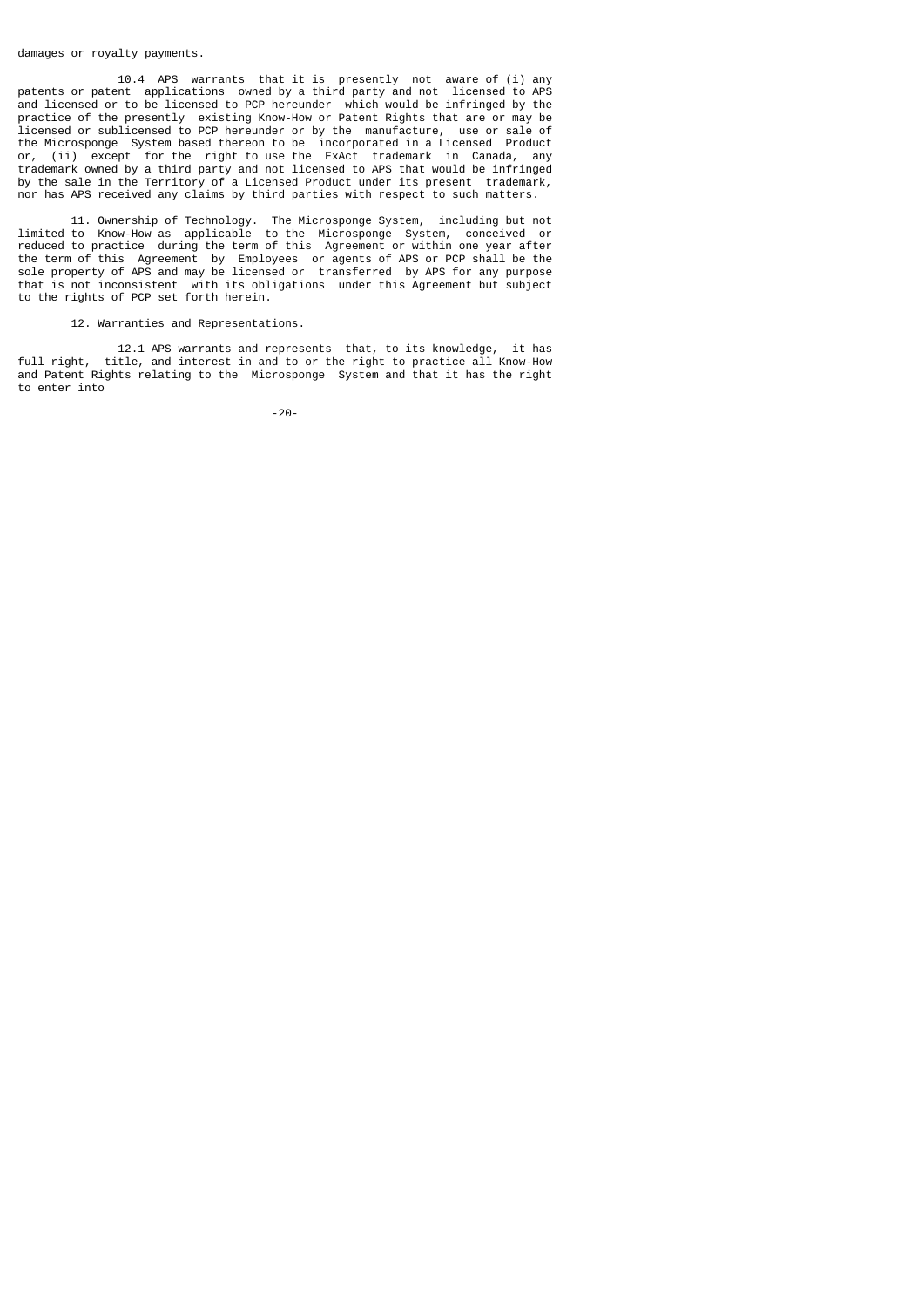#### damages or royalty payments.

 10.4 APS warrants that it is presently not aware of (i) any patents or patent applications owned by a third party and not licensed to APS and licensed or to be licensed to PCP hereunder which would be infringed by the practice of the presently existing Know-How or Patent Rights that are or may be licensed or sublicensed to PCP hereunder or by the manufacture, use or sale of the Microsponge System based thereon to be incorporated in a Licensed Product or, (ii) except for the right to use the ExAct trademark in Canada, any trademark owned by a third party and not licensed to APS that would be infringed by the sale in the Territory of a Licensed Product under its present trademark, nor has APS received any claims by third parties with respect to such matters.

 11. Ownership of Technology. The Microsponge System, including but not limited to Know-How as applicable to the Microsponge System, conceived or reduced to practice during the term of this Agreement or within one year after the term of this Agreement by Employees or agents of APS or PCP shall be the sole property of APS and may be licensed or transferred by APS for any purpose that is not inconsistent with its obligations under this Agreement but subject to the rights of PCP set forth herein.

## 12. Warranties and Representations.

12.1 APS warrants and represents that, to its knowledge, it has<br>full right, title, and interest in and to or the right to practice all Know-How title, and interest in and to or the right to practice all Know-How and Patent Rights relating to the Microsponge System and that it has the right to enter into

-20-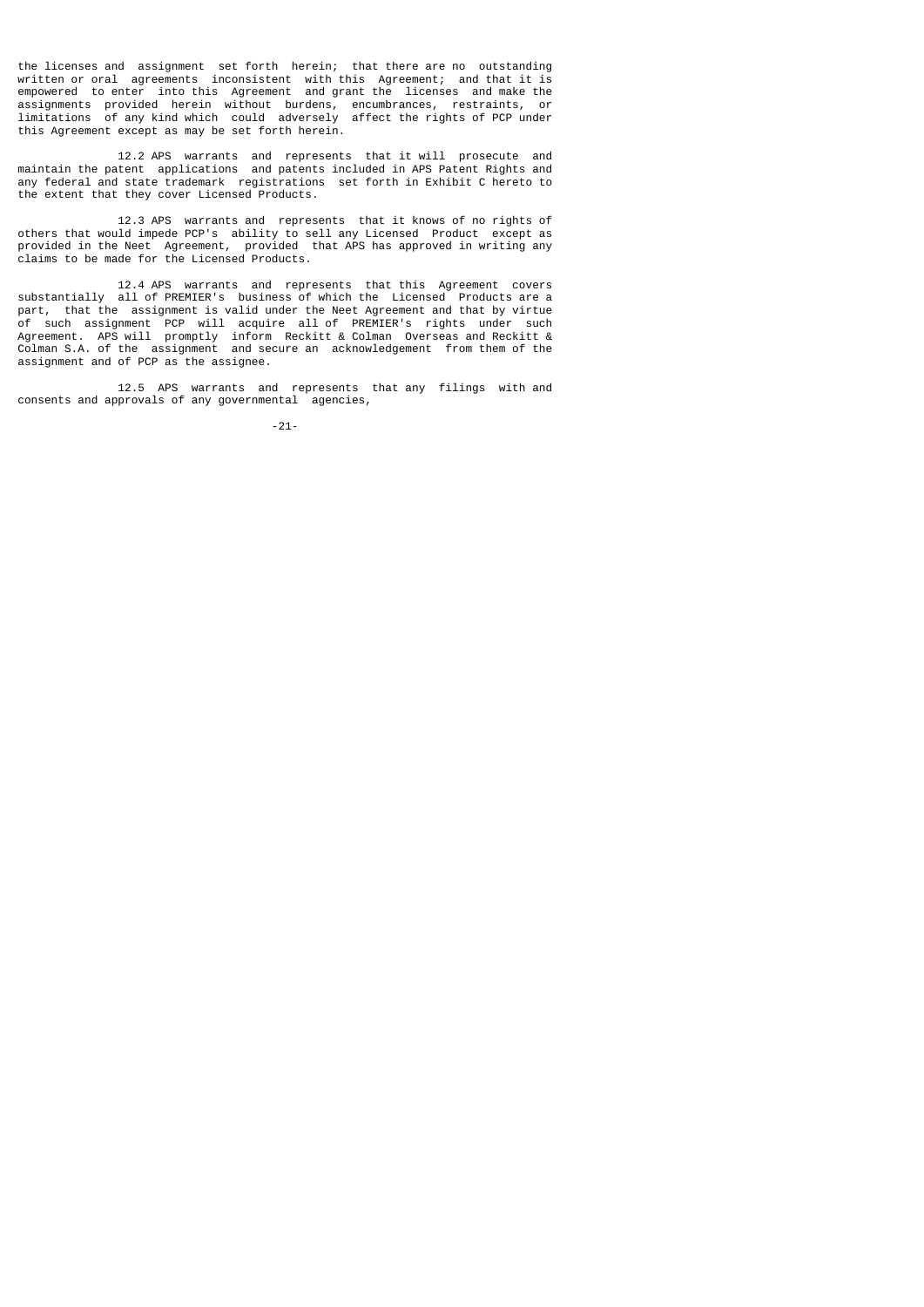the licenses and assignment set forth herein; that there are no outstanding written or oral agreements inconsistent with this Agreement; and that it is empowered to enter into this Agreement and grant the licenses and make the assignments provided herein without burdens, encumbrances, restraints, or limitations of any kind which could adversely affect the rights of PCP under this Agreement except as may be set forth herein.

 12.2 APS warrants and represents that it will prosecute and maintain the patent applications and patents included in APS Patent Rights and any federal and state trademark registrations set forth in Exhibit C hereto to the extent that they cover Licensed Products.

 12.3 APS warrants and represents that it knows of no rights of others that would impede PCP's ability to sell any Licensed Product except as provided in the Neet Agreement, provided that APS has approved in writing any claims to be made for the Licensed Products.

 12.4 APS warrants and represents that this Agreement covers substantially all of PREMIER's business of which the Licensed Products are a part, that the assignment is valid under the Neet Agreement and that by virtue of such assignment PCP will acquire all of PREMIER's rights under such Agreement. APS will promptly inform Reckitt & Colman Overseas and Reckitt & Colman S.A. of the assignment and secure an acknowledgement from them of the assignment and of PCP as the assignee.

 12.5 APS warrants and represents that any filings with and consents and approvals of any governmental agencies,

-21-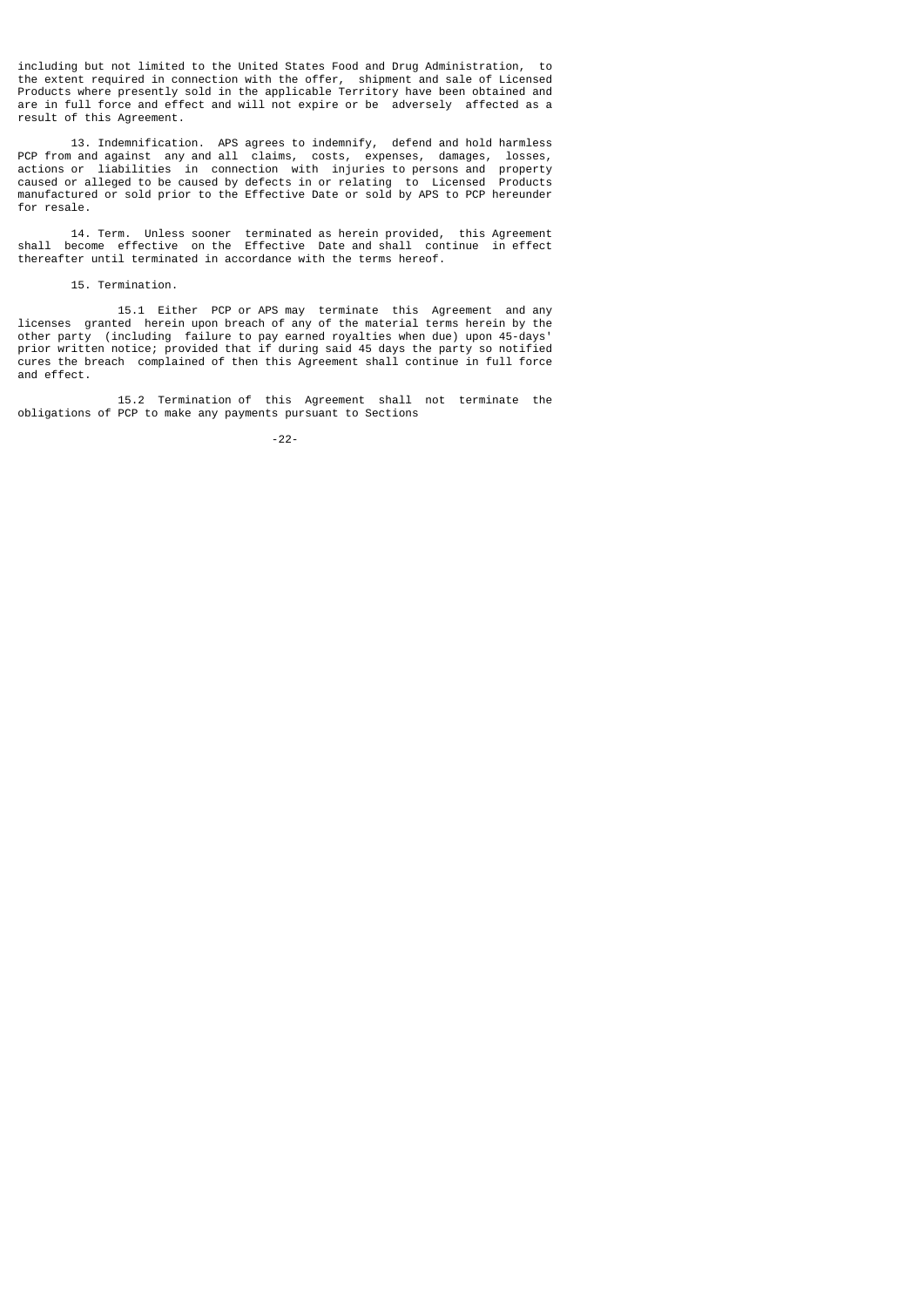including but not limited to the United States Food and Drug Administration, to the extent required in connection with the offer, shipment and sale of Licensed Products where presently sold in the applicable Territory have been obtained and are in full force and effect and will not expire or be adversely affected as a result of this Agreement.

 13. Indemnification. APS agrees to indemnify, defend and hold harmless PCP from and against any and all claims, costs, expenses, damages, losses, actions or liabilities in connection with injuries to persons and property caused or alleged to be caused by defects in or relating to Licensed Products manufactured or sold prior to the Effective Date or sold by APS to PCP hereunder for resale.

 14. Term. Unless sooner terminated as herein provided, this Agreement shall become effective on the Effective Date and shall continue in effect thereafter until terminated in accordance with the terms hereof.

### 15. Termination.

 15.1 Either PCP or APS may terminate this Agreement and any licenses granted herein upon breach of any of the material terms herein by the other party (including failure to pay earned royalties when due) upon 45-days' prior written notice; provided that if during said 45 days the party so notified cures the breach complained of then this Agreement shall continue in full force and effect.

 15.2 Termination of this Agreement shall not terminate the obligations of PCP to make any payments pursuant to Sections

-22-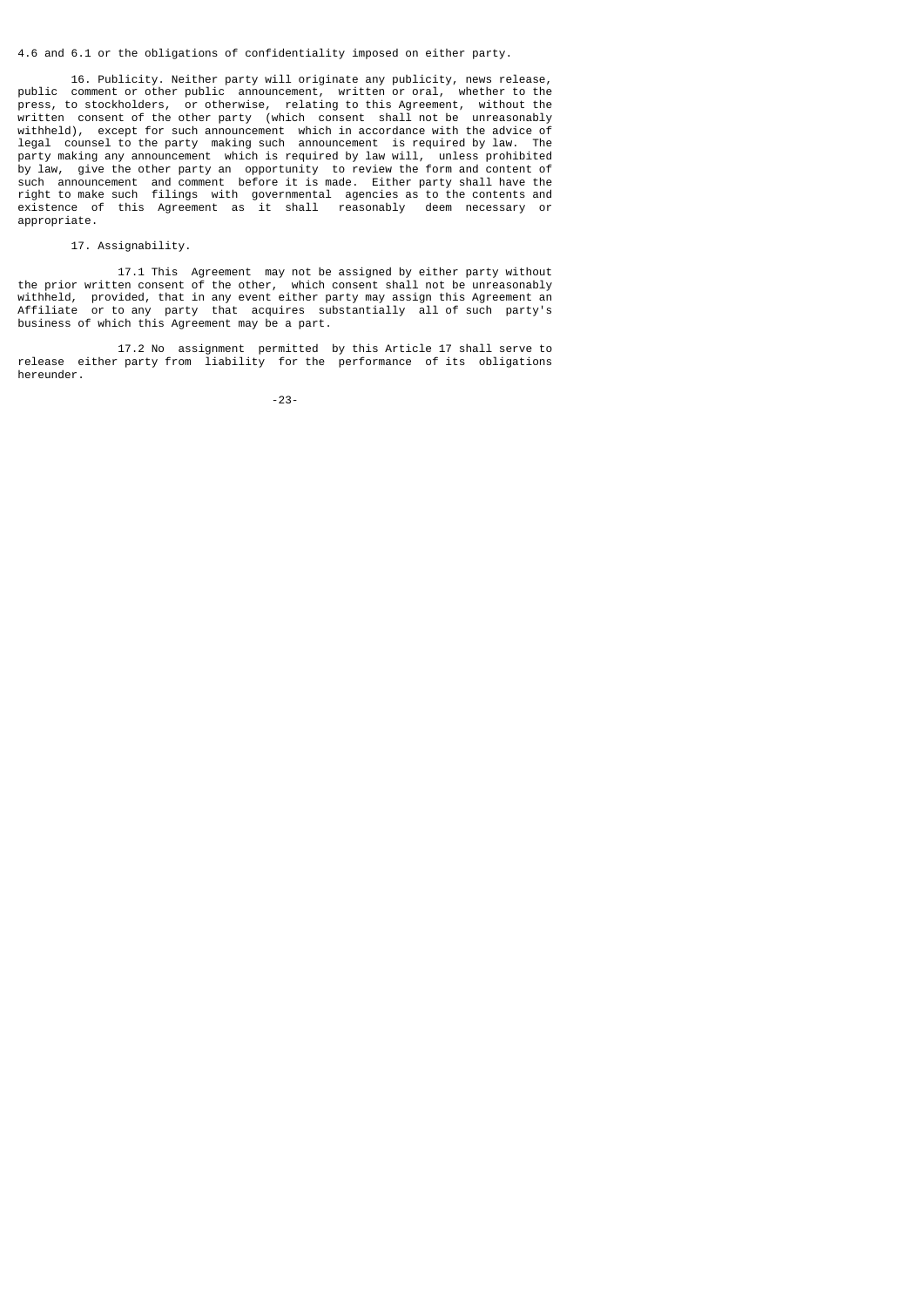### 4.6 and 6.1 or the obligations of confidentiality imposed on either party.

 16. Publicity. Neither party will originate any publicity, news release, public comment or other public announcement, written or oral, whether to the press, to stockholders, or otherwise, relating to this Agreement, without the written consent of the other party (which consent shall not be unreasonably withheld), except for such announcement which in accordance with the advice of legal counsel to the party making such announcement is required by law. The party making any announcement which is required by law will, unless prohibited by law, give the other party an opportunity to review the form and content of such announcement and comment before it is made. Either party shall have the right to make such filings with governmental agencies as to the contents and existence of this Agreement as it shall reasonably deem necessary or appropriate.

## 17. Assignability.

 17.1 This Agreement may not be assigned by either party without the prior written consent of the other, which consent shall not be unreasonably withheld, provided, that in any event either party may assign this Agreement an Affiliate or to any party that acquires substantially all of such party's business of which this Agreement may be a part.

 17.2 No assignment permitted by this Article 17 shall serve to release either party from liability for the performance of its obligations hereunder.

-23-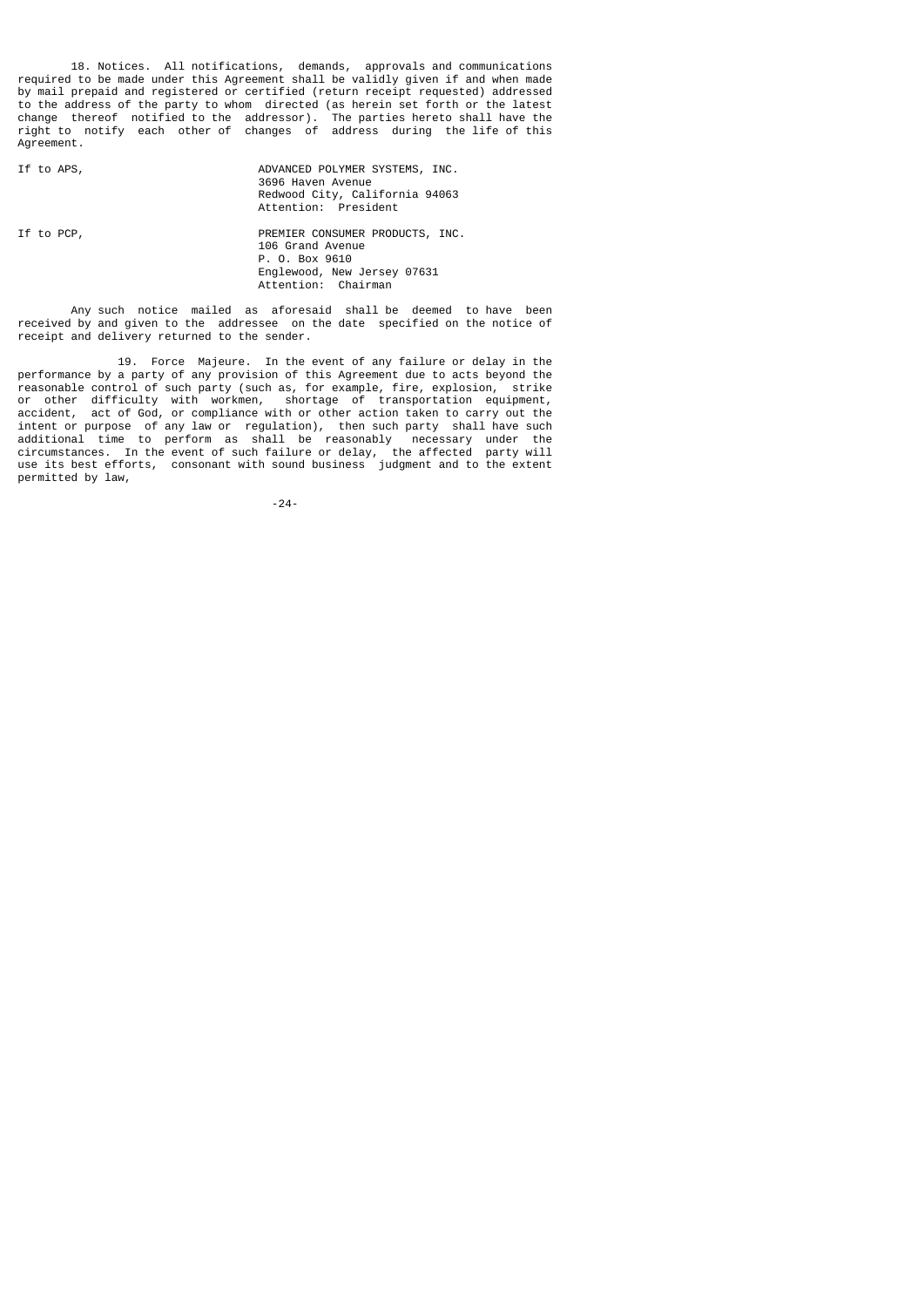18. Notices. All notifications, demands, approvals and communications required to be made under this Agreement shall be validly given if and when made by mail prepaid and registered or certified (return receipt requested) addressed to the address of the party to whom directed (as herein set forth or the latest change thereof notified to the addressor). The parties hereto shall have the right to notify each other of changes of address during the life of this Agreement.

If to APS,  $ADVANCED$  POLYMER SYSTEMS, INC. 3696 Haven Avenue Redwood City, California 94063 Attention: President

If to PCP,  $P$ REMIER CONSUMER PRODUCTS, INC. 106 Grand Avenue P. O. Box 9610 Englewood, New Jersey 07631

 Any such notice mailed as aforesaid shall be deemed to have been received by and given to the addressee on the date specified on the notice of receipt and delivery returned to the sender.

Attention: Chairman

 19. Force Majeure. In the event of any failure or delay in the performance by a party of any provision of this Agreement due to acts beyond the reasonable control of such party (such as, for example, fire, explosion, strike or other difficulty with workmen, shortage of transportation equipment, accident, act of God, or compliance with or other action taken to carry out the intent or purpose of any law or regulation), then such party shall have such additional time to perform as shall be reasonably necessary under the circumstances. In the event of such failure or delay, the affected party will use its best efforts, consonant with sound business judgment and to the extent permitted by law,

-24-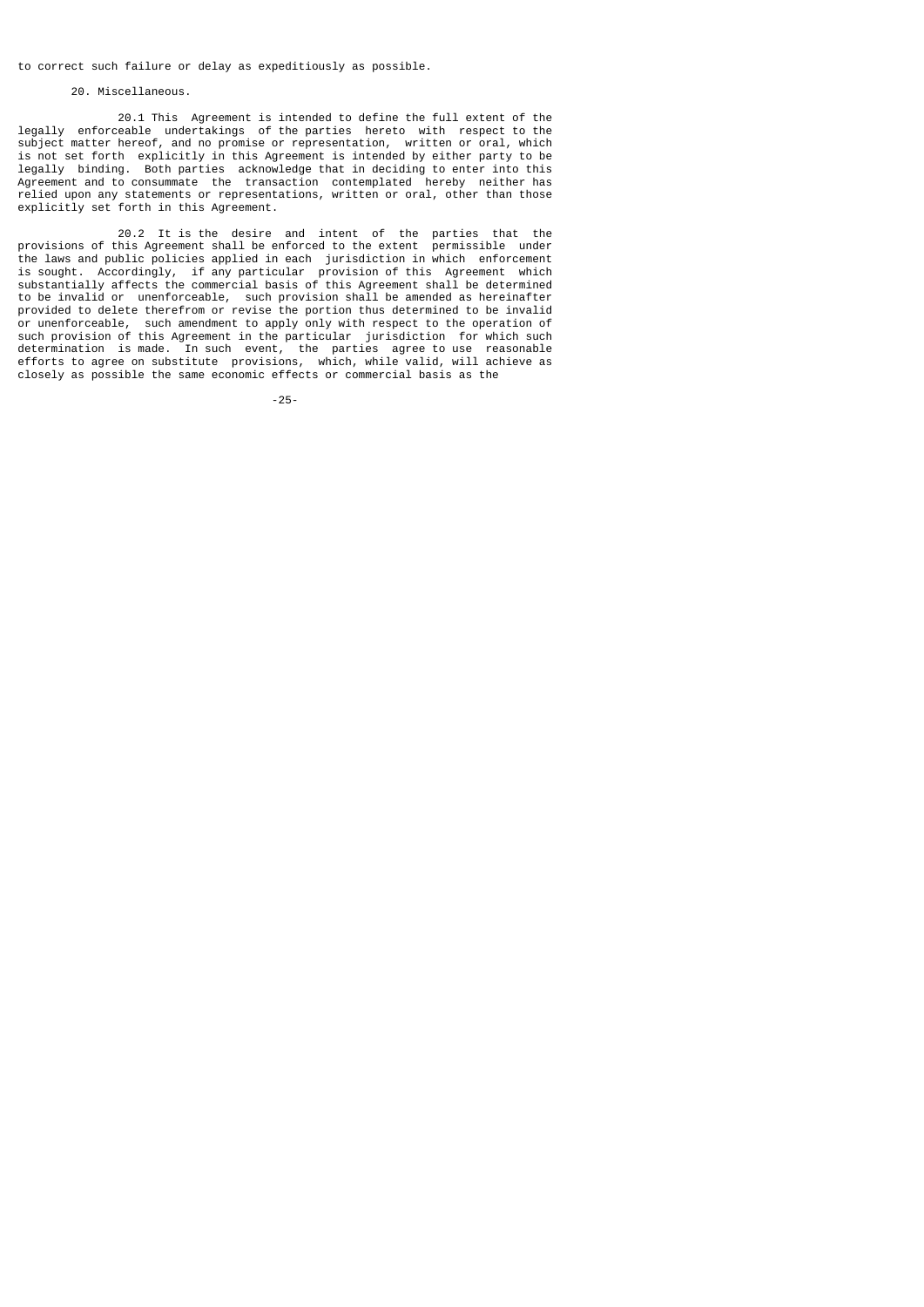to correct such failure or delay as expeditiously as possible.

### 20. Miscellaneous.

 20.1 This Agreement is intended to define the full extent of the legally enforceable undertakings of the parties hereto with respect to the subject matter hereof, and no promise or representation, written or oral, which is not set forth explicitly in this Agreement is intended by either party to be legally binding. Both parties acknowledge that in deciding to enter into this Agreement and to consummate the transaction contemplated hereby neither has relied upon any statements or representations, written or oral, other than those explicitly set forth in this Agreement.

 20.2 It is the desire and intent of the parties that the provisions of this Agreement shall be enforced to the extent permissible under the laws and public policies applied in each jurisdiction in which enforcement is sought. Accordingly, if any particular provision of this Agreement which substantially affects the commercial basis of this Agreement shall be determined to be invalid or unenforceable, such provision shall be amended as hereinafter provided to delete therefrom or revise the portion thus determined to be invalid or unenforceable, such amendment to apply only with respect to the operation of such provision of this Agreement in the particular jurisdiction for which such determination is made. In such event, the parties agree to use reasonable efforts to agree on substitute provisions, which, while valid, will achieve as closely as possible the same economic effects or commercial basis as the

-25-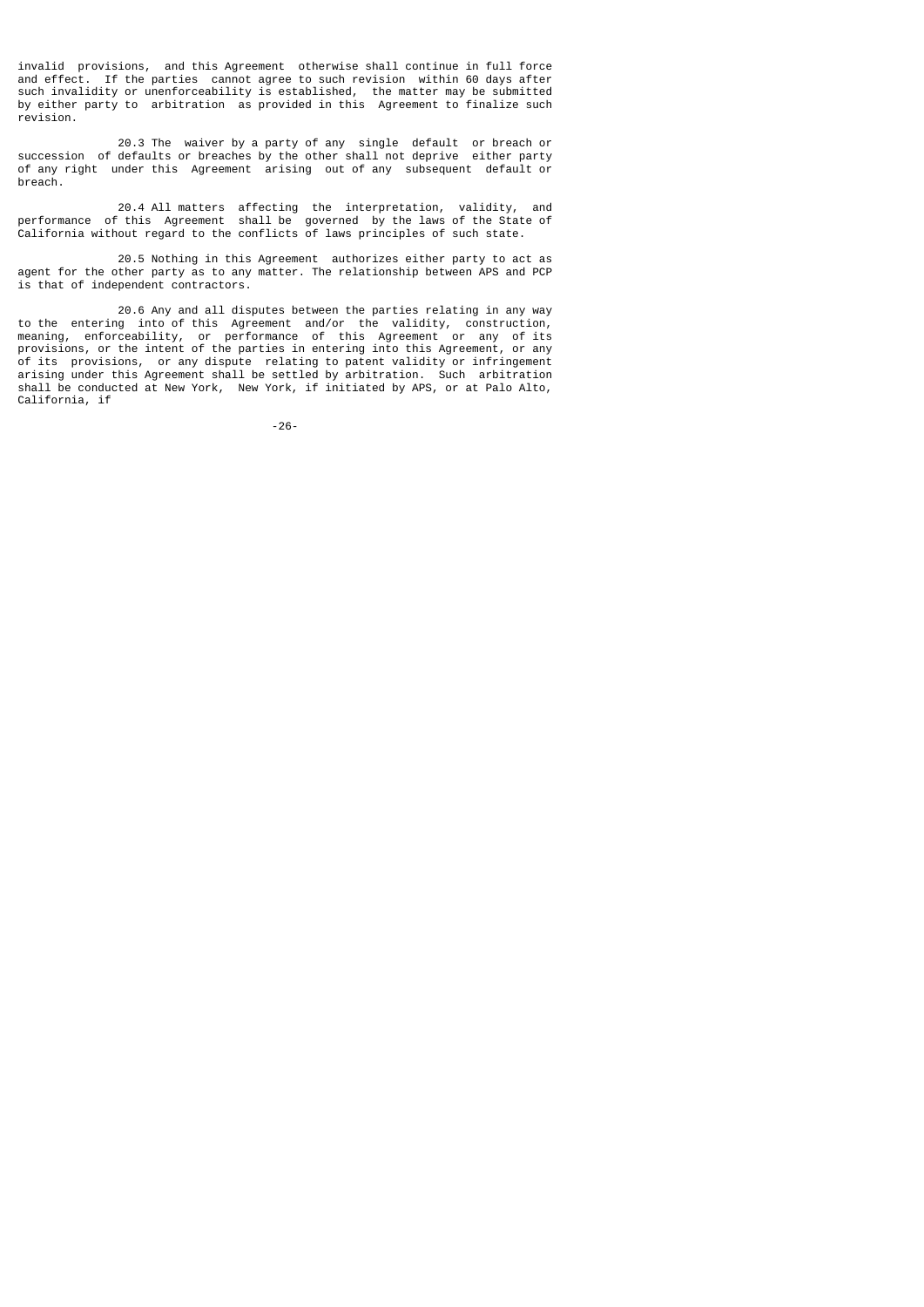invalid provisions, and this Agreement otherwise shall continue in full force and effect. If the parties cannot agree to such revision within 60 days after such invalidity or unenforceability is established, the matter may be submitted by either party to arbitration as provided in this Agreement to finalize such revision.

 20.3 The waiver by a party of any single default or breach or succession of defaults or breaches by the other shall not deprive either party of any right under this Agreement arising out of any subsequent default or breach.

 20.4 All matters affecting the interpretation, validity, and performance of this Agreement shall be governed by the laws of the State of California without regard to the conflicts of laws principles of such state.

 20.5 Nothing in this Agreement authorizes either party to act as agent for the other party as to any matter. The relationship between APS and PCP is that of independent contractors.

 20.6 Any and all disputes between the parties relating in any way to the entering into of this Agreement and/or the validity, construction, meaning, enforceability, or performance of this Agreement or any of its provisions, or the intent of the parties in entering into this Agreement, or any of its provisions, or any dispute relating to patent validity or infringement arising under this Agreement shall be settled by arbitration. Such arbitration shall be conducted at New York, New York, if initiated by APS, or at Palo Alto, California, if

-26-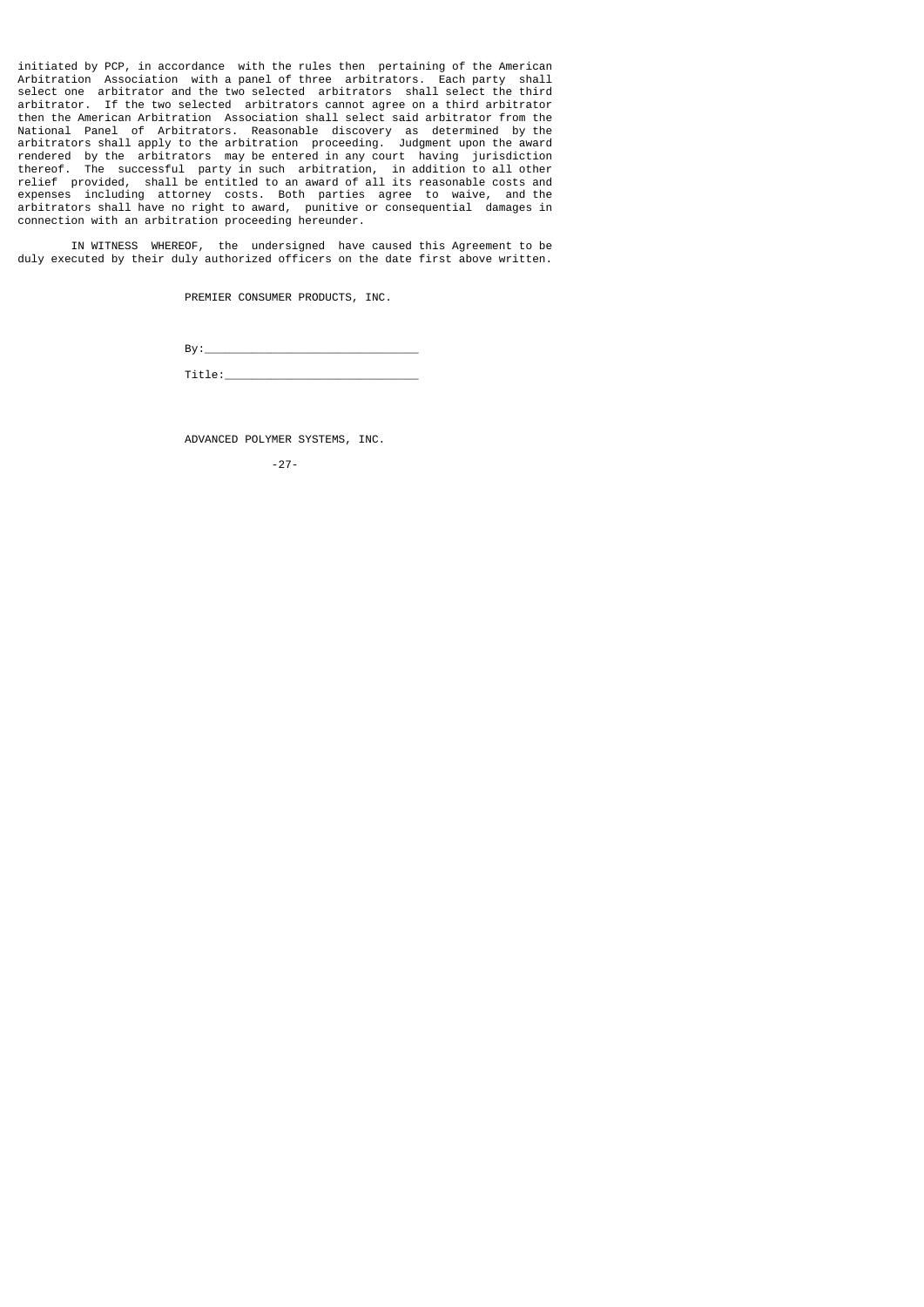initiated by PCP, in accordance with the rules then pertaining of the American Arbitration Association with a panel of three arbitrators. Each party shall select one arbitrator and the two selected arbitrators shall select the third arbitrator. If the two selected arbitrators cannot agree on a third arbitrator then the American Arbitration Association shall select said arbitrator from the National Panel of Arbitrators. Reasonable discovery as determined by the arbitrators shall apply to the arbitration proceeding. Judgment upon the award rendered by the arbitrators may be entered in any court having jurisdiction thereof. The successful party in such arbitration, in addition to all other relief provided, shall be entitled to an award of all its reasonable costs and expenses including attorney costs. Both parties agree to waive, and the arbitrators shall have no right to award, punitive or consequential damages in connection with an arbitration proceeding hereunder.

 IN WITNESS WHEREOF, the undersigned have caused this Agreement to be duly executed by their duly authorized officers on the date first above written.

PREMIER CONSUMER PRODUCTS, INC.

By:\_\_\_\_\_\_\_\_\_\_\_\_\_\_\_\_\_\_\_\_\_\_\_\_\_\_\_\_\_\_\_\_

Title:\_\_\_\_\_\_\_\_\_\_\_\_\_\_\_\_\_\_\_\_\_\_\_\_\_\_\_\_\_

ADVANCED POLYMER SYSTEMS, INC.

-27-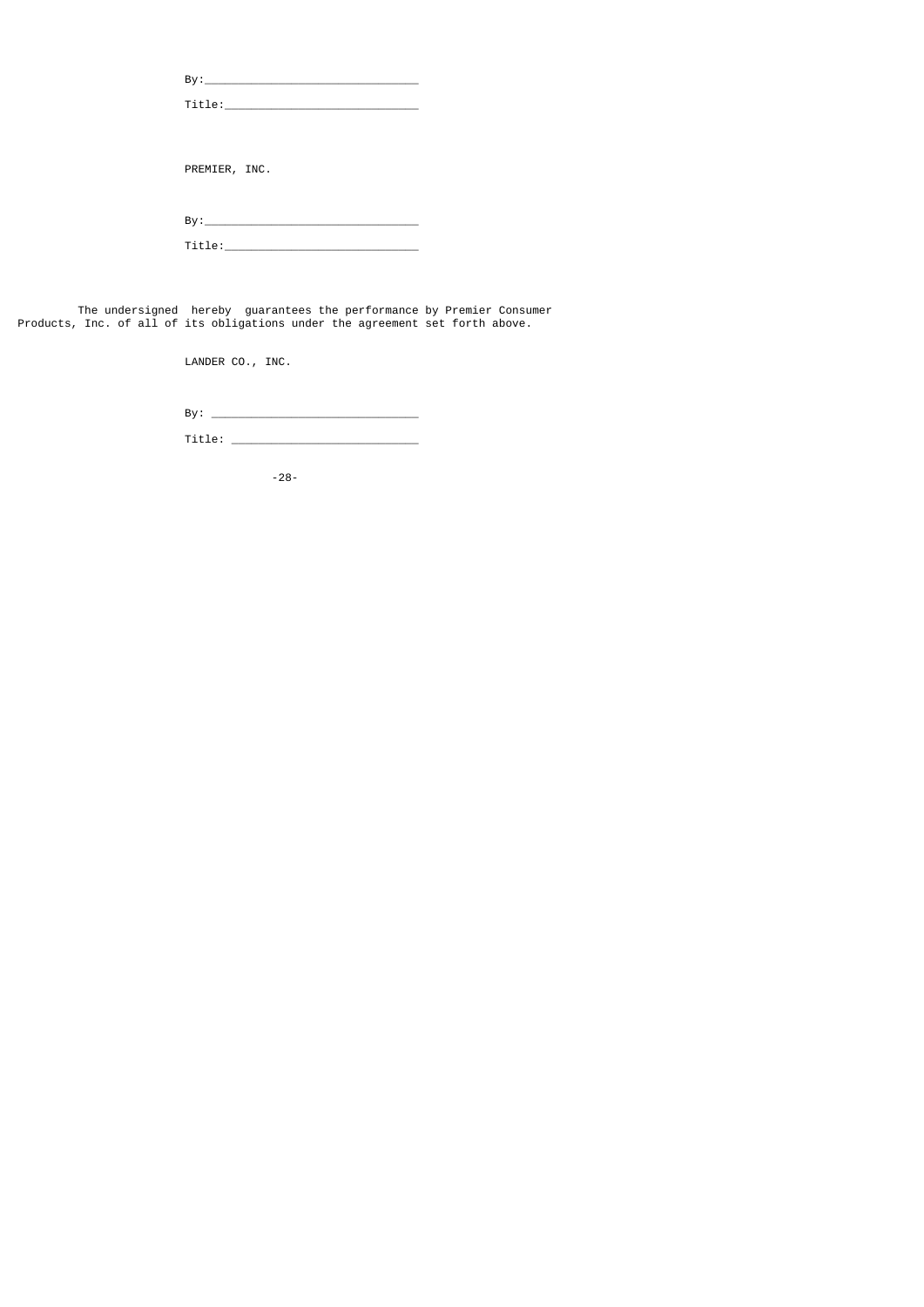| PREMIER, INC.                                                                                                                                                                                                                  |
|--------------------------------------------------------------------------------------------------------------------------------------------------------------------------------------------------------------------------------|
|                                                                                                                                                                                                                                |
|                                                                                                                                                                                                                                |
| Title: the contract of the contract of the contract of the contract of the contract of the contract of the contract of the contract of the contract of the contract of the contract of the contract of the contract of the con |
|                                                                                                                                                                                                                                |

 The undersigned hereby guarantees the performance by Premier Consumer Products, Inc. of all of its obligations under the agreement set forth above.

LANDER CO., INC.

By: \_\_\_\_\_\_\_\_\_\_\_\_\_\_\_\_\_\_\_\_\_\_\_\_\_\_\_\_\_\_\_

Title: \_\_\_\_\_\_\_\_\_\_\_\_\_\_\_\_\_\_\_\_\_\_\_\_\_\_\_\_

-28-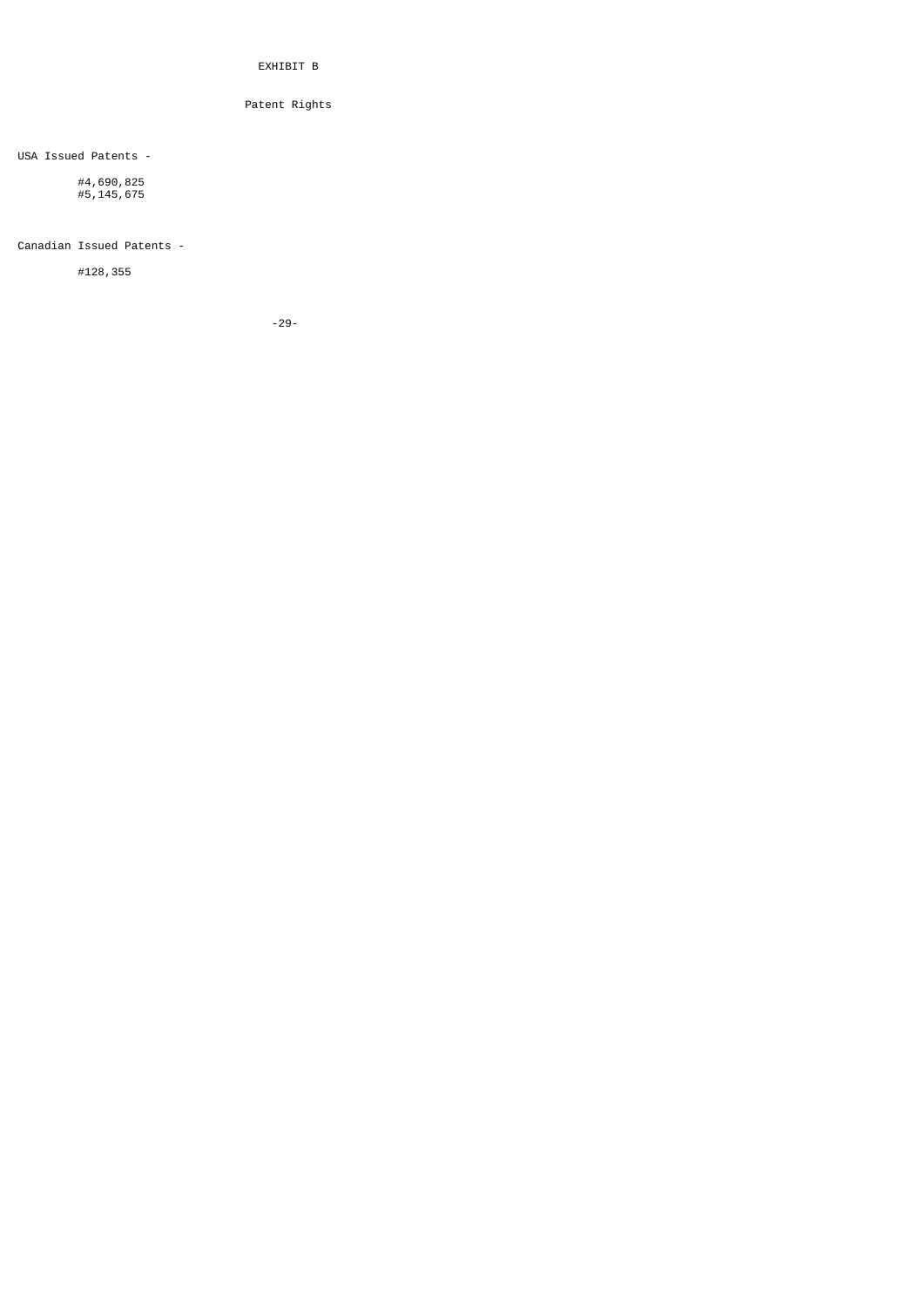EXHIBIT B

Patent Rights

USA Issued Patents -

 #4,690,825 #5,145,675

Canadian Issued Patents -

#128,355

-29-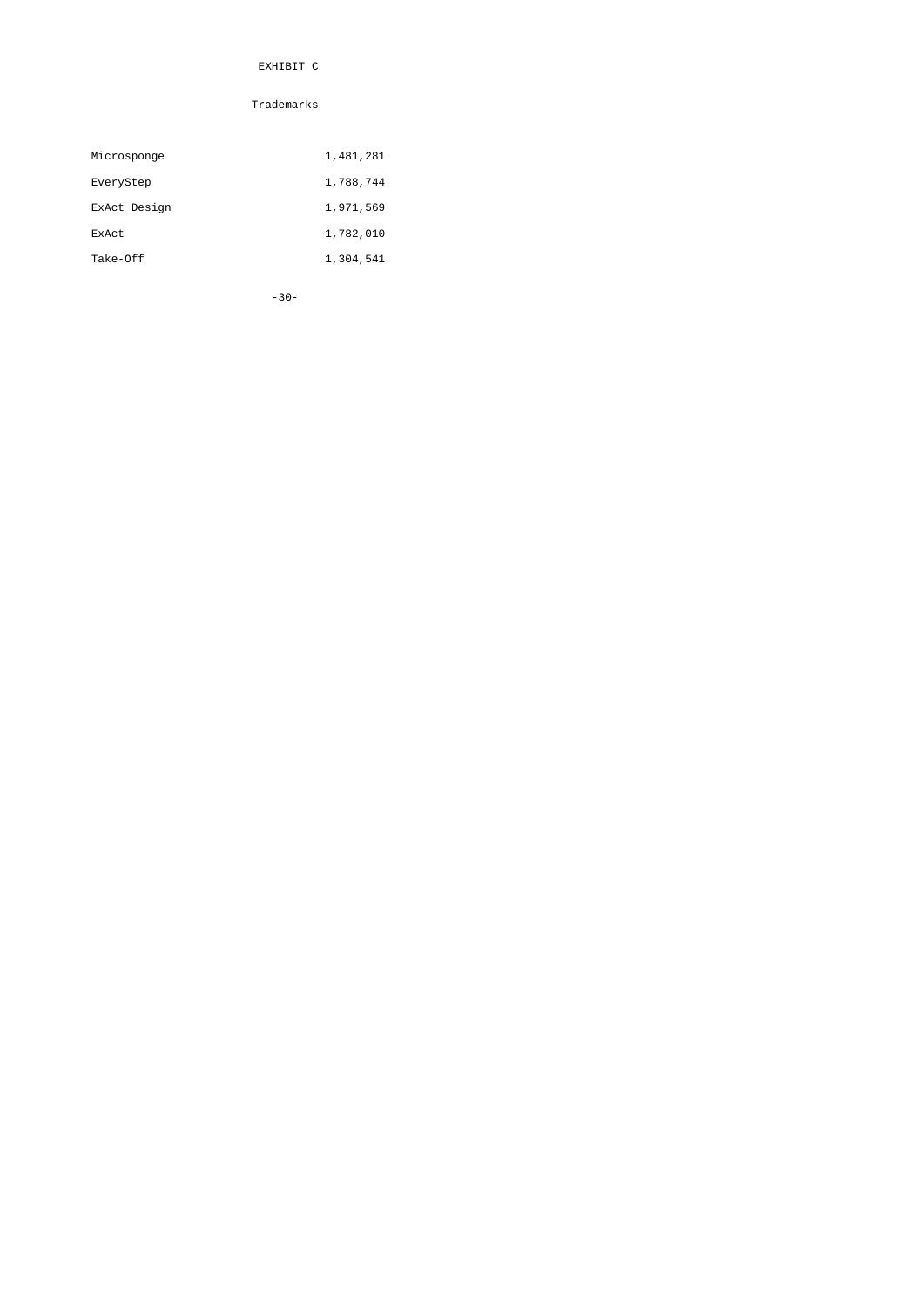# EXHIBIT C

# Trademarks

| Microsponge  | 1,481,281 |
|--------------|-----------|
| EveryStep    | 1,788,744 |
| ExAct Design | 1,971,569 |
| ExAct        | 1,782,010 |
| Take-Off     | 1,304,541 |

-30-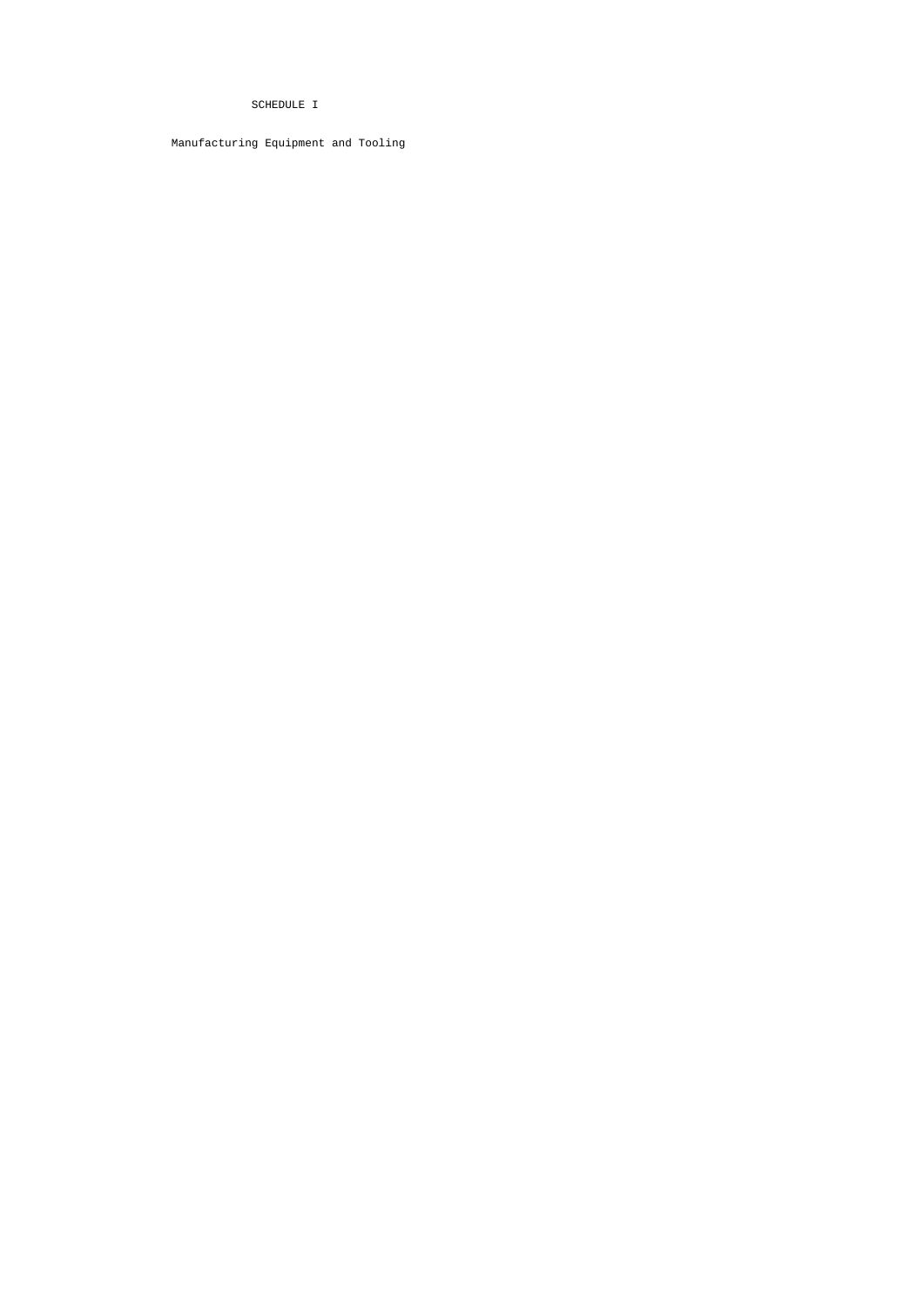# SCHEDULE I

Manufacturing Equipment and Tooling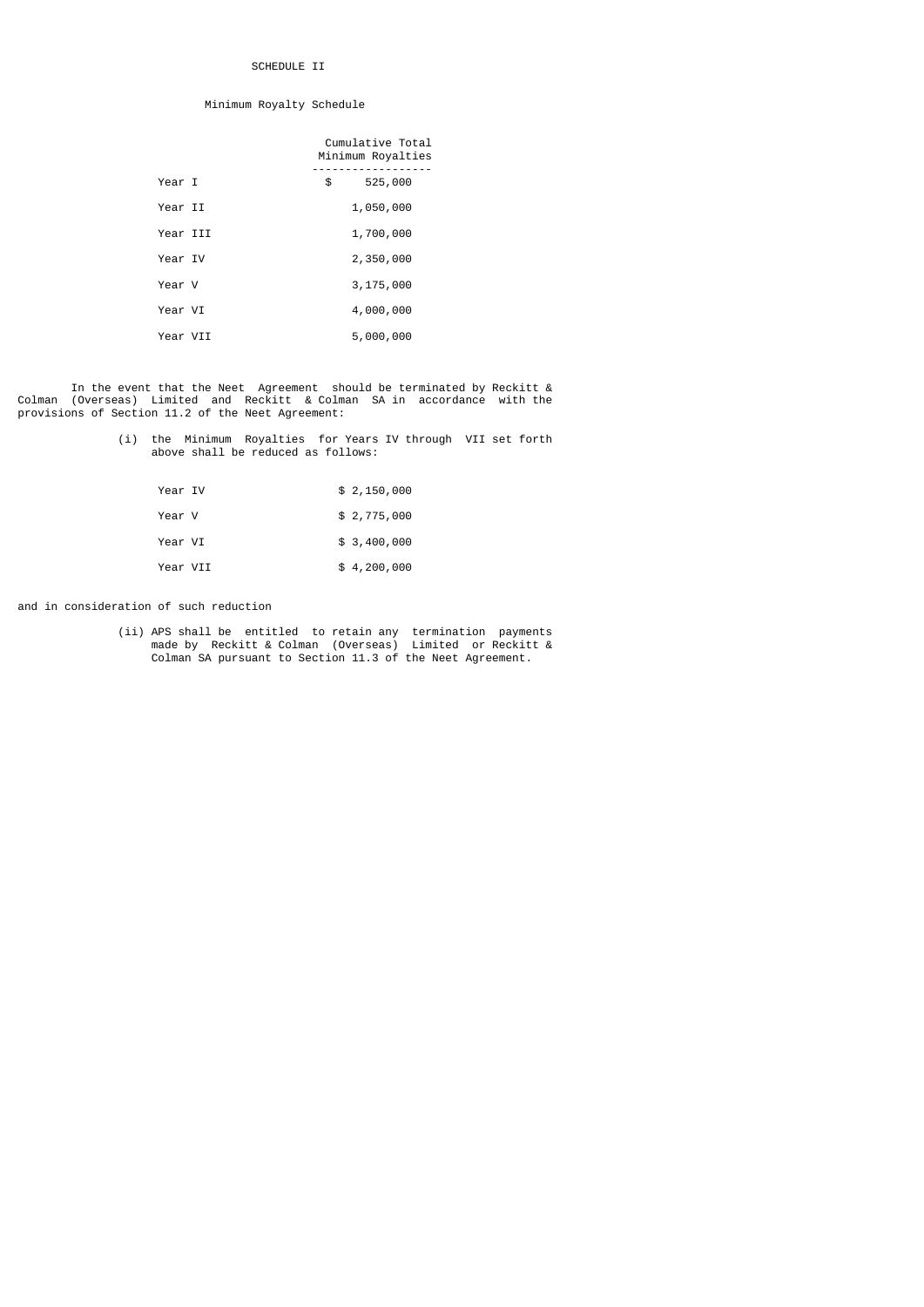## SCHEDULE II

### Minimum Royalty Schedule

|          |    | Cumulative Total<br>Minimum Royalties |
|----------|----|---------------------------------------|
| Year I   | \$ | 525,000                               |
| Year II  |    | 1,050,000                             |
| Year III |    | 1,700,000                             |
| Year IV  |    | 2,350,000                             |
| Year V   |    | 3,175,000                             |
| Year VI  |    | 4,000,000                             |
| Year VII |    | 5,000,000                             |

 In the event that the Neet Agreement should be terminated by Reckitt & Colman (Overseas) Limited and Reckitt & Colman SA in accordance with the provisions of Section 11.2 of the Neet Agreement:

|  | (i) the Minimum Royalties for Years IV through VII set forth |  |  |  |  |
|--|--------------------------------------------------------------|--|--|--|--|
|  | above shall be reduced as follows:                           |  |  |  |  |

| Year IV |          | \$2,150,000 |
|---------|----------|-------------|
| Year V  |          | \$2,775,000 |
| Year VI |          | \$3,400,000 |
|         | Year VII | \$4,200,000 |

and in consideration of such reduction

 (ii) APS shall be entitled to retain any termination payments made by Reckitt & Colman (Overseas) Limited or Reckitt & Colman SA pursuant to Section 11.3 of the Neet Agreement.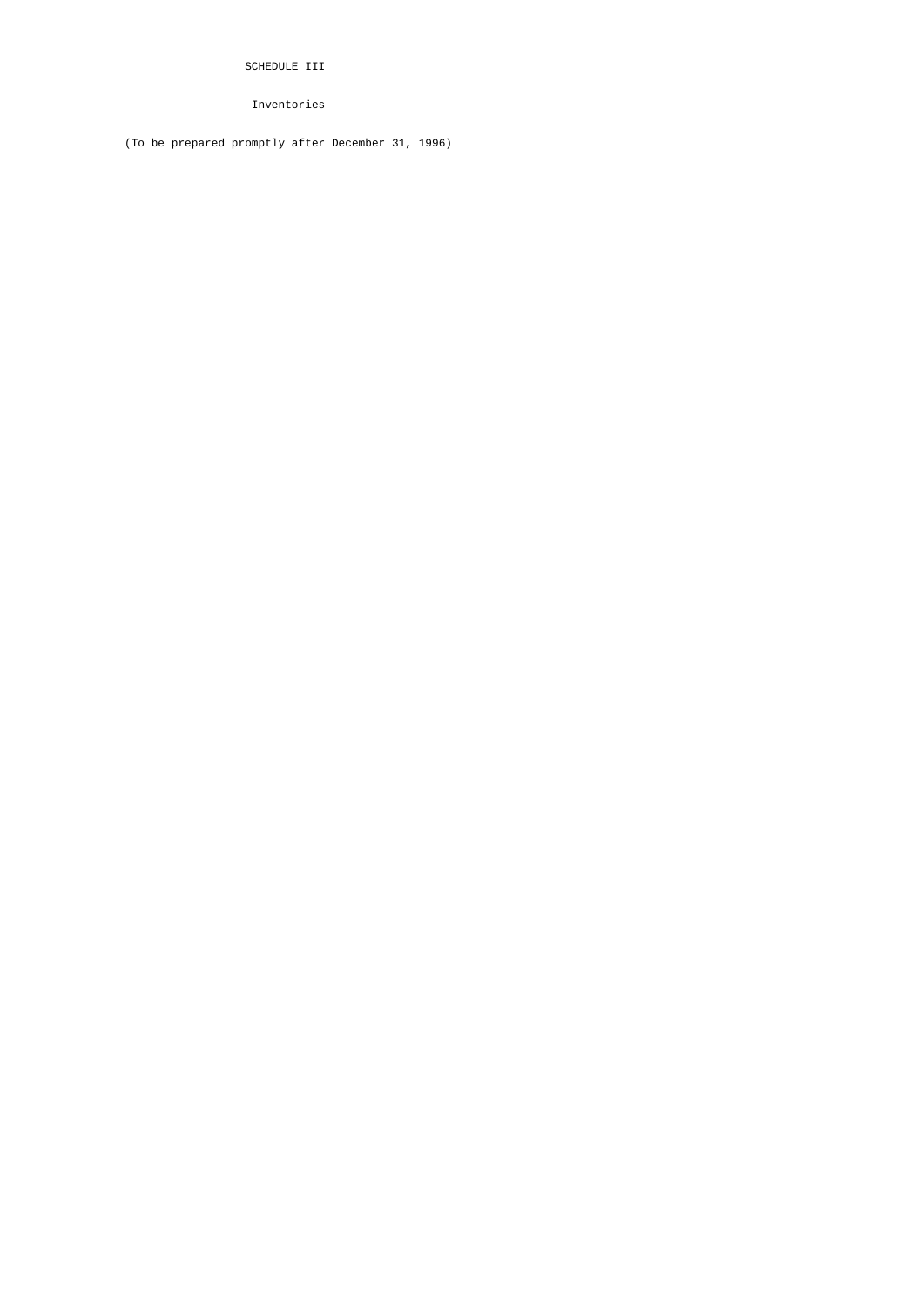SCHEDULE III

Inventories

(To be prepared promptly after December 31, 1996)